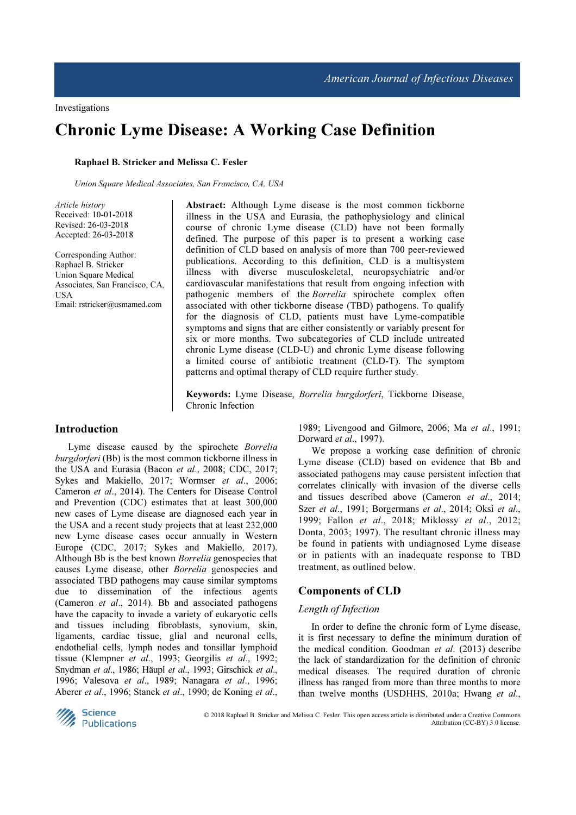# Chronic Lyme Disease: A Working Case Definition

#### Raphael B. Stricker and Melissa C. Fesler

Union Square Medical Associates, San Francisco, CA, USA

Article history Received: 10-01-2018 Revised: 26-03-2018 Accepted: 26-03-2018

Corresponding Author: Raphael B. Stricker Union Square Medical Associates, San Francisco, CA, **IISA** Email: rstricker@usmamed.com

Abstract: Although Lyme disease is the most common tickborne illness in the USA and Eurasia, the pathophysiology and clinical course of chronic Lyme disease (CLD) have not been formally defined. The purpose of this paper is to present a working case definition of CLD based on analysis of more than 700 peer-reviewed publications. According to this definition, CLD is a multisystem illness with diverse musculoskeletal, neuropsychiatric and/or cardiovascular manifestations that result from ongoing infection with pathogenic members of the Borrelia spirochete complex often associated with other tickborne disease (TBD) pathogens. To qualify for the diagnosis of CLD, patients must have Lyme-compatible symptoms and signs that are either consistently or variably present for six or more months. Two subcategories of CLD include untreated chronic Lyme disease (CLD-U) and chronic Lyme disease following a limited course of antibiotic treatment (CLD-T). The symptom patterns and optimal therapy of CLD require further study.

Keywords: Lyme Disease, Borrelia burgdorferi, Tickborne Disease, Chronic Infection

## Introduction

Lyme disease caused by the spirochete Borrelia burgdorferi (Bb) is the most common tickborne illness in the USA and Eurasia (Bacon et al., 2008; CDC, 2017; Sykes and Makiello, 2017; Wormser et al., 2006; Cameron et al., 2014). The Centers for Disease Control and Prevention (CDC) estimates that at least 300,000 new cases of Lyme disease are diagnosed each year in the USA and a recent study projects that at least 232,000 new Lyme disease cases occur annually in Western Europe (CDC, 2017; Sykes and Makiello, 2017). Although Bb is the best known Borrelia genospecies that causes Lyme disease, other Borrelia genospecies and associated TBD pathogens may cause similar symptoms due to dissemination of the infectious agents (Cameron et al., 2014). Bb and associated pathogens have the capacity to invade a variety of eukaryotic cells and tissues including fibroblasts, synovium, skin, ligaments, cardiac tissue, glial and neuronal cells, endothelial cells, lymph nodes and tonsillar lymphoid tissue (Klempner et al., 1993; Georgilis et al., 1992; Snydman et al., 1986; Häupl et al., 1993; Girschick et al., 1996; Valesova et al., 1989; Nanagara et al., 1996; Aberer et al., 1996; Stanek et al., 1990; de Koning et al.,

1989; Livengood and Gilmore, 2006; Ma et al., 1991; Dorward et al., 1997).

We propose a working case definition of chronic Lyme disease (CLD) based on evidence that Bb and associated pathogens may cause persistent infection that correlates clinically with invasion of the diverse cells and tissues described above (Cameron et al., 2014; Szer et al., 1991; Borgermans et al., 2014; Oksi et al., 1999; Fallon et al., 2018; Miklossy et al., 2012; Donta, 2003; 1997). The resultant chronic illness may be found in patients with undiagnosed Lyme disease or in patients with an inadequate response to TBD treatment, as outlined below.

#### Components of CLD

#### Length of Infection

In order to define the chronic form of Lyme disease, it is first necessary to define the minimum duration of the medical condition. Goodman et al. (2013) describe the lack of standardization for the definition of chronic medical diseases. The required duration of chronic illness has ranged from more than three months to more than twelve months (USDHHS, 2010a; Hwang et al.,



© 2018 Raphael B. Stricker and Melissa C. Fesler. This open access article is distributed under a Creative Commons Attribution (CC-BY) 3.0 license.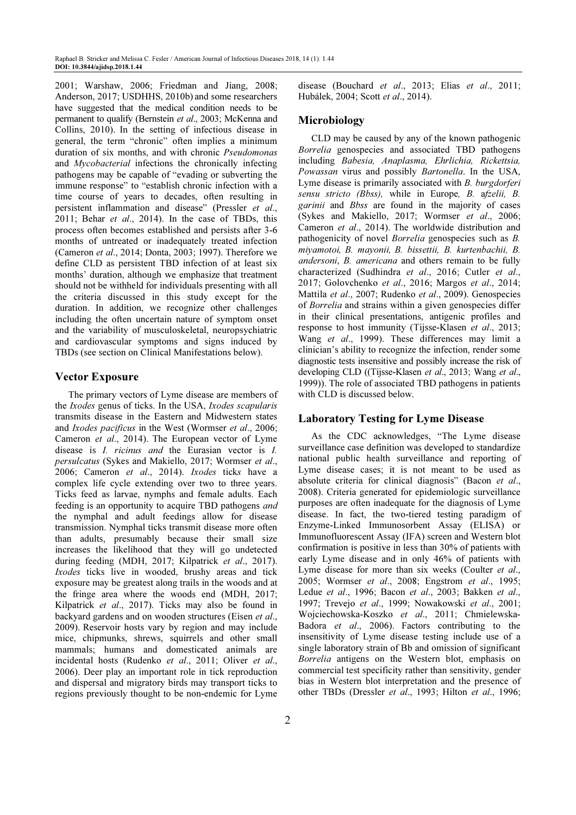2001; Warshaw, 2006; Friedman and Jiang, 2008; Anderson, 2017; USDHHS, 2010b) and some researchers have suggested that the medical condition needs to be permanent to qualify (Bernstein et al., 2003; McKenna and Collins, 2010). In the setting of infectious disease in general, the term "chronic" often implies a minimum duration of six months, and with chronic Pseudomonas and Mycobacterial infections the chronically infecting pathogens may be capable of "evading or subverting the immune response" to "establish chronic infection with a time course of years to decades, often resulting in persistent inflammation and disease" (Pressler et al., 2011; Behar et al., 2014). In the case of TBDs, this process often becomes established and persists after 3-6 months of untreated or inadequately treated infection (Cameron et al., 2014; Donta, 2003; 1997). Therefore we define CLD as persistent TBD infection of at least six months' duration, although we emphasize that treatment should not be withheld for individuals presenting with all the criteria discussed in this study except for the duration. In addition, we recognize other challenges including the often uncertain nature of symptom onset and the variability of musculoskeletal, neuropsychiatric and cardiovascular symptoms and signs induced by TBDs (see section on Clinical Manifestations below).

## Vector Exposure

The primary vectors of Lyme disease are members of the Ixodes genus of ticks. In the USA, Ixodes scapularis transmits disease in the Eastern and Midwestern states and Ixodes pacificus in the West (Wormser et al., 2006; Cameron et al., 2014). The European vector of Lyme disease is I. ricinus and the Eurasian vector is I. persulcatus (Sykes and Makiello, 2017; Wormser et al., 2006; Cameron et al., 2014). Ixodes ticks have a complex life cycle extending over two to three years. Ticks feed as larvae, nymphs and female adults. Each feeding is an opportunity to acquire TBD pathogens and the nymphal and adult feedings allow for disease transmission. Nymphal ticks transmit disease more often than adults, presumably because their small size increases the likelihood that they will go undetected during feeding (MDH, 2017; Kilpatrick et al., 2017). Ixodes ticks live in wooded, brushy areas and tick exposure may be greatest along trails in the woods and at the fringe area where the woods end (MDH, 2017; Kilpatrick et al., 2017). Ticks may also be found in backyard gardens and on wooden structures (Eisen et al., 2009). Reservoir hosts vary by region and may include mice, chipmunks, shrews, squirrels and other small mammals; humans and domesticated animals are incidental hosts (Rudenko et al., 2011; Oliver et al., 2006). Deer play an important role in tick reproduction and dispersal and migratory birds may transport ticks to regions previously thought to be non-endemic for Lyme

disease (Bouchard et al., 2013; Elias et al., 2011; Hubálek, 2004; Scott et al., 2014).

# Microbiology

CLD may be caused by any of the known pathogenic Borrelia genospecies and associated TBD pathogens including Babesia, Anaplasma, Ehrlichia, Rickettsia, Powassan virus and possibly Bartonella. In the USA, Lyme disease is primarily associated with B. burgdorferi sensu stricto (Bbss), while in Europe, B. afzelii, B. garinii and Bbss are found in the majority of cases (Sykes and Makiello, 2017; Wormser et al., 2006; Cameron et al., 2014). The worldwide distribution and pathogenicity of novel Borrelia genospecies such as B. miyamotoi, B. mayonii, B. bissettii, B. kurtenbachii, B. andersoni, B. americana and others remain to be fully characterized (Sudhindra et al., 2016; Cutler et al., 2017; Golovchenko et al., 2016; Margos et al., 2014; Mattila et al., 2007; Rudenko et al., 2009). Genospecies of Borrelia and strains within a given genospecies differ in their clinical presentations, antigenic profiles and response to host immunity (Tijsse-Klasen et al., 2013; Wang et al., 1999). These differences may limit a clinician's ability to recognize the infection, render some diagnostic tests insensitive and possibly increase the risk of developing CLD ((Tijsse-Klasen et al., 2013; Wang et al., 1999)). The role of associated TBD pathogens in patients with CLD is discussed below.

#### Laboratory Testing for Lyme Disease

As the CDC acknowledges, "The Lyme disease surveillance case definition was developed to standardize national public health surveillance and reporting of Lyme disease cases; it is not meant to be used as absolute criteria for clinical diagnosis" (Bacon et al., 2008). Criteria generated for epidemiologic surveillance purposes are often inadequate for the diagnosis of Lyme disease. In fact, the two-tiered testing paradigm of Enzyme-Linked Immunosorbent Assay (ELISA) or Immunofluorescent Assay (IFA) screen and Western blot confirmation is positive in less than 30% of patients with early Lyme disease and in only 46% of patients with Lyme disease for more than six weeks (Coulter et al., 2005; Wormser et al., 2008; Engstrom et al., 1995; Ledue et al., 1996; Bacon et al., 2003; Bakken et al., 1997; Trevejo et al., 1999; Nowakowski et al., 2001; Wojciechowska-Koszko et al., 2011; Chmielewska-Badora et al., 2006). Factors contributing to the insensitivity of Lyme disease testing include use of a single laboratory strain of Bb and omission of significant Borrelia antigens on the Western blot, emphasis on commercial test specificity rather than sensitivity, gender bias in Western blot interpretation and the presence of other TBDs (Dressler et al., 1993; Hilton et al., 1996;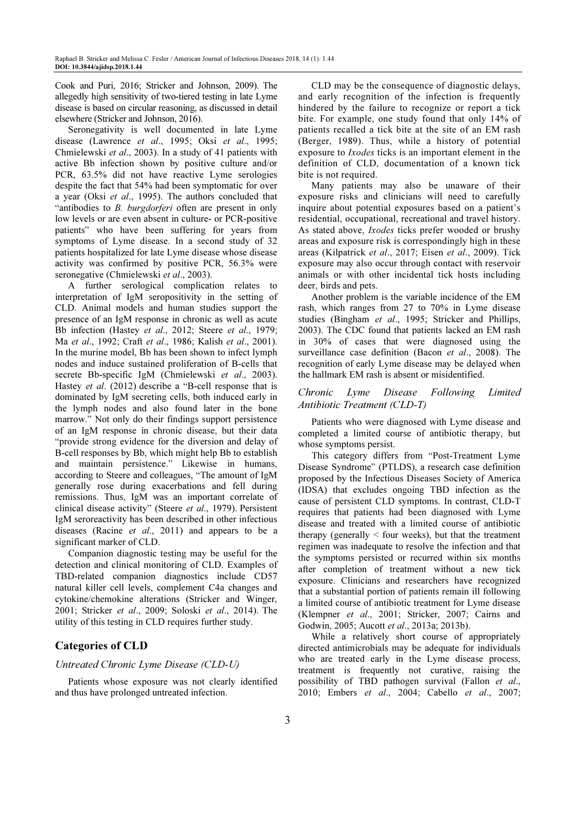Cook and Puri, 2016; Stricker and Johnson, 2009). The allegedly high sensitivity of two-tiered testing in late Lyme disease is based on circular reasoning, as discussed in detail elsewhere (Stricker and Johnson, 2016).

Seronegativity is well documented in late Lyme disease (Lawrence et al., 1995; Oksi et al., 1995; Chmielewski et al., 2003). In a study of 41 patients with active Bb infection shown by positive culture and/or PCR, 63.5% did not have reactive Lyme serologies despite the fact that 54% had been symptomatic for over a year (Oksi et al., 1995). The authors concluded that "antibodies to B. burgdorferi often are present in only low levels or are even absent in culture- or PCR-positive patients" who have been suffering for years from symptoms of Lyme disease. In a second study of 32 patients hospitalized for late Lyme disease whose disease activity was confirmed by positive PCR, 56.3% were seronegative (Chmielewski et al., 2003).

A further serological complication relates to interpretation of IgM seropositivity in the setting of CLD. Animal models and human studies support the presence of an IgM response in chronic as well as acute Bb infection (Hastey et al., 2012; Steere et al., 1979; Ma et al., 1992; Craft et al., 1986; Kalish et al., 2001). In the murine model, Bb has been shown to infect lymph nodes and induce sustained proliferation of B-cells that secrete Bb-specific IgM (Chmielewski et al., 2003). Hastey et al. (2012) describe a "B-cell response that is dominated by IgM secreting cells, both induced early in the lymph nodes and also found later in the bone marrow." Not only do their findings support persistence of an IgM response in chronic disease, but their data "provide strong evidence for the diversion and delay of B-cell responses by Bb, which might help Bb to establish and maintain persistence." Likewise in humans, according to Steere and colleagues, "The amount of IgM generally rose during exacerbations and fell during remissions. Thus, IgM was an important correlate of clinical disease activity" (Steere et al., 1979). Persistent IgM seroreactivity has been described in other infectious diseases (Racine et al., 2011) and appears to be a significant marker of CLD.

Companion diagnostic testing may be useful for the detection and clinical monitoring of CLD. Examples of TBD-related companion diagnostics include CD57 natural killer cell levels, complement C4a changes and cytokine/chemokine alterations (Stricker and Winger, 2001; Stricker et al., 2009; Soloski et al., 2014). The utility of this testing in CLD requires further study.

# Categories of CLD

# Untreated Chronic Lyme Disease (CLD-U)

Patients whose exposure was not clearly identified and thus have prolonged untreated infection.

CLD may be the consequence of diagnostic delays, and early recognition of the infection is frequently hindered by the failure to recognize or report a tick bite. For example, one study found that only 14% of patients recalled a tick bite at the site of an EM rash (Berger, 1989). Thus, while a history of potential exposure to Ixodes ticks is an important element in the definition of CLD, documentation of a known tick bite is not required.

Many patients may also be unaware of their exposure risks and clinicians will need to carefully inquire about potential exposures based on a patient's residential, occupational, recreational and travel history. As stated above, Ixodes ticks prefer wooded or brushy areas and exposure risk is correspondingly high in these areas (Kilpatrick et al., 2017; Eisen et al., 2009). Tick exposure may also occur through contact with reservoir animals or with other incidental tick hosts including deer, birds and pets.

Another problem is the variable incidence of the EM rash, which ranges from 27 to 70% in Lyme disease studies (Bingham et al., 1995; Stricker and Phillips, 2003). The CDC found that patients lacked an EM rash in 30% of cases that were diagnosed using the surveillance case definition (Bacon et al., 2008). The recognition of early Lyme disease may be delayed when the hallmark EM rash is absent or misidentified.

#### Chronic Lyme Disease Following Limited Antibiotic Treatment (CLD-T)

Patients who were diagnosed with Lyme disease and completed a limited course of antibiotic therapy, but whose symptoms persist.

This category differs from "Post-Treatment Lyme Disease Syndrome" (PTLDS), a research case definition proposed by the Infectious Diseases Society of America (IDSA) that excludes ongoing TBD infection as the cause of persistent CLD symptoms. In contrast, CLD-T requires that patients had been diagnosed with Lyme disease and treated with a limited course of antibiotic therapy (generally  $\leq$  four weeks), but that the treatment regimen was inadequate to resolve the infection and that the symptoms persisted or recurred within six months after completion of treatment without a new tick exposure. Clinicians and researchers have recognized that a substantial portion of patients remain ill following a limited course of antibiotic treatment for Lyme disease (Klempner et al., 2001; Stricker, 2007; Cairns and Godwin, 2005; Aucott et al., 2013a; 2013b).

While a relatively short course of appropriately directed antimicrobials may be adequate for individuals who are treated early in the Lyme disease process, treatment is frequently not curative, raising the possibility of TBD pathogen survival (Fallon et al., 2010; Embers et al., 2004; Cabello et al., 2007;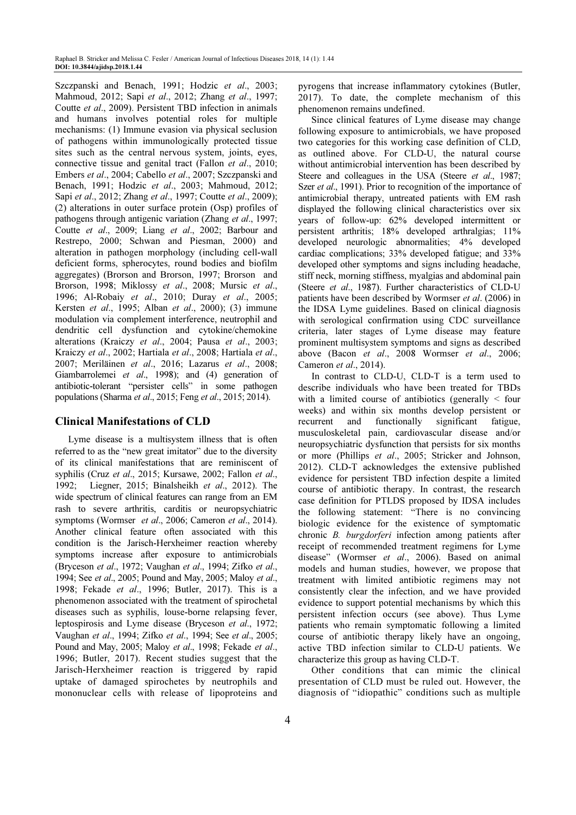Szczpanski and Benach, 1991; Hodzic et al., 2003; Mahmoud, 2012; Sapi et al., 2012; Zhang et al., 1997; Coutte et al., 2009). Persistent TBD infection in animals and humans involves potential roles for multiple mechanisms: (1) Immune evasion via physical seclusion of pathogens within immunologically protected tissue sites such as the central nervous system, joints, eyes, connective tissue and genital tract (Fallon et al., 2010; Embers et al., 2004; Cabello et al., 2007; Szczpanski and Benach, 1991; Hodzic et al., 2003; Mahmoud, 2012; Sapi et al., 2012; Zhang et al., 1997; Coutte et al., 2009); (2) alterations in outer surface protein (Osp) profiles of pathogens through antigenic variation (Zhang et al., 1997; Coutte et al., 2009; Liang et al., 2002; Barbour and Restrepo, 2000; Schwan and Piesman, 2000) and alteration in pathogen morphology (including cell-wall deficient forms, spherocytes, round bodies and biofilm aggregates) (Brorson and Brorson, 1997; Brorson and Brorson, 1998; Miklossy et al., 2008; Mursic et al., 1996; Al-Robaiy et al., 2010; Duray et al., 2005; Kersten et al., 1995; Alban et al., 2000); (3) immune modulation via complement interference, neutrophil and dendritic cell dysfunction and cytokine/chemokine alterations (Kraiczy et al., 2004; Pausa et al., 2003; Kraiczy et al., 2002; Hartiala et al., 2008; Hartiala et al., 2007; Meriläinen et al., 2016; Lazarus et al., 2008; Giambarrolemei et al., 1998); and (4) generation of antibiotic-tolerant "persister cells" in some pathogen populations (Sharma et al., 2015; Feng et al., 2015; 2014).

# Clinical Manifestations of CLD

Lyme disease is a multisystem illness that is often referred to as the "new great imitator" due to the diversity of its clinical manifestations that are reminiscent of syphilis (Cruz et al., 2015; Kursawe, 2002; Fallon et al., 1992; Liegner, 2015; Binalsheikh et al., 2012). The wide spectrum of clinical features can range from an EM rash to severe arthritis, carditis or neuropsychiatric symptoms (Wormser et al., 2006; Cameron et al., 2014). Another clinical feature often associated with this condition is the Jarisch-Herxheimer reaction whereby symptoms increase after exposure to antimicrobials (Bryceson et al., 1972; Vaughan et al., 1994; Zifko et al., 1994; See et al., 2005; Pound and May, 2005; Maloy et al., 1998; Fekade et al., 1996; Butler, 2017). This is a phenomenon associated with the treatment of spirochetal diseases such as syphilis, louse-borne relapsing fever, leptospirosis and Lyme disease (Bryceson et al., 1972; Vaughan et al., 1994; Zifko et al., 1994; See et al., 2005; Pound and May, 2005; Maloy et al., 1998; Fekade et al., 1996; Butler, 2017). Recent studies suggest that the Jarisch-Herxheimer reaction is triggered by rapid uptake of damaged spirochetes by neutrophils and mononuclear cells with release of lipoproteins and

pyrogens that increase inflammatory cytokines (Butler, 2017). To date, the complete mechanism of this phenomenon remains undefined.

Since clinical features of Lyme disease may change following exposure to antimicrobials, we have proposed two categories for this working case definition of CLD, as outlined above. For CLD-U, the natural course without antimicrobial intervention has been described by Steere and colleagues in the USA (Steere *et al.*, 1987; Szer *et al.*, 1991). Prior to recognition of the importance of antimicrobial therapy, untreated patients with EM rash displayed the following clinical characteristics over six years of follow-up: 62% developed intermittent or persistent arthritis; 18% developed arthralgias; 11% developed neurologic abnormalities; 4% developed cardiac complications; 33% developed fatigue; and 33% developed other symptoms and signs including headache, stiff neck, morning stiffness, myalgias and abdominal pain (Steere et al., 1987). Further characteristics of CLD-U patients have been described by Wormser et al. (2006) in the IDSA Lyme guidelines. Based on clinical diagnosis with serological confirmation using CDC surveillance criteria, later stages of Lyme disease may feature prominent multisystem symptoms and signs as described above (Bacon et al., 2008 Wormser et al., 2006; Cameron et al., 2014).

In contrast to CLD-U, CLD-T is a term used to describe individuals who have been treated for TBDs with a limited course of antibiotics (generally  $\leq$  four weeks) and within six months develop persistent or recurrent and functionally significant fatigue, musculoskeletal pain, cardiovascular disease and/or neuropsychiatric dysfunction that persists for six months or more (Phillips et al., 2005; Stricker and Johnson, 2012). CLD-T acknowledges the extensive published evidence for persistent TBD infection despite a limited course of antibiotic therapy. In contrast, the research case definition for PTLDS proposed by IDSA includes the following statement: "There is no convincing biologic evidence for the existence of symptomatic chronic B. burgdorferi infection among patients after receipt of recommended treatment regimens for Lyme disease" (Wormser et al., 2006). Based on animal models and human studies, however, we propose that treatment with limited antibiotic regimens may not consistently clear the infection, and we have provided evidence to support potential mechanisms by which this persistent infection occurs (see above). Thus Lyme patients who remain symptomatic following a limited course of antibiotic therapy likely have an ongoing, active TBD infection similar to CLD-U patients. We characterize this group as having CLD-T.

Other conditions that can mimic the clinical presentation of CLD must be ruled out. However, the diagnosis of "idiopathic" conditions such as multiple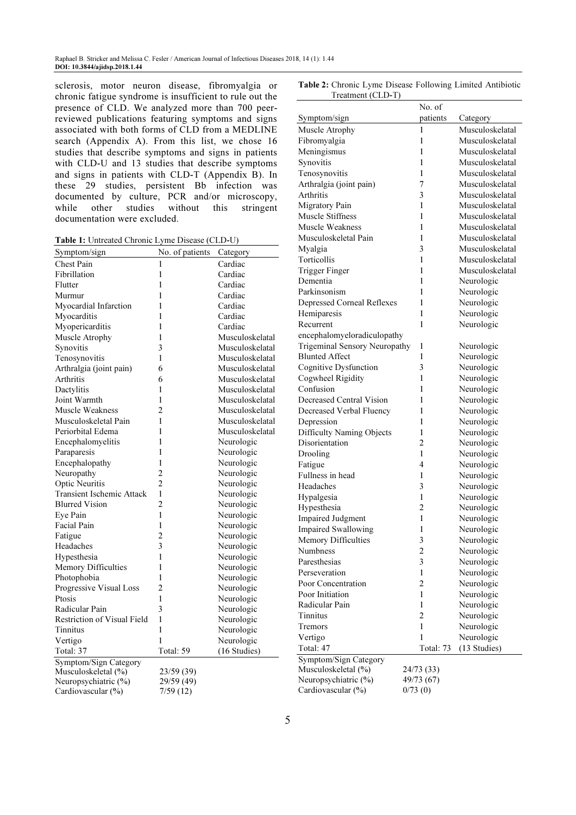sclerosis, motor neuron disease, fibromyalgia or chronic fatigue syndrome is insufficient to rule out the presence of CLD. We analyzed more than 700 peerreviewed publications featuring symptoms and signs associated with both forms of CLD from a MEDLINE search (Appendix A). From this list, we chose 16 studies that describe symptoms and signs in patients with CLD-U and 13 studies that describe symptoms and signs in patients with CLD-T (Appendix B). In these 29 studies, persistent Bb infection was documented by culture, PCR and/or microscopy, while other studies without this stringent documentation were excluded.

Table 1: Untreated Chronic Lyme Disease (CLD-U)

| Symptom/sign                     | No. of patients | Category        |
|----------------------------------|-----------------|-----------------|
| Chest Pain                       | 1               | Cardiac         |
| Fibrillation                     | 1               | Cardiac         |
| Flutter                          | 1               | Cardiac         |
| Murmur                           | 1               | Cardiac         |
| Myocardial Infarction            | 1               | Cardiac         |
| Myocarditis                      | 1               | Cardiac         |
| Myopericarditis                  | 1               | Cardiac         |
| Muscle Atrophy                   | 1               | Musculoskelatal |
| Synovitis                        | 3               | Musculoskelatal |
| Tenosynovitis                    | 1               | Musculoskelatal |
| Arthralgia (joint pain)          | 6               | Musculoskelatal |
| Arthritis                        | 6               | Musculoskelatal |
| Dactylitis                       | 1               | Musculoskelatal |
| Joint Warmth                     | 1               | Musculoskelatal |
| Muscle Weakness                  | $\overline{2}$  | Musculoskelatal |
| Musculoskeletal Pain             | 1               | Musculoskelatal |
| Periorbital Edema                | 1               | Musculoskelatal |
| Encephalomyelitis                | 1               | Neurologic      |
| Paraparesis                      | 1               | Neurologic      |
| Encephalopathy                   | 1               | Neurologic      |
| Neuropathy                       | $\overline{2}$  | Neurologic      |
| Optic Neuritis                   | $\overline{2}$  | Neurologic      |
| <b>Transient Ischemic Attack</b> | $\mathbf{1}$    | Neurologic      |
| <b>Blurred Vision</b>            | $\overline{2}$  | Neurologic      |
| Eye Pain                         | $\mathbf{1}$    | Neurologic      |
| Facial Pain                      | 1               | Neurologic      |
| Fatigue                          | $\overline{2}$  | Neurologic      |
| Headaches                        | 3               | Neurologic      |
| Hypesthesia                      | 1               | Neurologic      |
| Memory Difficulties              | 1               | Neurologic      |
| Photophobia                      | 1               | Neurologic      |
| Progressive Visual Loss          | $\overline{2}$  | Neurologic      |
| Ptosis                           | 1               | Neurologic      |
| Radicular Pain                   | 3               | Neurologic      |
| Restriction of Visual Field      | 1               | Neurologic      |
| Tinnitus                         | 1               | Neurologic      |
| Vertigo                          | 1               | Neurologic      |
| Total: 37                        | Total: 59       | (16 Studies)    |
| Symptom/Sign Category            |                 |                 |
| Musculoskeletal (%)              | 23/59 (39)      |                 |
| Neuropsychiatric (%)             | 29/59 (49)      |                 |
| Cardiovascular (%)               | 7/59 (12)       |                 |

| <b>Table 2:</b> Chronic Lyme Disease Following Limited Antibiotic |  |
|-------------------------------------------------------------------|--|
| Treatment (CLD-T)                                                 |  |

| Healment (CLD-1                   |                     |                 |
|-----------------------------------|---------------------|-----------------|
|                                   | No. of              |                 |
| Symptom/sign                      | patients            | Category        |
| Muscle Atrophy                    | $\mathbf{1}$        | Musculoskelatal |
| Fibromyalgia                      | 1                   | Musculoskelatal |
| Meningismus                       | 1                   | Musculoskelatal |
| Synovitis                         | 1                   | Musculoskelatal |
| Tenosynovitis                     | 1                   | Musculoskelatal |
| Arthralgia (joint pain)           | 7                   | Musculoskelatal |
| Arthritis                         | 3                   | Musculoskelatal |
| Migratory Pain                    | 1                   | Musculoskelatal |
| Muscle Stiffness                  | 1                   | Musculoskelatal |
| Muscle Weakness                   | 1                   | Musculoskelatal |
| Musculoskeletal Pain              | 1                   | Musculoskelatal |
| Myalgia                           | 3                   | Musculoskelatal |
| Torticollis                       | 1                   | Musculoskelatal |
| <b>Trigger Finger</b>             | 1                   | Musculoskelatal |
| Dementia                          | $\mathbf{1}$        | Neurologic      |
| Parkinsonism                      | 1                   | Neurologic      |
| <b>Depressed Corneal Reflexes</b> | 1                   | Neurologic      |
| Hemiparesis                       | 1                   | Neurologic      |
| Recurrent                         | 1                   | Neurologic      |
| encephalomyeloradiculopathy       |                     |                 |
| Trigeminal Sensory Neuropathy     | 1                   | Neurologic      |
| <b>Blunted Affect</b>             | $\mathbf{1}$        | Neurologic      |
| <b>Cognitive Dysfunction</b>      | 3                   | Neurologic      |
| Cogwheel Rigidity                 | 1                   | Neurologic      |
| Confusion                         | 1                   | Neurologic      |
| <b>Decreased Central Vision</b>   | 1                   | Neurologic      |
| Decreased Verbal Fluency          | 1                   | Neurologic      |
| Depression                        | 1                   | Neurologic      |
| Difficulty Naming Objects         | $\mathbf{1}$        | Neurologic      |
| Disorientation                    | $\overline{c}$      | Neurologic      |
| Drooling                          | 1                   | Neurologic      |
|                                   | 4                   | Neurologic      |
| Fatigue<br>Fullness in head       | 1                   |                 |
| Headaches                         | 3                   | Neurologic      |
|                                   |                     | Neurologic      |
| Hypalgesia                        | 1<br>$\overline{2}$ | Neurologic      |
| Hypesthesia                       | $\mathbf{1}$        | Neurologic      |
| <b>Impaired Judgment</b>          |                     | Neurologic      |
| <b>Impaired Swallowing</b>        | 1                   | Neurologic      |
| Memory Difficulties               | 3                   | Neurologic      |
| Numbness                          | $\overline{c}$      | Neurologic      |
| Paresthesias                      | 3                   | Neurologic      |
| Perseveration                     | 1                   | Neurologic      |
| Poor Concentration                | $\overline{2}$      | Neurologic      |
| Poor Initiation                   | 1                   | Neurologic      |
| Radicular Pain                    | 1                   | Neurologic      |
| Tinnitus                          | $\overline{2}$      | Neurologic      |
| Tremors                           | 1                   | Neurologic      |
| Vertigo                           | 1                   | Neurologic      |
| Total: 47                         | Total: 73           | (13 Studies)    |
| Symptom/Sign Category             |                     |                 |
| Musculoskeletal (%)               | 24/73 (33)          |                 |
| Neuropsychiatric (%)              | 49/73 (67)          |                 |
| Cardiovascular (%)                | 0/73(0)             |                 |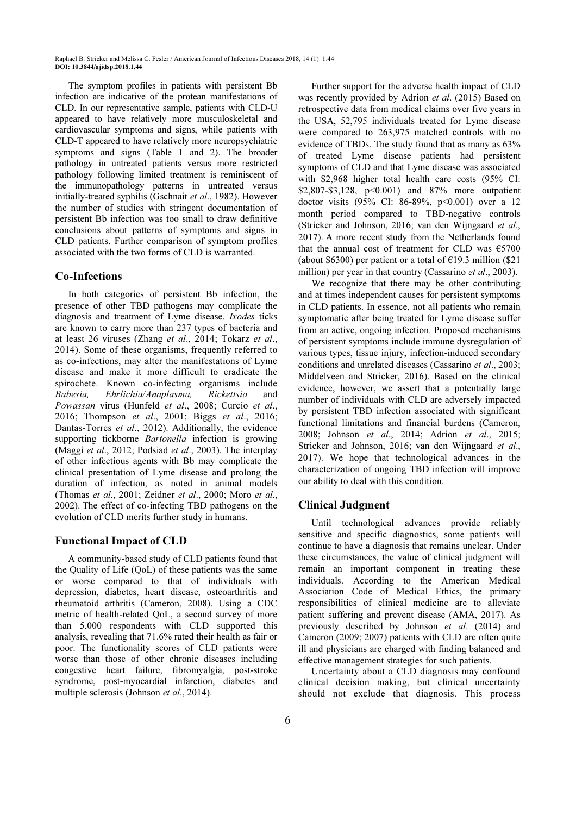The symptom profiles in patients with persistent Bb infection are indicative of the protean manifestations of CLD. In our representative sample, patients with CLD-U appeared to have relatively more musculoskeletal and cardiovascular symptoms and signs, while patients with CLD-T appeared to have relatively more neuropsychiatric symptoms and signs (Table 1 and 2). The broader pathology in untreated patients versus more restricted pathology following limited treatment is reminiscent of the immunopathology patterns in untreated versus initially-treated syphilis (Gschnait et al., 1982). However the number of studies with stringent documentation of persistent Bb infection was too small to draw definitive conclusions about patterns of symptoms and signs in CLD patients. Further comparison of symptom profiles associated with the two forms of CLD is warranted.

# Co-Infections

In both categories of persistent Bb infection, the presence of other TBD pathogens may complicate the diagnosis and treatment of Lyme disease. Ixodes ticks are known to carry more than 237 types of bacteria and at least 26 viruses (Zhang et al., 2014; Tokarz et al., 2014). Some of these organisms, frequently referred to as co-infections, may alter the manifestations of Lyme disease and make it more difficult to eradicate the spirochete. Known co-infecting organisms include Babesia, Ehrlichia/Anaplasma, Rickettsia and Powassan virus (Hunfeld et al., 2008; Curcio et al., 2016; Thompson et al., 2001; Biggs et al., 2016; Dantas-Torres et al., 2012). Additionally, the evidence supporting tickborne *Bartonella* infection is growing (Maggi et al., 2012; Podsiad et al., 2003). The interplay of other infectious agents with Bb may complicate the clinical presentation of Lyme disease and prolong the duration of infection, as noted in animal models (Thomas et al., 2001; Zeidner et al., 2000; Moro et al., 2002). The effect of co-infecting TBD pathogens on the evolution of CLD merits further study in humans.

# Functional Impact of CLD

A community-based study of CLD patients found that the Quality of Life (QoL) of these patients was the same or worse compared to that of individuals with depression, diabetes, heart disease, osteoarthritis and rheumatoid arthritis (Cameron, 2008). Using a CDC metric of health-related QoL, a second survey of more than 5,000 respondents with CLD supported this analysis, revealing that 71.6% rated their health as fair or poor. The functionality scores of CLD patients were worse than those of other chronic diseases including congestive heart failure, fibromyalgia, post-stroke syndrome, post-myocardial infarction, diabetes and multiple sclerosis (Johnson et al., 2014).

Further support for the adverse health impact of CLD was recently provided by Adrion et al. (2015) Based on retrospective data from medical claims over five years in the USA, 52,795 individuals treated for Lyme disease were compared to 263,975 matched controls with no evidence of TBDs. The study found that as many as 63% of treated Lyme disease patients had persistent symptoms of CLD and that Lyme disease was associated with \$2,968 higher total health care costs (95% CI: \$2,807-\$3,128, p<0.001) and 87% more outpatient doctor visits (95% CI: 86-89%, p<0.001) over a 12 month period compared to TBD-negative controls (Stricker and Johnson, 2016; van den Wijngaard et al., 2017). A more recent study from the Netherlands found that the annual cost of treatment for CLD was  $65700$ (about \$6300) per patient or a total of  $\epsilon$ 19.3 million (\$21) million) per year in that country (Cassarino *et al.*, 2003).

We recognize that there may be other contributing and at times independent causes for persistent symptoms in CLD patients. In essence, not all patients who remain symptomatic after being treated for Lyme disease suffer from an active, ongoing infection. Proposed mechanisms of persistent symptoms include immune dysregulation of various types, tissue injury, infection-induced secondary conditions and unrelated diseases (Cassarino et al., 2003; Middelveen and Stricker, 2016). Based on the clinical evidence, however, we assert that a potentially large number of individuals with CLD are adversely impacted by persistent TBD infection associated with significant functional limitations and financial burdens (Cameron, 2008; Johnson et al., 2014; Adrion et al., 2015; Stricker and Johnson, 2016; van den Wijngaard et al., 2017). We hope that technological advances in the characterization of ongoing TBD infection will improve our ability to deal with this condition.

# Clinical Judgment

Until technological advances provide reliably sensitive and specific diagnostics, some patients will continue to have a diagnosis that remains unclear. Under these circumstances, the value of clinical judgment will remain an important component in treating these individuals. According to the American Medical Association Code of Medical Ethics, the primary responsibilities of clinical medicine are to alleviate patient suffering and prevent disease (AMA, 2017). As previously described by Johnson et al. (2014) and Cameron (2009; 2007) patients with CLD are often quite ill and physicians are charged with finding balanced and effective management strategies for such patients.

Uncertainty about a CLD diagnosis may confound clinical decision making, but clinical uncertainty should not exclude that diagnosis. This process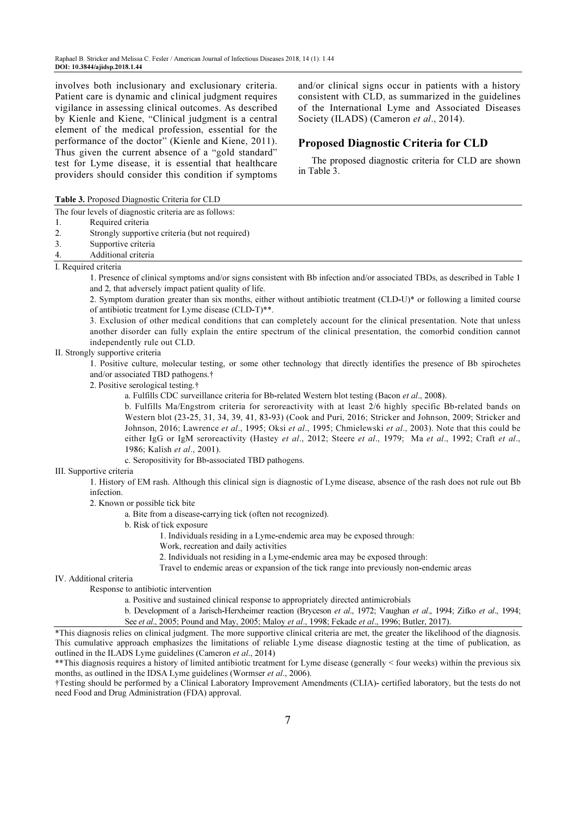involves both inclusionary and exclusionary criteria. Patient care is dynamic and clinical judgment requires vigilance in assessing clinical outcomes. As described by Kienle and Kiene, "Clinical judgment is a central element of the medical profession, essential for the performance of the doctor" (Kienle and Kiene, 2011). Thus given the current absence of a "gold standard" test for Lyme disease, it is essential that healthcare providers should consider this condition if symptoms and/or clinical signs occur in patients with a history consistent with CLD, as summarized in the guidelines of the International Lyme and Associated Diseases Society (ILADS) (Cameron et al., 2014).

# Proposed Diagnostic Criteria for CLD

The proposed diagnostic criteria for CLD are shown in Table 3.

Table 3. Proposed Diagnostic Criteria for CLD

The four levels of diagnostic criteria are as follows:

- 1. Required criteria
- 2. Strongly supportive criteria (but not required)
- 3. Supportive criteria
- 4. Additional criteria

#### I. Required criteria

1. Presence of clinical symptoms and/or signs consistent with Bb infection and/or associated TBDs, as described in Table 1 and 2, that adversely impact patient quality of life.

2. Symptom duration greater than six months, either without antibiotic treatment (CLD-U)\* or following a limited course of antibiotic treatment for Lyme disease (CLD-T)\*\*.

3. Exclusion of other medical conditions that can completely account for the clinical presentation. Note that unless another disorder can fully explain the entire spectrum of the clinical presentation, the comorbid condition cannot independently rule out CLD.

#### II. Strongly supportive criteria

1. Positive culture, molecular testing, or some other technology that directly identifies the presence of Bb spirochetes and/or associated TBD pathogens.†

2. Positive serological testing.†

a. Fulfills CDC surveillance criteria for Bb-related Western blot testing (Bacon et al., 2008).

b. Fulfills Ma/Engstrom criteria for seroreactivity with at least 2/6 highly specific Bb-related bands on Western blot (23-25, 31, 34, 39, 41, 83-93) (Cook and Puri, 2016; Stricker and Johnson, 2009; Stricker and Johnson, 2016; Lawrence et al., 1995; Oksi et al., 1995; Chmielewski et al., 2003). Note that this could be either IgG or IgM seroreactivity (Hastey et al., 2012; Steere et al., 1979; Ma et al., 1992; Craft et al., 1986; Kalish et al., 2001).

c. Seropositivity for Bb-associated TBD pathogens.

#### III. Supportive criteria

1. History of EM rash. Although this clinical sign is diagnostic of Lyme disease, absence of the rash does not rule out Bb infection.

- 2. Known or possible tick bite
	- a. Bite from a disease-carrying tick (often not recognized).
	- b. Risk of tick exposure

1. Individuals residing in a Lyme-endemic area may be exposed through:

- Work, recreation and daily activities
- 2. Individuals not residing in a Lyme-endemic area may be exposed through:
- Travel to endemic areas or expansion of the tick range into previously non-endemic areas

IV. Additional criteria

Response to antibiotic intervention

- a. Positive and sustained clinical response to appropriately directed antimicrobials
- b. Development of a Jarisch-Herxheimer reaction (Bryceson et al., 1972; Vaughan et al., 1994; Zifko et al., 1994; See et al., 2005; Pound and May, 2005; Maloy et al., 1998; Fekade et al., 1996; Butler, 2017).

†Testing should be performed by a Clinical Laboratory Improvement Amendments (CLIA)- certified laboratory, but the tests do not need Food and Drug Administration (FDA) approval.

<sup>\*</sup>This diagnosis relies on clinical judgment. The more supportive clinical criteria are met, the greater the likelihood of the diagnosis. This cumulative approach emphasizes the limitations of reliable Lyme disease diagnostic testing at the time of publication, as outlined in the ILADS Lyme guidelines (Cameron et al., 2014)

<sup>\*\*</sup>This diagnosis requires a history of limited antibiotic treatment for Lyme disease (generally < four weeks) within the previous six months, as outlined in the IDSA Lyme guidelines (Wormser et al., 2006).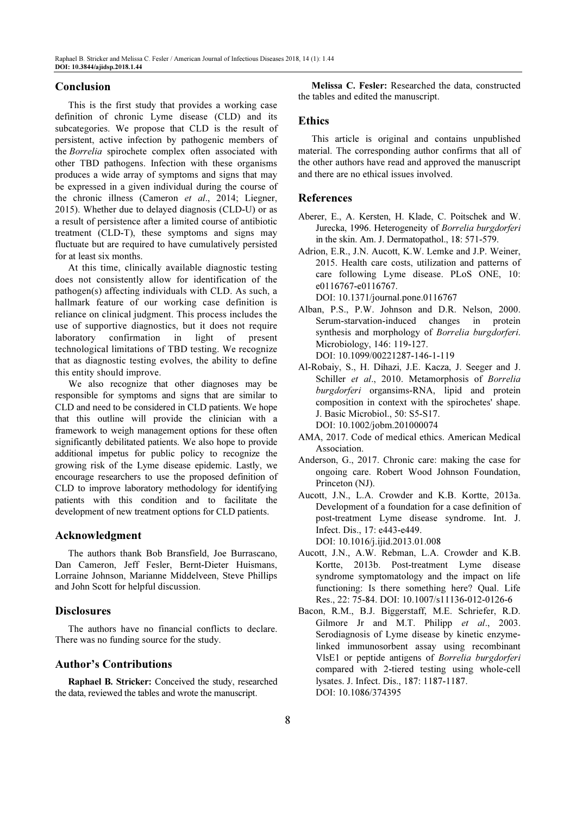#### Conclusion

This is the first study that provides a working case definition of chronic Lyme disease (CLD) and its subcategories. We propose that CLD is the result of persistent, active infection by pathogenic members of the Borrelia spirochete complex often associated with other TBD pathogens. Infection with these organisms produces a wide array of symptoms and signs that may be expressed in a given individual during the course of the chronic illness (Cameron et al., 2014; Liegner, 2015). Whether due to delayed diagnosis (CLD-U) or as a result of persistence after a limited course of antibiotic treatment (CLD-T), these symptoms and signs may fluctuate but are required to have cumulatively persisted for at least six months.

At this time, clinically available diagnostic testing does not consistently allow for identification of the pathogen(s) affecting individuals with CLD. As such, a hallmark feature of our working case definition is reliance on clinical judgment. This process includes the use of supportive diagnostics, but it does not require laboratory confirmation in light of present technological limitations of TBD testing. We recognize that as diagnostic testing evolves, the ability to define this entity should improve.

We also recognize that other diagnoses may be responsible for symptoms and signs that are similar to CLD and need to be considered in CLD patients. We hope that this outline will provide the clinician with a framework to weigh management options for these often significantly debilitated patients. We also hope to provide additional impetus for public policy to recognize the growing risk of the Lyme disease epidemic. Lastly, we encourage researchers to use the proposed definition of CLD to improve laboratory methodology for identifying patients with this condition and to facilitate the development of new treatment options for CLD patients.

#### Acknowledgment

The authors thank Bob Bransfield, Joe Burrascano, Dan Cameron, Jeff Fesler, Bernt-Dieter Huismans, Lorraine Johnson, Marianne Middelveen, Steve Phillips and John Scott for helpful discussion.

#### **Disclosures**

The authors have no financial conflicts to declare. There was no funding source for the study.

#### Author's Contributions

Raphael B. Stricker: Conceived the study, researched the data, reviewed the tables and wrote the manuscript.

Melissa C. Fesler: Researched the data, constructed the tables and edited the manuscript.

#### Ethics

This article is original and contains unpublished material. The corresponding author confirms that all of the other authors have read and approved the manuscript and there are no ethical issues involved.

#### References

- Aberer, E., A. Kersten, H. Klade, C. Poitschek and W. Jurecka, 1996. Heterogeneity of Borrelia burgdorferi in the skin. Am. J. Dermatopathol., 18: 571-579.
- Adrion, E.R., J.N. Aucott, K.W. Lemke and J.P. Weiner, 2015. Health care costs, utilization and patterns of care following Lyme disease. PLoS ONE, 10: e0116767-e0116767. DOI: 10.1371/journal.pone.0116767
- Alban, P.S., P.W. Johnson and D.R. Nelson, 2000. Serum-starvation-induced changes in protein synthesis and morphology of Borrelia burgdorferi. Microbiology, 146: 119-127. DOI: 10.1099/00221287-146-1-119
- Al-Robaiy, S., H. Dihazi, J.E. Kacza, J. Seeger and J. Schiller et al., 2010. Metamorphosis of Borrelia burgdorferi organsims-RNA, lipid and protein composition in context with the spirochetes' shape. J. Basic Microbiol., 50: S5-S17. DOI: 10.1002/jobm.201000074
- AMA, 2017. Code of medical ethics. American Medical Association.
- Anderson, G., 2017. Chronic care: making the case for ongoing care. Robert Wood Johnson Foundation, Princeton (NJ).
- Aucott, J.N., L.A. Crowder and K.B. Kortte, 2013a. Development of a foundation for a case definition of post-treatment Lyme disease syndrome. Int. J. Infect. Dis., 17: e443-e449. DOI: 10.1016/j.ijid.2013.01.008
- Aucott, J.N., A.W. Rebman, L.A. Crowder and K.B. Kortte, 2013b. Post-treatment Lyme disease syndrome symptomatology and the impact on life functioning: Is there something here? Qual. Life Res., 22: 75-84. DOI: 10.1007/s11136-012-0126-6
- Bacon, R.M., B.J. Biggerstaff, M.E. Schriefer, R.D. Gilmore Jr and M.T. Philipp et al., 2003. Serodiagnosis of Lyme disease by kinetic enzymelinked immunosorbent assay using recombinant VlsE1 or peptide antigens of Borrelia burgdorferi compared with 2-tiered testing using whole-cell lysates. J. Infect. Dis., 187: 1187-1187. DOI: 10.1086/374395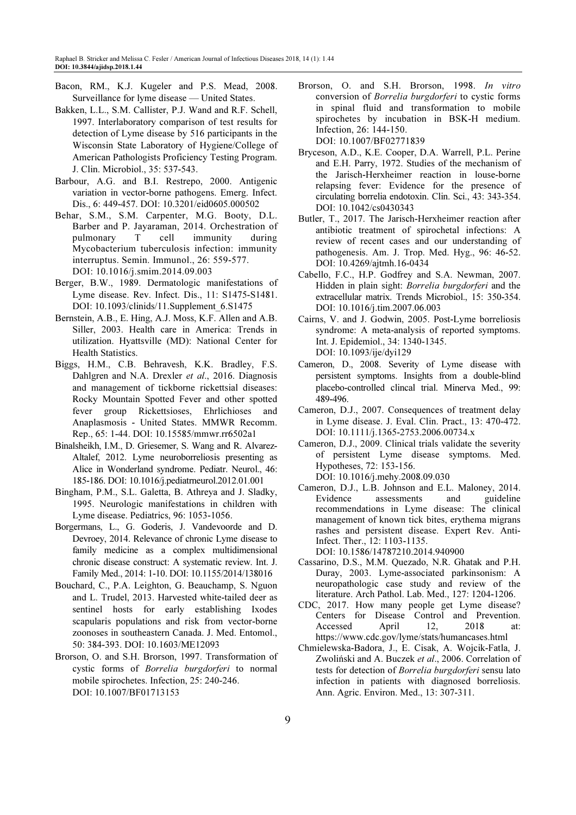- Bacon, RM., K.J. Kugeler and P.S. Mead, 2008. Surveillance for lyme disease — United States.
- Bakken, L.L., S.M. Callister, P.J. Wand and R.F. Schell, 1997. Interlaboratory comparison of test results for detection of Lyme disease by 516 participants in the Wisconsin State Laboratory of Hygiene/College of American Pathologists Proficiency Testing Program. J. Clin. Microbiol., 35: 537-543.
- Barbour, A.G. and B.I. Restrepo, 2000. Antigenic variation in vector-borne pathogens. Emerg. Infect. Dis., 6: 449-457. DOI: 10.3201/eid0605.000502
- Behar, S.M., S.M. Carpenter, M.G. Booty, D.L. Barber and P. Jayaraman, 2014. Orchestration of pulmonary T cell immunity during Mycobacterium tuberculosis infection: immunity interruptus. Semin. Immunol., 26: 559-577. DOI: 10.1016/j.smim.2014.09.003
- Berger, B.W., 1989. Dermatologic manifestations of Lyme disease. Rev. Infect. Dis., 11: S1475-S1481. DOI: 10.1093/clinids/11.Supplement\_6.S1475
- Bernstein, A.B., E. Hing, A.J. Moss, K.F. Allen and A.B. Siller, 2003. Health care in America: Trends in utilization. Hyattsville (MD): National Center for Health Statistics.
- Biggs, H.M., C.B. Behravesh, K.K. Bradley, F.S. Dahlgren and N.A. Drexler et al., 2016. Diagnosis and management of tickborne rickettsial diseases: Rocky Mountain Spotted Fever and other spotted fever group Rickettsioses, Ehrlichioses and Anaplasmosis - United States. MMWR Recomm. Rep., 65: 1-44. DOI: 10.15585/mmwr.rr6502a1
- Binalsheikh, I.M., D. Griesemer, S. Wang and R. Alvarez-Altalef, 2012. Lyme neuroborreliosis presenting as Alice in Wonderland syndrome. Pediatr. Neurol., 46: 185-186. DOI: 10.1016/j.pediatrneurol.2012.01.001
- Bingham, P.M., S.L. Galetta, B. Athreya and J. Sladky, 1995. Neurologic manifestations in children with Lyme disease. Pediatrics, 96: 1053-1056.
- Borgermans, L., G. Goderis, J. Vandevoorde and D. Devroey, 2014. Relevance of chronic Lyme disease to family medicine as a complex multidimensional chronic disease construct: A systematic review. Int. J. Family Med., 2014: 1-10. DOI: 10.1155/2014/138016
- Bouchard, C., P.A. Leighton, G. Beauchamp, S. Nguon and L. Trudel, 2013. Harvested white-tailed deer as sentinel hosts for early establishing Ixodes scapularis populations and risk from vector-borne zoonoses in southeastern Canada. J. Med. Entomol., 50: 384-393. DOI: 10.1603/ME12093
- Brorson, O. and S.H. Brorson, 1997. Transformation of cystic forms of Borrelia burgdorferi to normal mobile spirochetes. Infection, 25: 240-246. DOI: 10.1007/BF01713153
- Brorson, O. and S.H. Brorson, 1998. In vitro conversion of Borrelia burgdorferi to cystic forms in spinal fluid and transformation to mobile spirochetes by incubation in BSK-H medium. Infection, 26: 144-150. DOI: 10.1007/BF02771839
- Bryceson, A.D., K.E. Cooper, D.A. Warrell, P.L. Perine and E.H. Parry, 1972. Studies of the mechanism of the Jarisch-Herxheimer reaction in louse-borne relapsing fever: Evidence for the presence of circulating borrelia endotoxin. Clin. Sci., 43: 343-354. DOI: 10.1042/cs0430343
- Butler, T., 2017. The Jarisch-Herxheimer reaction after antibiotic treatment of spirochetal infections: A review of recent cases and our understanding of pathogenesis. Am. J. Trop. Med. Hyg., 96: 46-52. DOI: 10.4269/ajtmh.16-0434
- Cabello, F.C., H.P. Godfrey and S.A. Newman, 2007. Hidden in plain sight: Borrelia burgdorferi and the extracellular matrix. Trends Microbiol., 15: 350-354. DOI: 10.1016/j.tim.2007.06.003
- Cairns, V. and J. Godwin, 2005. Post-Lyme borreliosis syndrome: A meta-analysis of reported symptoms. Int. J. Epidemiol., 34: 1340-1345. DOI: 10.1093/ije/dyi129
- Cameron, D., 2008. Severity of Lyme disease with persistent symptoms. Insights from a double-blind placebo-controlled clincal trial. Minerva Med., 99: 489-496.
- Cameron, D.J., 2007. Consequences of treatment delay in Lyme disease. J. Eval. Clin. Pract., 13: 470-472. DOI: 10.1111/j.1365-2753.2006.00734.x
- Cameron, D.J., 2009. Clinical trials validate the severity of persistent Lyme disease symptoms. Med. Hypotheses, 72: 153-156. DOI: 10.1016/j.mehy.2008.09.030
- Cameron, D.J., L.B. Johnson and E.L. Maloney, 2014. Evidence assessments and guideline recommendations in Lyme disease: The clinical management of known tick bites, erythema migrans rashes and persistent disease. Expert Rev. Anti-Infect. Ther., 12: 1103-1135. DOI: 10.1586/14787210.2014.940900
- Cassarino, D.S., M.M. Quezado, N.R. Ghatak and P.H. Duray, 2003. Lyme-associated parkinsonism: A neuropathologic case study and review of the literature. Arch Pathol. Lab. Med., 127: 1204-1206.
- CDC, 2017. How many people get Lyme disease? Centers for Disease Control and Prevention. Accessed April 12, 2018 at: https://www.cdc.gov/lyme/stats/humancases.html
- Chmielewska-Badora, J., E. Cisak, A. Wojcik-Fatla, J. Zwoliński and A. Buczek et al., 2006. Correlation of tests for detection of Borrelia burgdorferi sensu lato infection in patients with diagnosed borreliosis. Ann. Agric. Environ. Med., 13: 307-311.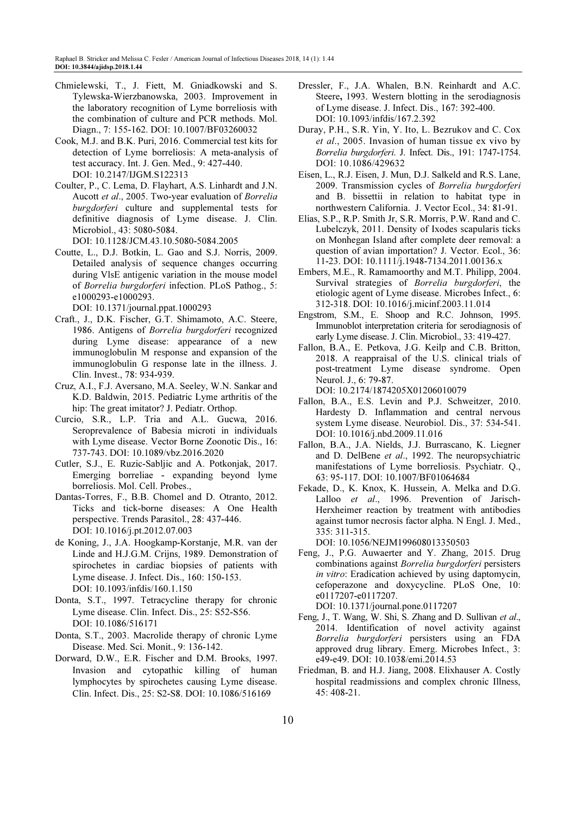- Chmielewski, T., J. Fiett, M. Gniadkowski and S. Tylewska-Wierzbanowska, 2003. Improvement in the laboratory recognition of Lyme borreliosis with the combination of culture and PCR methods. Mol. Diagn., 7: 155-162. DOI: 10.1007/BF03260032
- Cook, M.J. and B.K. Puri, 2016. Commercial test kits for detection of Lyme borreliosis: A meta-analysis of test accuracy. Int. J. Gen. Med., 9: 427-440. DOI: 10.2147/IJGM.S122313
- Coulter, P., C. Lema, D. Flayhart, A.S. Linhardt and J.N. Aucott et al., 2005. Two-year evaluation of Borrelia burgdorferi culture and supplemental tests for definitive diagnosis of Lyme disease. J. Clin. Microbiol., 43: 5080-5084.

DOI: 10.1128/JCM.43.10.5080-5084.2005

Coutte, L., D.J. Botkin, L. Gao and S.J. Norris, 2009. Detailed analysis of sequence changes occurring during VlsE antigenic variation in the mouse model of Borrelia burgdorferi infection. PLoS Pathog., 5: e1000293-e1000293.

DOI: 10.1371/journal.ppat.1000293

- Craft., J., D.K. Fischer, G.T. Shimamoto, A.C. Steere, 1986. Antigens of Borrelia burgdorferi recognized during Lyme disease: appearance of a new immunoglobulin M response and expansion of the immunoglobulin G response late in the illness. J. Clin. Invest., 78: 934-939.
- Cruz, A.I., F.J. Aversano, M.A. Seeley, W.N. Sankar and K.D. Baldwin, 2015. Pediatric Lyme arthritis of the hip: The great imitator? J. Pediatr. Orthop.
- Curcio, S.R., L.P. Tria and A.L. Gucwa, 2016. Seroprevalence of Babesia microti in individuals with Lyme disease. Vector Borne Zoonotic Dis., 16: 737-743. DOI: 10.1089/vbz.2016.2020
- Cutler, S.J., E. Ruzic-Sabljic and A. Potkonjak, 2017. Emerging borreliae - expanding beyond lyme borreliosis. Mol. Cell. Probes.,
- Dantas-Torres, F., B.B. Chomel and D. Otranto, 2012. Ticks and tick-borne diseases: A One Health perspective. Trends Parasitol., 28: 437-446. DOI: 10.1016/j.pt.2012.07.003
- de Koning, J., J.A. Hoogkamp-Korstanje, M.R. van der Linde and H.J.G.M. Crijns, 1989. Demonstration of spirochetes in cardiac biopsies of patients with Lyme disease. J. Infect. Dis., 160: 150-153. DOI: 10.1093/infdis/160.1.150
- Donta, S.T., 1997. Tetracycline therapy for chronic Lyme disease. Clin. Infect. Dis., 25: S52-S56. DOI: 10.1086/516171
- Donta, S.T., 2003. Macrolide therapy of chronic Lyme Disease. Med. Sci. Monit., 9: 136-142.
- Dorward, D.W., E.R. Fischer and D.M. Brooks, 1997. Invasion and cytopathic killing of human lymphocytes by spirochetes causing Lyme disease. Clin. Infect. Dis., 25: S2-S8. DOI: 10.1086/516169
- Dressler, F., J.A. Whalen, B.N. Reinhardt and A.C. Steere, 1993. Western blotting in the serodiagnosis of Lyme disease. J. Infect. Dis., 167: 392-400. DOI: 10.1093/infdis/167.2.392
- Duray, P.H., S.R. Yin, Y. Ito, L. Bezrukov and C. Cox et al., 2005. Invasion of human tissue ex vivo by Borrelia burgdorferi. J. Infect. Dis., 191: 1747-1754. DOI: 10.1086/429632
- Eisen, L., R.J. Eisen, J. Mun, D.J. Salkeld and R.S. Lane, 2009. Transmission cycles of Borrelia burgdorferi and B. bissettii in relation to habitat type in northwestern California. J. Vector Ecol., 34: 81-91.
- Elias, S.P., R.P. Smith Jr, S.R. Morris, P.W. Rand and C. Lubelczyk, 2011. Density of Ixodes scapularis ticks on Monhegan Island after complete deer removal: a question of avian importation? J. Vector. Ecol., 36: 11-23. DOI: 10.1111/j.1948-7134.2011.00136.x
- Embers, M.E., R. Ramamoorthy and M.T. Philipp, 2004. Survival strategies of Borrelia burgdorferi, the etiologic agent of Lyme disease. Microbes Infect., 6: 312-318. DOI: 10.1016/j.micinf.2003.11.014
- Engstrom, S.M., E. Shoop and R.C. Johnson, 1995. Immunoblot interpretation criteria for serodiagnosis of early Lyme disease. J. Clin. Microbiol., 33: 419-427.
- Fallon, B.A., E. Petkova, J.G. Keilp and C.B. Britton, 2018. A reappraisal of the U.S. clinical trials of post-treatment Lyme disease syndrome. Open Neurol. J., 6: 79-87.

DOI: 10.2174/1874205X01206010079

- Fallon, B.A., E.S. Levin and P.J. Schweitzer, 2010. Hardesty D. Inflammation and central nervous system Lyme disease. Neurobiol. Dis., 37: 534-541. DOI: 10.1016/j.nbd.2009.11.016
- Fallon, B.A., J.A. Nields, J.J. Burrascano, K. Liegner and D. DelBene et al., 1992. The neuropsychiatric manifestations of Lyme borreliosis. Psychiatr. Q., 63: 95-117. DOI: 10.1007/BF01064684
- Fekade, D., K. Knox, K. Hussein, A. Melka and D.G. Lalloo et al., 1996. Prevention of Jarisch-Herxheimer reaction by treatment with antibodies against tumor necrosis factor alpha. N Engl. J. Med., 335: 311-315.

DOI: 10.1056/NEJM199608013350503

Feng, J., P.G. Auwaerter and Y. Zhang, 2015. Drug combinations against Borrelia burgdorferi persisters in vitro: Eradication achieved by using daptomycin, cefoperazone and doxycycline. PLoS One, 10: e0117207-e0117207.

DOI: 10.1371/journal.pone.0117207

- Feng, J., T. Wang, W. Shi, S. Zhang and D. Sullivan et al., 2014. Identification of novel activity against Borrelia burgdorferi persisters using an FDA approved drug library. Emerg. Microbes Infect., 3: e49-e49. DOI: 10.1038/emi.2014.53
- Friedman, B. and H.J. Jiang, 2008. Elixhauser A. Costly hospital readmissions and complex chronic Illness, 45: 408-21.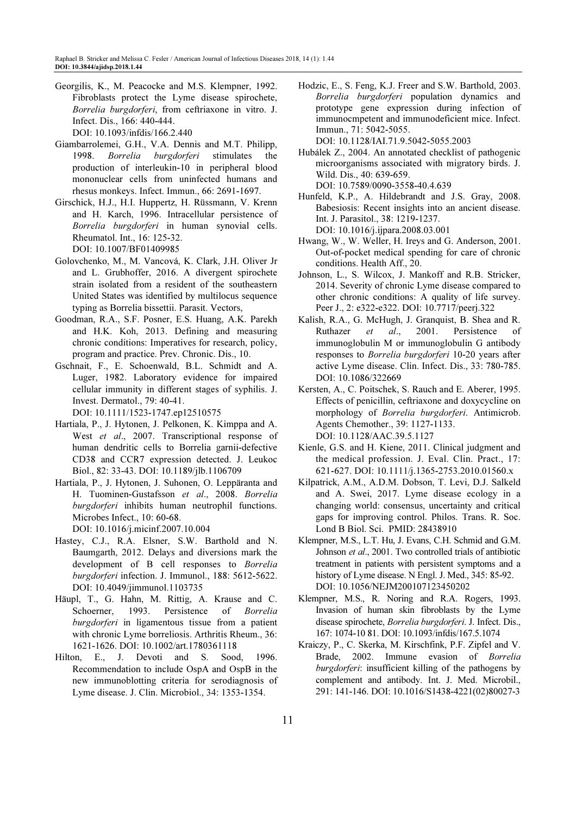- Georgilis, K., M. Peacocke and M.S. Klempner, 1992. Fibroblasts protect the Lyme disease spirochete, Borrelia burgdorferi, from ceftriaxone in vitro. J. Infect. Dis., 166: 440-444. DOI: 10.1093/infdis/166.2.440
- Giambarrolemei, G.H., V.A. Dennis and M.T. Philipp, 1998. Borrelia burgdorferi stimulates the production of interleukin-10 in peripheral blood mononuclear cells from uninfected humans and rhesus monkeys. Infect. Immun., 66: 2691-1697.
- Girschick, H.J., H.I. Huppertz, H. Rüssmann, V. Krenn and H. Karch, 1996. Intracellular persistence of Borrelia burgdorferi in human synovial cells. Rheumatol. Int., 16: 125-32. DOI: 10.1007/BF01409985
- Golovchenko, M., M. Vancová, K. Clark, J.H. Oliver Jr and L. Grubhoffer, 2016. A divergent spirochete strain isolated from a resident of the southeastern United States was identified by multilocus sequence typing as Borrelia bissettii. Parasit. Vectors,
- Goodman, R.A., S.F. Posner, E.S. Huang, A.K. Parekh and H.K. Koh, 2013. Defining and measuring chronic conditions: Imperatives for research, policy, program and practice. Prev. Chronic. Dis., 10.
- Gschnait, F., E. Schoenwald, B.L. Schmidt and A. Luger, 1982. Laboratory evidence for impaired cellular immunity in different stages of syphilis. J. Invest. Dermatol., 79: 40-41.

DOI: 10.1111/1523-1747.ep12510575

- Hartiala, P., J. Hytonen, J. Pelkonen, K. Kimppa and A. West et al., 2007. Transcriptional response of human dendritic cells to Borrelia garnii-defective CD38 and CCR7 expression detected. J. Leukoc Biol., 82: 33-43. DOI: 10.1189/jlb.1106709
- Hartiala, P., J. Hytonen, J. Suhonen, O. Leppäranta and H. Tuominen-Gustafsson et al., 2008. Borrelia burgdorferi inhibits human neutrophil functions. Microbes Infect., 10: 60-68.

DOI: 10.1016/j.micinf.2007.10.004

- Hastey, C.J., R.A. Elsner, S.W. Barthold and N. Baumgarth, 2012. Delays and diversions mark the development of B cell responses to Borrelia burgdorferi infection. J. Immunol., 188: 5612-5622. DOI: 10.4049/jimmunol.1103735
- Häupl, T., G. Hahn, M. Rittig, A. Krause and C. Schoerner, 1993. Persistence of Borrelia burgdorferi in ligamentous tissue from a patient with chronic Lyme borreliosis. Arthritis Rheum., 36: 1621-1626. DOI: 10.1002/art.1780361118
- Hilton, E., J. Devoti and S. Sood, 1996. Recommendation to include OspA and OspB in the new immunoblotting criteria for serodiagnosis of Lyme disease. J. Clin. Microbiol., 34: 1353-1354.

Hodzic, E., S. Feng, K.J. Freer and S.W. Barthold, 2003. Borrelia burgdorferi population dynamics and prototype gene expression during infection of immunocmpetent and immunodeficient mice. Infect. Immun., 71: 5042-5055.

DOI: 10.1128/IAI.71.9.5042-5055.2003

- Hubálek Z., 2004. An annotated checklist of pathogenic microorganisms associated with migratory birds. J. Wild. Dis., 40: 639-659. DOI: 10.7589/0090-3558-40.4.639
- Hunfeld, K.P., A. Hildebrandt and J.S. Gray, 2008. Babesiosis: Recent insights into an ancient disease. Int. J. Parasitol., 38: 1219-1237. DOI: 10.1016/j.ijpara.2008.03.001
- Hwang, W., W. Weller, H. Ireys and G. Anderson, 2001. Out-of-pocket medical spending for care of chronic conditions. Health Aff., 20.
- Johnson, L., S. Wilcox, J. Mankoff and R.B. Stricker, 2014. Severity of chronic Lyme disease compared to other chronic conditions: A quality of life survey. Peer J., 2: e322-e322. DOI: 10.7717/peerj.322
- Kalish, R.A., G. McHugh, J. Granquist, B. Shea and R. Ruthazer et al., 2001. Persistence of immunoglobulin M or immunoglobulin G antibody responses to Borrelia burgdorferi 10-20 years after active Lyme disease. Clin. Infect. Dis., 33: 780-785. DOI: 10.1086/322669
- Kersten, A., C. Poitschek, S. Rauch and E. Aberer, 1995. Effects of penicillin, ceftriaxone and doxycycline on morphology of Borrelia burgdorferi. Antimicrob. Agents Chemother., 39: 1127-1133. DOI: 10.1128/AAC.39.5.1127
- Kienle, G.S. and H. Kiene, 2011. Clinical judgment and the medical profession. J. Eval. Clin. Pract., 17: 621-627. DOI: 10.1111/j.1365-2753.2010.01560.x
- Kilpatrick, A.M., A.D.M. Dobson, T. Levi, D.J. Salkeld and A. Swei, 2017. Lyme disease ecology in a changing world: consensus, uncertainty and critical gaps for improving control. Philos. Trans. R. Soc. Lond B Biol. Sci. PMID: 28438910
- Klempner, M.S., L.T. Hu, J. Evans, C.H. Schmid and G.M. Johnson et al., 2001. Two controlled trials of antibiotic treatment in patients with persistent symptoms and a history of Lyme disease. N Engl. J. Med., 345: 85-92. DOI: 10.1056/NEJM200107123450202
- Klempner, M.S., R. Noring and R.A. Rogers, 1993. Invasion of human skin fibroblasts by the Lyme disease spirochete, Borrelia burgdorferi. J. Infect. Dis., 167: 1074-10 81. DOI: 10.1093/infdis/167.5.1074
- Kraiczy, P., C. Skerka, M. Kirschfink, P.F. Zipfel and V. Brade, 2002. Immune evasion of Borrelia burgdorferi: insufficient killing of the pathogens by complement and antibody. Int. J. Med. Microbil., 291: 141-146. DOI: 10.1016/S1438-4221(02)80027-3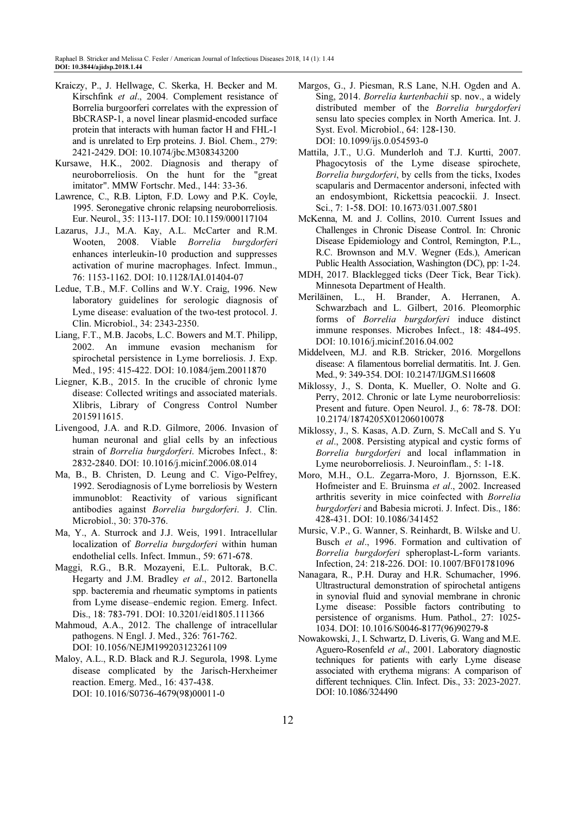- Kraiczy, P., J. Hellwage, C. Skerka, H. Becker and M. Kirschfink et al., 2004. Complement resistance of Borrelia burgoorferi correlates with the expression of BbCRASP-1, a novel linear plasmid-encoded surface protein that interacts with human factor H and FHL-1 and is unrelated to Erp proteins. J. Biol. Chem., 279: 2421-2429. DOI: 10.1074/jbc.M308343200
- Kursawe, H.K., 2002. Diagnosis and therapy of neuroborreliosis. On the hunt for the "great imitator". MMW Fortschr. Med., 144: 33-36.
- Lawrence, C., R.B. Lipton, F.D. Lowy and P.K. Coyle, 1995. Seronegative chronic relapsing neuroborreliosis. Eur. Neurol., 35: 113-117. DOI: 10.1159/000117104
- Lazarus, J.J., M.A. Kav, A.L. McCarter and R.M. Wooten, 2008. Viable Borrelia burgdorferi enhances interleukin-10 production and suppresses activation of murine macrophages. Infect. Immun., 76: 1153-1162. DOI: 10.1128/IAI.01404-07
- Ledue, T.B., M.F. Collins and W.Y. Craig, 1996. New laboratory guidelines for serologic diagnosis of Lyme disease: evaluation of the two-test protocol. J. Clin. Microbiol., 34: 2343-2350.
- Liang, F.T., M.B. Jacobs, L.C. Bowers and M.T. Philipp, 2002. An immune evasion mechanism for spirochetal persistence in Lyme borreliosis. J. Exp. Med., 195: 415-422. DOI: 10.1084/jem.20011870
- Liegner, K.B., 2015. In the crucible of chronic lyme disease: Collected writings and associated materials. Xlibris, Library of Congress Control Number 2015911615.
- Livengood, J.A. and R.D. Gilmore, 2006. Invasion of human neuronal and glial cells by an infectious strain of Borrelia burgdorferi. Microbes Infect., 8: 2832-2840. DOI: 10.1016/j.micinf.2006.08.014
- Ma, B., B. Christen, D. Leung and C. Vigo-Pelfrey, 1992. Serodiagnosis of Lyme borreliosis by Western immunoblot: Reactivity of various significant antibodies against Borrelia burgdorferi. J. Clin. Microbiol., 30: 370-376.
- Ma, Y., A. Sturrock and J.J. Weis, 1991. Intracellular localization of Borrelia burgdorferi within human endothelial cells. Infect. Immun., 59: 671-678.
- Maggi, R.G., B.R. Mozayeni, E.L. Pultorak, B.C. Hegarty and J.M. Bradley et al., 2012. Bartonella spp. bacteremia and rheumatic symptoms in patients from Lyme disease–endemic region. Emerg. Infect. Dis., 18: 783-791. DOI: 10.3201/eid1805.111366
- Mahmoud, A.A., 2012. The challenge of intracellular pathogens. N Engl. J. Med., 326: 761-762. DOI: 10.1056/NEJM199203123261109
- Maloy, A.L., R.D. Black and R.J. Segurola, 1998. Lyme disease complicated by the Jarisch-Herxheimer reaction. Emerg. Med., 16: 437-438. DOI: 10.1016/S0736-4679(98)00011-0
- Margos, G., J. Piesman, R.S Lane, N.H. Ogden and A. Sing, 2014. Borrelia kurtenbachii sp. nov., a widely distributed member of the Borrelia burgdorferi sensu lato species complex in North America. Int. J. Syst. Evol. Microbiol., 64: 128-130. DOI: 10.1099/ijs.0.054593-0
- Mattila, J.T., U.G. Munderloh and T.J. Kurtti, 2007. Phagocytosis of the Lyme disease spirochete, Borrelia burgdorferi, by cells from the ticks, Ixodes scapularis and Dermacentor andersoni, infected with an endosymbiont, Rickettsia peacockii. J. Insect. Sci., 7: 1-58. DOI: 10.1673/031.007.5801
- McKenna, M. and J. Collins, 2010. Current Issues and Challenges in Chronic Disease Control. In: Chronic Disease Epidemiology and Control, Remington, P.L., R.C. Brownson and M.V. Wegner (Eds.), American Public Health Association, Washington (DC), pp: 1-24.
- MDH, 2017. Blacklegged ticks (Deer Tick, Bear Tick). Minnesota Department of Health.
- Meriläinen, L., H. Brander, A. Herranen, A. Schwarzbach and L. Gilbert, 2016. Pleomorphic forms of Borrelia burgdorferi induce distinct immune responses. Microbes Infect., 18: 484-495. DOI: 10.1016/j.micinf.2016.04.002
- Middelveen, M.J. and R.B. Stricker, 2016. Morgellons disease: A filamentous borrelial dermatitis. Int. J. Gen. Med., 9: 349-354. DOI: 10.2147/IJGM.S116608
- Miklossy, J., S. Donta, K. Mueller, O. Nolte and G. Perry, 2012. Chronic or late Lyme neuroborreliosis: Present and future. Open Neurol. J., 6: 78-78. DOI: 10.2174/1874205X01206010078
- Miklossy, J., S. Kasas, A.D. Zurn, S. McCall and S. Yu et al., 2008. Persisting atypical and cystic forms of Borrelia burgdorferi and local inflammation in Lyme neuroborreliosis. J. Neuroinflam., 5: 1-18.
- Moro, M.H., O.L. Zegarra-Moro, J. Bjornsson, E.K. Hofmeister and E. Bruinsma et al., 2002. Increased arthritis severity in mice coinfected with Borrelia burgdorferi and Babesia microti. J. Infect. Dis., 186: 428-431. DOI: 10.1086/341452
- Mursic, V.P., G. Wanner, S. Reinhardt, B. Wilske and U. Busch et al., 1996. Formation and cultivation of Borrelia burgdorferi spheroplast-L-form variants. Infection, 24: 218-226. DOI: 10.1007/BF01781096
- Nanagara, R., P.H. Duray and H.R. Schumacher, 1996. Ultrastructural demonstration of spirochetal antigens in synovial fluid and synovial membrane in chronic Lyme disease: Possible factors contributing to persistence of organisms. Hum. Pathol., 27: 1025- 1034. DOI: 10.1016/S0046-8177(96)90279-8
- Nowakowski, J., I. Schwartz, D. Liveris, G. Wang and M.E. Aguero-Rosenfeld et al., 2001. Laboratory diagnostic techniques for patients with early Lyme disease associated with erythema migrans: A comparison of different techniques. Clin. Infect. Dis., 33: 2023-2027. DOI: 10.1086/324490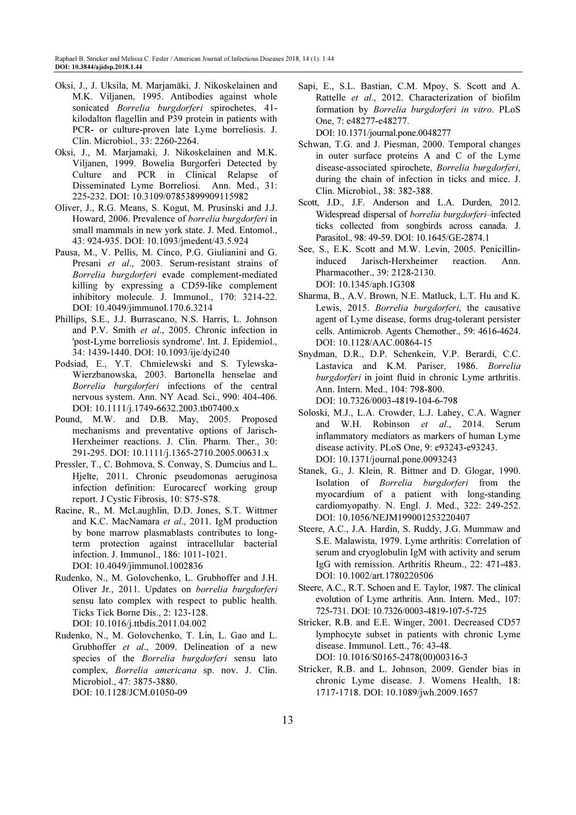- Oksi, J., J. Uksila, M. Marjamäki, J. Nikoskelainen and M.K. Viljanen, 1995. Antibodies against whole sonicated Borrelia burgdorferi spirochetes, 41 kilodalton flagellin and P39 protein in patients with PCR- or culture-proven late Lyme borreliosis. J. Clin. Microbiol., 33: 2260-2264.
- Oksi, J., M. Marjamaki, J. Nikoskelainen and M.K. Viljanen, 1999. Bowelia Burgorferi Detected by Culture and PCR in Clinical Relapse of Disseminated Lyme Borreliosi. Ann. Med., 31: 225-232. DOI: 10.3109/07853899909115982
- Oliver, J., R.G. Means, S. Kogut, M. Prusinski and J.J. Howard, 2006. Prevalence of borrelia burgdorferi in small mammals in new york state. J. Med. Entomol., 43: 924-935. DOI: 10.1093/jmedent/43.5.924
- Pausa, M., V. Pellis, M. Cinco, P.G. Giulianini and G. Presani et al., 2003. Serum-resistant strains of Borrelia burgdorferi evade complement-mediated killing by expressing a CD59-like complement inhibitory molecule. J. Immunol., 170: 3214-22. DOI: 10.4049/jimmunol.170.6.3214
- Phillips, S.E., J.J. Burrascano, N.S. Harris, L. Johnson and P.V. Smith et al., 2005. Chronic infection in 'post-Lyme borreliosis syndrome'. Int. J. Epidemiol., 34: 1439-1440. DOI: 10.1093/ije/dyi240
- Podsiad, E., Y.T. Chmielewski and S. Tylewska-Wierzbanowska, 2003. Bartonella henselae and Borrelia burgdorferi infections of the central nervous system. Ann. NY Acad. Sci., 990: 404-406. DOI: 10.1111/j.1749-6632.2003.tb07400.x
- Pound, M.W. and D.B. May, 2005. Proposed mechanisms and preventative options of Jarisch-Herxheimer reactions. J. Clin. Pharm. Ther., 30: 291-295. DOI: 10.1111/j.1365-2710.2005.00631.x
- Pressler, T., C. Bohmova, S. Conway, S. Dumcius and L. Hjelte, 2011. Chronic pseudomonas aeruginosa infection definition: Eurocarecf working group report. J Cystic Fibrosis, 10: S75-S78.
- Racine, R., M. McLaughlin, D.D. Jones, S.T. Wittmer and K.C. MacNamara et al., 2011. IgM production by bone marrow plasmablasts contributes to longterm protection against intracellular bacterial infection. J. Immunol., 186: 1011-1021. DOI: 10.4049/jimmunol.1002836
- Rudenko, N., M. Golovchenko, L. Grubhoffer and J.H. Oliver Jr., 2011. Updates on borrelia burgdorferi sensu lato complex with respect to public health. Ticks Tick Borne Dis., 2: 123-128. DOI: 10.1016/j.ttbdis.2011.04.002
- Rudenko, N., M. Golovchenko, T. Lin, L. Gao and L. Grubhoffer et al., 2009. Delineation of a new species of the Borrelia burgdorferi sensu lato complex, Borrelia americana sp. nov. J. Clin. Microbiol., 47: 3875-3880. DOI: 10.1128/JCM.01050-09

Sapi, E., S.L. Bastian, C.M. Mpoy, S. Scott and A. Rattelle et al., 2012. Characterization of biofilm formation by Borrelia burgdorferi in vitro. PLoS One, 7: e48277-e48277.

DOI: 10.1371/journal.pone.0048277

- Schwan, T.G. and J. Piesman, 2000. Temporal changes in outer surface proteins A and C of the Lyme disease-associated spirochete, Borrelia burgdorferi, during the chain of infection in ticks and mice. J. Clin. Microbiol., 38: 382-388.
- Scott, J.D., J.F. Anderson and L.A. Durden, 2012. Widespread dispersal of borrelia burgdorferi–infected ticks collected from songbirds across canada. J. Parasitol., 98: 49-59. DOI: 10.1645/GE-2874.1
- See, S., E.K. Scott and M.W. Levin, 2005. Penicillininduced Jarisch-Herxheimer reaction. Ann. Pharmacother., 39: 2128-2130. DOI: 10.1345/aph.1G308
- Sharma, B., A.V. Brown, N.E. Matluck, L.T. Hu and K. Lewis, 2015. Borrelia burgdorferi, the causative agent of Lyme disease, forms drug-tolerant persister cells. Antimicrob. Agents Chemother., 59: 4616-4624. DOI: 10.1128/AAC.00864-15
- Snydman, D.R., D.P. Schenkein, V.P. Berardi, C.C. Lastavica and K.M. Pariser, 1986. Borrelia burgdorferi in joint fluid in chronic Lyme arthritis. Ann. Intern. Med., 104: 798-800. DOI: 10.7326/0003-4819-104-6-798
- Soloski, M.J., L.A. Crowder, L.J. Lahey, C.A. Wagner and W.H. Robinson et al., 2014. Serum inflammatory mediators as markers of human Lyme disease activity. PLoS One, 9: e93243-e93243. DOI: 10.1371/journal.pone.0093243
- Stanek, G., J. Klein, R. Bittner and D. Glogar, 1990. Isolation of Borrelia burgdorferi from the myocardium of a patient with long-standing cardiomyopathy. N. Engl. J. Med., 322: 249-252. DOI: 10.1056/NEJM199001253220407
- Steere, A.C., J.A. Hardin, S. Ruddy, J.G. Mummaw and S.E. Malawista, 1979. Lyme arthritis: Correlation of serum and cryoglobulin IgM with activity and serum IgG with remission. Arthritis Rheum., 22: 471-483. DOI: 10.1002/art.1780220506
- Steere, A.C., R.T. Schoen and E. Taylor, 1987. The clinical evolution of Lyme arthritis. Ann. Intern. Med., 107: 725-731. DOI: 10.7326/0003-4819-107-5-725
- Stricker, R.B. and E.E. Winger, 2001. Decreased CD57 lymphocyte subset in patients with chronic Lyme disease. Immunol. Lett., 76: 43-48. DOI: 10.1016/S0165-2478(00)00316-3
- Stricker, R.B. and L. Johnson, 2009. Gender bias in chronic Lyme disease. J. Womens Health, 18: 1717-1718. DOI: 10.1089/jwh.2009.1657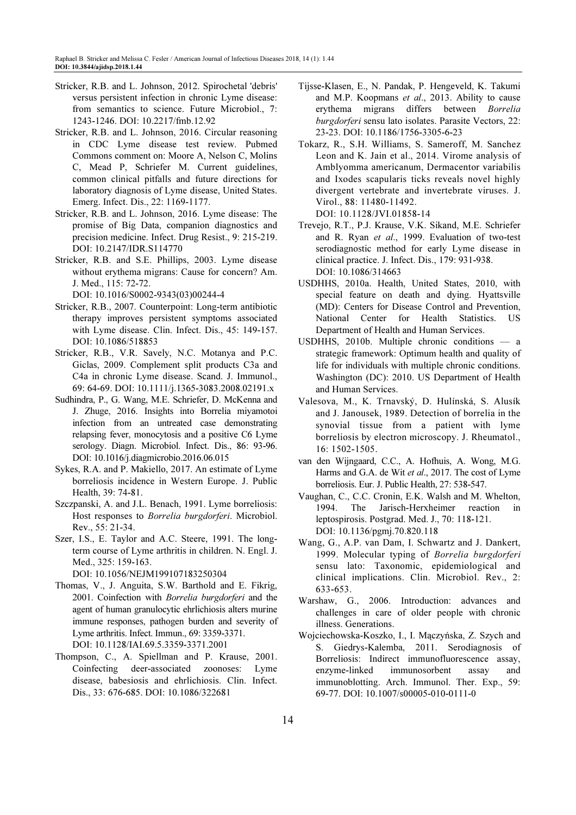- Stricker, R.B. and L. Johnson, 2012. Spirochetal 'debris' versus persistent infection in chronic Lyme disease: from semantics to science. Future Microbiol., 7: 1243-1246. DOI: 10.2217/fmb.12.92
- Stricker, R.B. and L. Johnson, 2016. Circular reasoning in CDC Lyme disease test review. Pubmed Commons comment on: Moore A, Nelson C, Molins C, Mead P, Schriefer M. Current guidelines, common clinical pitfalls and future directions for laboratory diagnosis of Lyme disease, United States. Emerg. Infect. Dis., 22: 1169-1177.
- Stricker, R.B. and L. Johnson, 2016. Lyme disease: The promise of Big Data, companion diagnostics and precision medicine. Infect. Drug Resist., 9: 215-219. DOI: 10.2147/IDR.S114770
- Stricker, R.B. and S.E. Phillips, 2003. Lyme disease without erythema migrans: Cause for concern? Am. J. Med., 115: 72-72.

DOI: 10.1016/S0002-9343(03)00244-4

- Stricker, R.B., 2007. Counterpoint: Long-term antibiotic therapy improves persistent symptoms associated with Lyme disease. Clin. Infect. Dis., 45: 149-157. DOI: 10.1086/518853
- Stricker, R.B., V.R. Savely, N.C. Motanya and P.C. Giclas, 2009. Complement split products C3a and C4a in chronic Lyme disease. Scand. J. Immunol., 69: 64-69. DOI: 10.1111/j.1365-3083.2008.02191.x
- Sudhindra, P., G. Wang, M.E. Schriefer, D. McKenna and J. Zhuge, 2016. Insights into Borrelia miyamotoi infection from an untreated case demonstrating relapsing fever, monocytosis and a positive C6 Lyme serology. Diagn. Microbiol. Infect. Dis., 86: 93-96. DOI: 10.1016/j.diagmicrobio.2016.06.015
- Sykes, R.A. and P. Makiello, 2017. An estimate of Lyme borreliosis incidence in Western Europe. J. Public Health, 39: 74-81.
- Szczpanski, A. and J.L. Benach, 1991. Lyme borreliosis: Host responses to Borrelia burgdorferi. Microbiol. Rev., 55: 21-34.
- Szer, I.S., E. Taylor and A.C. Steere, 1991. The longterm course of Lyme arthritis in children. N. Engl. J. Med., 325: 159-163. DOI: 10.1056/NEJM199107183250304
- Thomas, V., J. Anguita, S.W. Barthold and E. Fikrig, 2001. Coinfection with Borrelia burgdorferi and the agent of human granulocytic ehrlichiosis alters murine immune responses, pathogen burden and severity of Lyme arthritis. Infect. Immun., 69: 3359-3371. DOI: 10.1128/IAI.69.5.3359-3371.2001
- Thompson, C., A. Spiellman and P. Krause, 2001. Coinfecting deer-associated zoonoses: Lyme disease, babesiosis and ehrlichiosis. Clin. Infect. Dis., 33: 676-685. DOI: 10.1086/322681
- Tijsse-Klasen, E., N. Pandak, P. Hengeveld, K. Takumi and M.P. Koopmans et al., 2013. Ability to cause erythema migrans differs between Borrelia burgdorferi sensu lato isolates. Parasite Vectors, 22: 23-23. DOI: 10.1186/1756-3305-6-23
- Tokarz, R., S.H. Williams, S. Sameroff, M. Sanchez Leon and K. Jain et al., 2014. Virome analysis of Amblyomma americanum, Dermacentor variabilis and Ixodes scapularis ticks reveals novel highly divergent vertebrate and invertebrate viruses. J. Virol., 88: 11480-11492.

DOI: 10.1128/JVI.01858-14

- Trevejo, R.T., P.J. Krause, V.K. Sikand, M.E. Schriefer and R. Ryan et al., 1999. Evaluation of two-test serodiagnostic method for early Lyme disease in clinical practice. J. Infect. Dis., 179: 931-938. DOI: 10.1086/314663
- USDHHS, 2010a. Health, United States, 2010, with special feature on death and dying. Hyattsville (MD): Centers for Disease Control and Prevention, National Center for Health Statistics. US Department of Health and Human Services.
- USDHHS, 2010b. Multiple chronic conditions a strategic framework: Optimum health and quality of life for individuals with multiple chronic conditions. Washington (DC): 2010. US Department of Health and Human Services.
- Valesova, M., K. Trnavský, D. Hulínská, S. Alusík and J. Janousek, 1989. Detection of borrelia in the synovial tissue from a patient with lyme borreliosis by electron microscopy. J. Rheumatol., 16: 1502-1505.
- van den Wijngaard, C.C., A. Hofhuis, A. Wong, M.G. Harms and G.A. de Wit et al., 2017. The cost of Lyme borreliosis. Eur. J. Public Health, 27: 538-547.
- Vaughan, C., C.C. Cronin, E.K. Walsh and M. Whelton, 1994. The Jarisch-Herxheimer reaction in leptospirosis. Postgrad. Med. J., 70: 118-121. DOI: 10.1136/pgmj.70.820.118
- Wang, G., A.P. van Dam, I. Schwartz and J. Dankert, 1999. Molecular typing of Borrelia burgdorferi sensu lato: Taxonomic, epidemiological and clinical implications. Clin. Microbiol. Rev., 2: 633-653.
- Warshaw, G., 2006. Introduction: advances and challenges in care of older people with chronic illness. Generations.
- Wojciechowska-Koszko, I., I. Mączyńska, Z. Szych and S. Giedrys-Kalemba, 2011. Serodiagnosis of Borreliosis: Indirect immunofluorescence assay, enzyme-linked immunosorbent assay and immunoblotting. Arch. Immunol. Ther. Exp., 59: 69-77. DOI: 10.1007/s00005-010-0111-0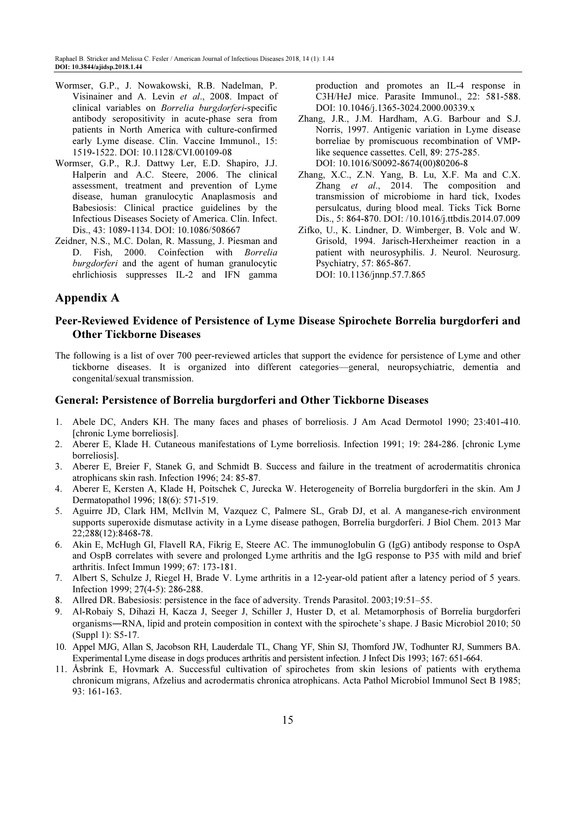- Wormser, G.P., J. Nowakowski, R.B. Nadelman, P. Visinainer and A. Levin et al., 2008. Impact of clinical variables on Borrelia burgdorferi-specific antibody seropositivity in acute-phase sera from patients in North America with culture-confirmed early Lyme disease. Clin. Vaccine Immunol., 15: 1519-1522. DOI: 10.1128/CVI.00109-08
- Wormser, G.P., R.J. Dattwy Ler, E.D. Shapiro, J.J. Halperin and A.C. Steere, 2006. The clinical assessment, treatment and prevention of Lyme disease, human granulocytic Anaplasmosis and Babesiosis: Clinical practice guidelines by the Infectious Diseases Society of America. Clin. Infect. Dis., 43: 1089-1134. DOI: 10.1086/508667
- Zeidner, N.S., M.C. Dolan, R. Massung, J. Piesman and D. Fish, 2000. Coinfection with Borrelia burgdorferi and the agent of human granulocytic ehrlichiosis suppresses IL-2 and IFN gamma

production and promotes an IL-4 response in C3H/HeJ mice. Parasite Immunol., 22: 581-588. DOI: 10.1046/j.1365-3024.2000.00339.x

- Zhang, J.R., J.M. Hardham, A.G. Barbour and S.J. Norris, 1997. Antigenic variation in Lyme disease borreliae by promiscuous recombination of VMPlike sequence cassettes. Cell, 89: 275-285. DOI: 10.1016/S0092-8674(00)80206-8
- Zhang, X.C., Z.N. Yang, B. Lu, X.F. Ma and C.X. Zhang et al., 2014. The composition and transmission of microbiome in hard tick, Ixodes persulcatus, during blood meal. Ticks Tick Borne Dis., 5: 864-870. DOI: /10.1016/j.ttbdis.2014.07.009
- Zifko, U., K. Lindner, D. Wimberger, B. Volc and W. Grisold, 1994. Jarisch-Herxheimer reaction in a patient with neurosyphilis. J. Neurol. Neurosurg. Psychiatry, 57: 865-867. DOI: 10.1136/jnnp.57.7.865

# Appendix A

# Peer-Reviewed Evidence of Persistence of Lyme Disease Spirochete Borrelia burgdorferi and Other Tickborne Diseases

The following is a list of over 700 peer-reviewed articles that support the evidence for persistence of Lyme and other tickborne diseases. It is organized into different categories—general, neuropsychiatric, dementia and congenital/sexual transmission.

# General: Persistence of Borrelia burgdorferi and Other Tickborne Diseases

- 1. Abele DC, Anders KH. The many faces and phases of borreliosis. J Am Acad Dermotol 1990; 23:401-410. [chronic Lyme borreliosis].
- 2. Aberer E, Klade H. Cutaneous manifestations of Lyme borreliosis. Infection 1991; 19: 284-286. [chronic Lyme borreliosis].
- 3. Aberer E, Breier F, Stanek G, and Schmidt B. Success and failure in the treatment of acrodermatitis chronica atrophicans skin rash. Infection 1996; 24: 85-87.
- 4. Aberer E, Kersten A, Klade H, Poitschek C, Jurecka W. Heterogeneity of Borrelia burgdorferi in the skin. Am J Dermatopathol 1996; 18(6): 571-519.
- 5. Aguirre JD, Clark HM, McIlvin M, Vazquez C, Palmere SL, Grab DJ, et al. A manganese-rich environment supports superoxide dismutase activity in a Lyme disease pathogen, Borrelia burgdorferi. J Biol Chem. 2013 Mar 22;288(12):8468-78.
- 6. Akin E, McHugh Gl, Flavell RA, Fikrig E, Steere AC. The immunoglobulin G (IgG) antibody response to OspA and OspB correlates with severe and prolonged Lyme arthritis and the IgG response to P35 with mild and brief arthritis. Infect Immun 1999; 67: 173-181.
- 7. Albert S, Schulze J, Riegel H, Brade V. Lyme arthritis in a 12-year-old patient after a latency period of 5 years. Infection 1999; 27(4-5): 286-288.
- 8. Allred DR. Babesiosis: persistence in the face of adversity. Trends Parasitol. 2003;19:51–55.
- 9. Al-Robaiy S, Dihazi H, Kacza J, Seeger J, Schiller J, Huster D, et al. Metamorphosis of Borrelia burgdorferi organisms―RNA, lipid and protein composition in context with the spirochete's shape. J Basic Microbiol 2010; 50 (Suppl 1): S5-17.
- 10. Appel MJG, Allan S, Jacobson RH, Lauderdale TL, Chang YF, Shin SJ, Thomford JW, Todhunter RJ, Summers BA. Experimental Lyme disease in dogs produces arthritis and persistent infection. J Infect Dis 1993; 167: 651-664.
- 11. Åsbrink E, Hovmark A. Successful cultivation of spirochetes from skin lesions of patients with erythema chronicum migrans, Afzelius and acrodermatis chronica atrophicans. Acta Pathol Microbiol Immunol Sect B 1985; 93: 161-163.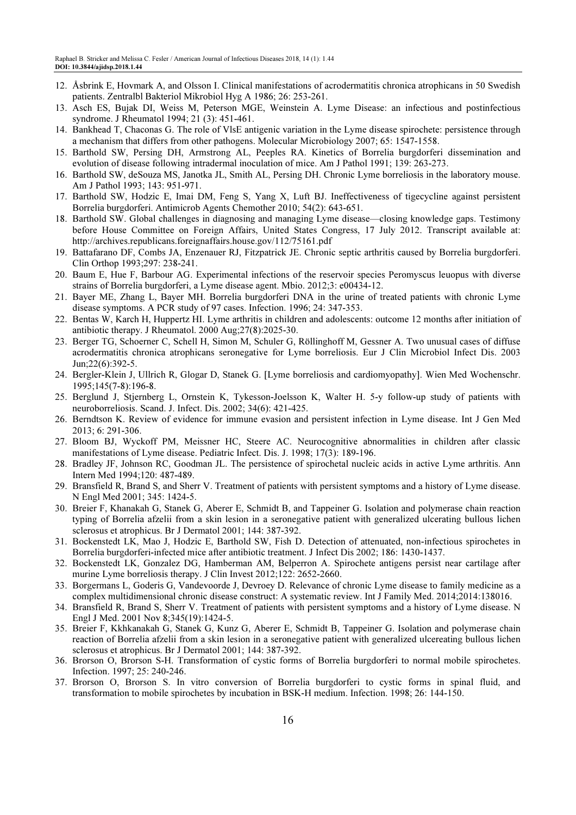- 12. Åsbrink E, Hovmark A, and Olsson I. Clinical manifestations of acrodermatitis chronica atrophicans in 50 Swedish patients. Zentralbl Bakteriol Mikrobiol Hyg A 1986; 26: 253-261.
- 13. Asch ES, Bujak DI, Weiss M, Peterson MGE, Weinstein A. Lyme Disease: an infectious and postinfectious syndrome. J Rheumatol 1994; 21 (3): 451-461.
- 14. Bankhead T, Chaconas G. The role of VlsE antigenic variation in the Lyme disease spirochete: persistence through a mechanism that differs from other pathogens. Molecular Microbiology 2007; 65: 1547-1558.
- 15. Barthold SW, Persing DH, Armstrong AL, Peeples RA. Kinetics of Borrelia burgdorferi dissemination and evolution of disease following intradermal inoculation of mice. Am J Pathol 1991; 139: 263-273.
- 16. Barthold SW, deSouza MS, Janotka JL, Smith AL, Persing DH. Chronic Lyme borreliosis in the laboratory mouse. Am J Pathol 1993; 143: 951-971.
- 17. Barthold SW, Hodzic E, Imai DM, Feng S, Yang X, Luft BJ. Ineffectiveness of tigecycline against persistent Borrelia burgdorferi. Antimicrob Agents Chemother 2010; 54(2): 643-651.
- 18. Barthold SW. Global challenges in diagnosing and managing Lyme disease—closing knowledge gaps. Testimony before House Committee on Foreign Affairs, United States Congress, 17 July 2012. Transcript available at: http://archives.republicans.foreignaffairs.house.gov/112/75161.pdf
- 19. Battafarano DF, Combs JA, Enzenauer RJ, Fitzpatrick JE. Chronic septic arthritis caused by Borrelia burgdorferi. Clin Orthop 1993;297: 238-241.
- 20. Baum E, Hue F, Barbour AG. Experimental infections of the reservoir species Peromyscus leuopus with diverse strains of Borrelia burgdorferi, a Lyme disease agent. Mbio. 2012;3: e00434-12.
- 21. Bayer ME, Zhang L, Bayer MH. Borrelia burgdorferi DNA in the urine of treated patients with chronic Lyme disease symptoms. A PCR study of 97 cases. Infection. 1996; 24: 347-353.
- 22. Bentas W, Karch H, Huppertz HI. Lyme arthritis in children and adolescents: outcome 12 months after initiation of antibiotic therapy. J Rheumatol. 2000 Aug;27(8):2025-30.
- 23. Berger TG, Schoerner C, Schell H, Simon M, Schuler G, Röllinghoff M, Gessner A. Two unusual cases of diffuse acrodermatitis chronica atrophicans seronegative for Lyme borreliosis. Eur J Clin Microbiol Infect Dis. 2003 Jun;22(6):392-5.
- 24. Bergler-Klein J, Ullrich R, Glogar D, Stanek G. [Lyme borreliosis and cardiomyopathy]. Wien Med Wochenschr. 1995;145(7-8):196-8.
- 25. Berglund J, Stjernberg L, Ornstein K, Tykesson-Joelsson K, Walter H. 5-y follow-up study of patients with neuroborreliosis. Scand. J. Infect. Dis. 2002; 34(6): 421-425.
- 26. Berndtson K. Review of evidence for immune evasion and persistent infection in Lyme disease. Int J Gen Med 2013; 6: 291-306.
- 27. Bloom BJ, Wyckoff PM, Meissner HC, Steere AC. Neurocognitive abnormalities in children after classic manifestations of Lyme disease. Pediatric Infect. Dis. J. 1998; 17(3): 189-196.
- 28. Bradley JF, Johnson RC, Goodman JL. The persistence of spirochetal nucleic acids in active Lyme arthritis. Ann Intern Med 1994;120: 487-489.
- 29. Bransfield R, Brand S, and Sherr V. Treatment of patients with persistent symptoms and a history of Lyme disease. N Engl Med 2001; 345: 1424-5.
- 30. Breier F, Khanakah G, Stanek G, Aberer E, Schmidt B, and Tappeiner G. Isolation and polymerase chain reaction typing of Borrelia afzelii from a skin lesion in a seronegative patient with generalized ulcerating bullous lichen sclerosus et atrophicus. Br J Dermatol 2001; 144: 387-392.
- 31. Bockenstedt LK, Mao J, Hodzic E, Barthold SW, Fish D. Detection of attenuated, non-infectious spirochetes in Borrelia burgdorferi-infected mice after antibiotic treatment. J Infect Dis 2002; 186: 1430-1437.
- 32. Bockenstedt LK, Gonzalez DG, Hamberman AM, Belperron A. Spirochete antigens persist near cartilage after murine Lyme borreliosis therapy. J Clin Invest 2012;122: 2652-2660.
- 33. Borgermans L, Goderis G, Vandevoorde J, Devroey D. Relevance of chronic Lyme disease to family medicine as a complex multidimensional chronic disease construct: A systematic review. Int J Family Med. 2014;2014:138016.
- 34. Bransfield R, Brand S, Sherr V. Treatment of patients with persistent symptoms and a history of Lyme disease. N Engl J Med. 2001 Nov 8;345(19):1424-5.
- 35. Breier F, Kkhkanakah G, Stanek G, Kunz G, Aberer E, Schmidt B, Tappeiner G. Isolation and polymerase chain reaction of Borrelia afzelii from a skin lesion in a seronegative patient with generalized ulcereating bullous lichen sclerosus et atrophicus. Br J Dermatol 2001; 144: 387-392.
- 36. Brorson O, Brorson S-H. Transformation of cystic forms of Borrelia burgdorferi to normal mobile spirochetes. Infection. 1997; 25: 240-246.
- 37. Brorson O, Brorson S. In vitro conversion of Borrelia burgdorferi to cystic forms in spinal fluid, and transformation to mobile spirochetes by incubation in BSK-H medium. Infection. 1998; 26: 144-150.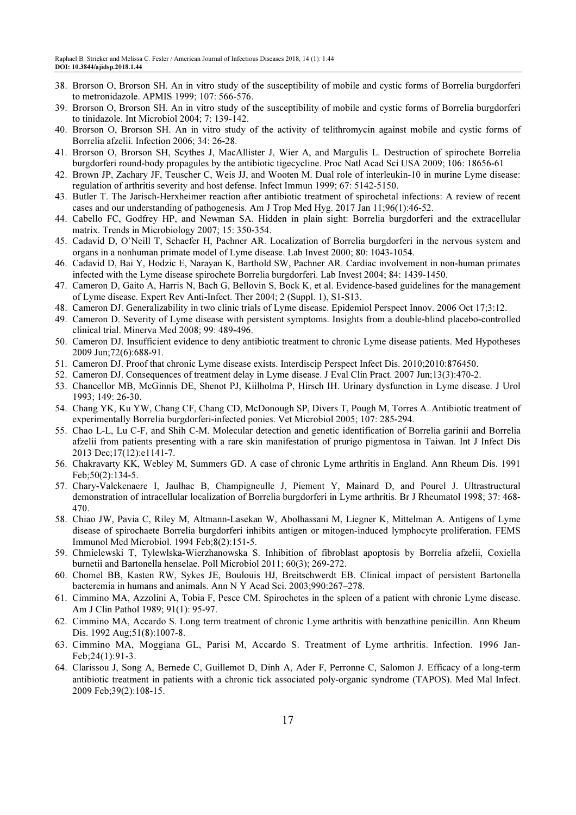- 38. Brorson O, Brorson SH. An in vitro study of the susceptibility of mobile and cystic forms of Borrelia burgdorferi to metronidazole. APMIS 1999; 107: 566-576.
- 39. Brorson O, Brorson SH. An in vitro study of the susceptibility of mobile and cystic forms of Borrelia burgdorferi to tinidazole. Int Microbiol 2004; 7: 139-142.
- 40. Brorson O, Brorson SH. An in vitro study of the activity of telithromycin against mobile and cystic forms of Borrelia afzelii. Infection 2006; 34: 26-28.
- 41. Brorson O, Brorson SH, Scythes J, MacAllister J, Wier A, and Margulis L. Destruction of spirochete Borrelia burgdorferi round-body propagules by the antibiotic tigecycline. Proc Natl Acad Sci USA 2009; 106: 18656-61
- 42. Brown JP, Zachary JF, Teuscher C, Weis JJ, and Wooten M. Dual role of interleukin-10 in murine Lyme disease: regulation of arthritis severity and host defense. Infect Immun 1999; 67: 5142-5150.
- 43. Butler T. The Jarisch-Herxheimer reaction after antibiotic treatment of spirochetal infections: A review of recent cases and our understanding of pathogenesis. Am J Trop Med Hyg. 2017 Jan 11;96(1):46-52.
- 44. Cabello FC, Godfrey HP, and Newman SA. Hidden in plain sight: Borrelia burgdorferi and the extracellular matrix. Trends in Microbiology 2007; 15: 350-354.
- 45. Cadavid D, O'Neill T, Schaefer H, Pachner AR. Localization of Borrelia burgdorferi in the nervous system and organs in a nonhuman primate model of Lyme disease. Lab Invest 2000; 80: 1043-1054.
- 46. Cadavid D, Bai Y, Hodzic E, Narayan K, Barthold SW, Pachner AR. Cardiac involvement in non-human primates infected with the Lyme disease spirochete Borrelia burgdorferi. Lab Invest 2004; 84: 1439-1450.
- 47. Cameron D, Gaito A, Harris N, Bach G, Bellovin S, Bock K, et al. Evidence-based guidelines for the management of Lyme disease. Expert Rev Anti-Infect. Ther 2004; 2 (Suppl. 1), S1-S13.
- 48. Cameron DJ. Generalizability in two clinic trials of Lyme disease. Epidemiol Perspect Innov. 2006 Oct 17;3:12.
- 49. Cameron D. Severity of Lyme disease with persistent symptoms. Insights from a double-blind placebo-controlled clinical trial. Minerva Med 2008; 99: 489-496.
- 50. Cameron DJ. Insufficient evidence to deny antibiotic treatment to chronic Lyme disease patients. Med Hypotheses 2009 Jun;72(6):688-91.
- 51. Cameron DJ. Proof that chronic Lyme disease exists. Interdiscip Perspect Infect Dis. 2010;2010:876450.
- 52. Cameron DJ. Consequences of treatment delay in Lyme disease. J Eval Clin Pract. 2007 Jun;13(3):470-2.
- 53. Chancellor MB, McGinnis DE, Shenot PJ, Kiilholma P, Hirsch IH. Urinary dysfunction in Lyme disease. J Urol 1993; 149: 26-30.
- 54. Chang YK, Ku YW, Chang CF, Chang CD, McDonough SP, Divers T, Pough M, Torres A. Antibiotic treatment of experimentally Borrelia burgdorferi-infected ponies. Vet Microbiol 2005; 107: 285-294.
- 55. Chao L-L, Lu C-F, and Shih C-M. Molecular detection and genetic identification of Borrelia garinii and Borrelia afzelii from patients presenting with a rare skin manifestation of prurigo pigmentosa in Taiwan. Int J Infect Dis 2013 Dec;17(12):e1141-7.
- 56. Chakravarty KK, Webley M, Summers GD. A case of chronic Lyme arthritis in England. Ann Rheum Dis. 1991 Feb;50(2):134-5.
- 57. Chary-Valckenaere I, Jaulhac B, Champigneulle J, Piement Y, Mainard D, and Pourel J. Ultrastructural demonstration of intracellular localization of Borrelia burgdorferi in Lyme arthritis. Br J Rheumatol 1998; 37: 468- 470.
- 58. Chiao JW, Pavia C, Riley M, Altmann-Lasekan W, Abolhassani M, Liegner K, Mittelman A. Antigens of Lyme disease of spirochaete Borrelia burgdorferi inhibits antigen or mitogen-induced lymphocyte proliferation. FEMS Immunol Med Microbiol. 1994 Feb;8(2):151-5.
- 59. Chmielewski T, Tylewlska-Wierzhanowska S. Inhibition of fibroblast apoptosis by Borrelia afzelii, Coxiella burnetii and Bartonella henselae. Poll Microbiol 2011; 60(3); 269-272.
- 60. Chomel BB, Kasten RW, Sykes JE, Boulouis HJ, Breitschwerdt EB. Clinical impact of persistent Bartonella bacteremia in humans and animals. Ann N Y Acad Sci. 2003;990:267–278.
- 61. Cimmino MA, Azzolini A, Tobia F, Pesce CM. Spirochetes in the spleen of a patient with chronic Lyme disease. Am J Clin Pathol 1989; 91(1): 95-97.
- 62. Cimmino MA, Accardo S. Long term treatment of chronic Lyme arthritis with benzathine penicillin. Ann Rheum Dis. 1992 Aug;51(8):1007-8.
- 63. Cimmino MA, Moggiana GL, Parisi M, Accardo S. Treatment of Lyme arthritis. Infection. 1996 Jan-Feb;24(1):91-3.
- 64. Clarissou J, Song A, Bernede C, Guillemot D, Dinh A, Ader F, Perronne C, Salomon J. Efficacy of a long-term antibiotic treatment in patients with a chronic tick associated poly-organic syndrome (TAPOS). Med Mal Infect. 2009 Feb;39(2):108-15.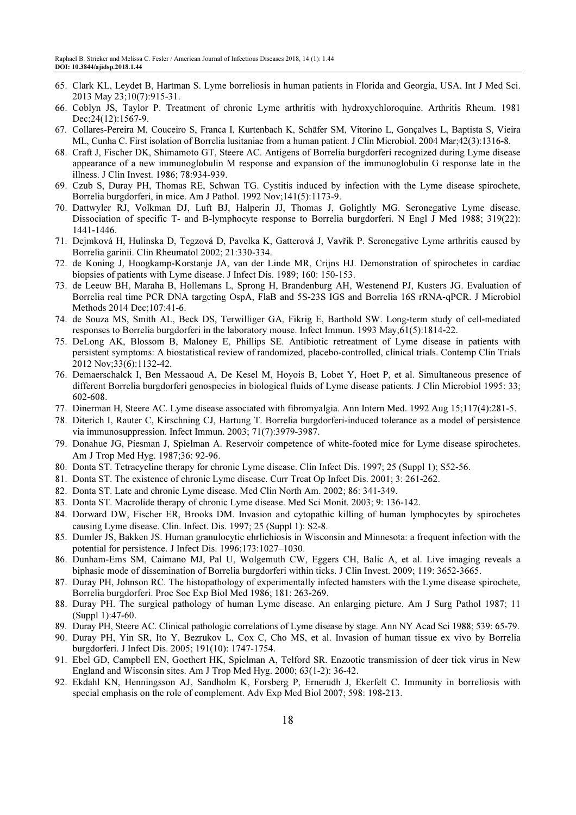- 65. Clark KL, Leydet B, Hartman S. Lyme borreliosis in human patients in Florida and Georgia, USA. Int J Med Sci. 2013 May 23;10(7):915-31.
- 66. Coblyn JS, Taylor P. Treatment of chronic Lyme arthritis with hydroxychloroquine. Arthritis Rheum. 1981 Dec; 24(12): 1567-9.
- 67. Collares-Pereira M, Couceiro S, Franca I, Kurtenbach K, Schäfer SM, Vitorino L, Gonçalves L, Baptista S, Vieira ML, Cunha C. First isolation of Borrelia lusitaniae from a human patient. J Clin Microbiol. 2004 Mar;42(3):1316-8.
- 68. Craft J, Fischer DK, Shimamoto GT, Steere AC. Antigens of Borrelia burgdorferi recognized during Lyme disease appearance of a new immunoglobulin M response and expansion of the immunoglobulin G response late in the illness. J Clin Invest. 1986; 78:934-939.
- 69. Czub S, Duray PH, Thomas RE, Schwan TG. Cystitis induced by infection with the Lyme disease spirochete, Borrelia burgdorferi, in mice. Am J Pathol. 1992 Nov;141(5):1173-9.
- 70. Dattwyler RJ, Volkman DJ, Luft BJ, Halperin JJ, Thomas J, Golightly MG. Seronegative Lyme disease. Dissociation of specific T- and B-lymphocyte response to Borrelia burgdorferi. N Engl J Med 1988; 319(22): 1441-1446.
- 71. Dejmková H, Hulinska D, Tegzová D, Pavelka K, Gatterová J, Vavřik P. Seronegative Lyme arthritis caused by Borrelia garinii. Clin Rheumatol 2002; 21:330-334.
- 72. de Koning J, Hoogkamp-Korstanje JA, van der Linde MR, Crijns HJ. Demonstration of spirochetes in cardiac biopsies of patients with Lyme disease. J Infect Dis. 1989; 160: 150-153.
- 73. de Leeuw BH, Maraha B, Hollemans L, Sprong H, Brandenburg AH, Westenend PJ, Kusters JG. Evaluation of Borrelia real time PCR DNA targeting OspA, FlaB and 5S-23S IGS and Borrelia 16S rRNA-qPCR. J Microbiol Methods 2014 Dec;107:41-6.
- 74. de Souza MS, Smith AL, Beck DS, Terwilliger GA, Fikrig E, Barthold SW. Long-term study of cell-mediated responses to Borrelia burgdorferi in the laboratory mouse. Infect Immun. 1993 May;61(5):1814-22.
- 75. DeLong AK, Blossom B, Maloney E, Phillips SE. Antibiotic retreatment of Lyme disease in patients with persistent symptoms: A biostatistical review of randomized, placebo-controlled, clinical trials. Contemp Clin Trials 2012 Nov;33(6):1132-42.
- 76. Demaerschalck I, Ben Messaoud A, De Kesel M, Hoyois B, Lobet Y, Hoet P, et al. Simultaneous presence of different Borrelia burgdorferi genospecies in biological fluids of Lyme disease patients. J Clin Microbiol 1995: 33; 602-608.
- 77. Dinerman H, Steere AC. Lyme disease associated with fibromyalgia. Ann Intern Med. 1992 Aug 15;117(4):281-5.
- 78. Diterich I, Rauter C, Kirschning CJ, Hartung T. Borrelia burgdorferi-induced tolerance as a model of persistence via immunosuppression. Infect Immun. 2003; 71(7):3979-3987.
- 79. Donahue JG, Piesman J, Spielman A. Reservoir competence of white-footed mice for Lyme disease spirochetes. Am J Trop Med Hyg. 1987;36: 92-96.
- 80. Donta ST. Tetracycline therapy for chronic Lyme disease. Clin Infect Dis. 1997; 25 (Suppl 1); S52-56.
- 81. Donta ST. The existence of chronic Lyme disease. Curr Treat Op Infect Dis. 2001; 3: 261-262.
- 82. Donta ST. Late and chronic Lyme disease. Med Clin North Am. 2002; 86: 341-349.
- 83. Donta ST. Macrolide therapy of chronic Lyme disease. Med Sci Monit. 2003; 9: 136-142.
- 84. Dorward DW, Fischer ER, Brooks DM. Invasion and cytopathic killing of human lymphocytes by spirochetes causing Lyme disease. Clin. Infect. Dis. 1997; 25 (Suppl 1): S2-8.
- 85. Dumler JS, Bakken JS. Human granulocytic ehrlichiosis in Wisconsin and Minnesota: a frequent infection with the potential for persistence. J Infect Dis. 1996;173:1027–1030.
- 86. Dunham-Ems SM, Caimano MJ, Pal U, Wolgemuth CW, Eggers CH, Balic A, et al. Live imaging reveals a biphasic mode of dissemination of Borrelia burgdorferi within ticks. J Clin Invest. 2009; 119: 3652-3665.
- 87. Duray PH, Johnson RC. The histopathology of experimentally infected hamsters with the Lyme disease spirochete, Borrelia burgdorferi. Proc Soc Exp Biol Med 1986; 181: 263-269.
- 88. Duray PH. The surgical pathology of human Lyme disease. An enlarging picture. Am J Surg Pathol 1987; 11 (Suppl 1):47-60.
- 89. Duray PH, Steere AC. Clinical pathologic correlations of Lyme disease by stage. Ann NY Acad Sci 1988; 539: 65-79.
- 90. Duray PH, Yin SR, Ito Y, Bezrukov L, Cox C, Cho MS, et al. Invasion of human tissue ex vivo by Borrelia burgdorferi. J Infect Dis. 2005; 191(10): 1747-1754.
- 91. Ebel GD, Campbell EN, Goethert HK, Spielman A, Telford SR. Enzootic transmission of deer tick virus in New England and Wisconsin sites. Am J Trop Med Hyg. 2000; 63(1-2): 36-42.
- 92. Ekdahl KN, Henningsson AJ, Sandholm K, Forsberg P, Ernerudh J, Ekerfelt C. Immunity in borreliosis with special emphasis on the role of complement. Adv Exp Med Biol 2007; 598: 198-213.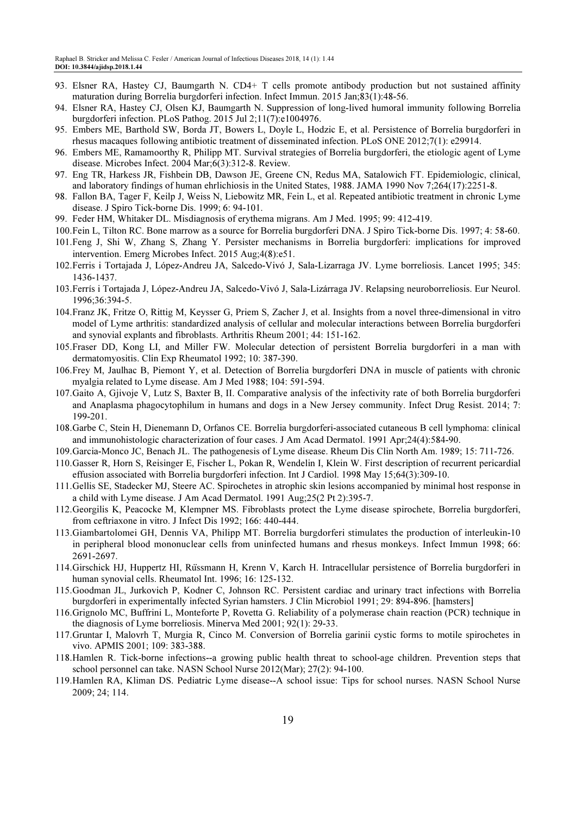- 93. Elsner RA, Hastey CJ, Baumgarth N. CD4+ T cells promote antibody production but not sustained affinity maturation during Borrelia burgdorferi infection. Infect Immun. 2015 Jan;83(1):48-56.
- 94. Elsner RA, Hastey CJ, Olsen KJ, Baumgarth N. Suppression of long-lived humoral immunity following Borrelia burgdorferi infection. PLoS Pathog. 2015 Jul 2;11(7):e1004976.
- 95. Embers ME, Barthold SW, Borda JT, Bowers L, Doyle L, Hodzic E, et al. Persistence of Borrelia burgdorferi in rhesus macaques following antibiotic treatment of disseminated infection. PLoS ONE 2012;7(1): e29914.
- 96. Embers ME, Ramamoorthy R, Philipp MT. Survival strategies of Borrelia burgdorferi, the etiologic agent of Lyme disease. Microbes Infect. 2004 Mar;6(3):312-8. Review.
- 97. Eng TR, Harkess JR, Fishbein DB, Dawson JE, Greene CN, Redus MA, Satalowich FT. Epidemiologic, clinical, and laboratory findings of human ehrlichiosis in the United States, 1988. JAMA 1990 Nov 7;264(17):2251-8.
- 98. Fallon BA, Tager F, Keilp J, Weiss N, Liebowitz MR, Fein L, et al. Repeated antibiotic treatment in chronic Lyme disease. J Spiro Tick-borne Dis. 1999; 6: 94-101.
- 99. Feder HM, Whitaker DL. Misdiagnosis of erythema migrans. Am J Med. 1995; 99: 412-419.
- 100. Fein L, Tilton RC. Bone marrow as a source for Borrelia burgdorferi DNA. J Spiro Tick-borne Dis. 1997; 4: 58-60.
- 101. Feng J, Shi W, Zhang S, Zhang Y. Persister mechanisms in Borrelia burgdorferi: implications for improved intervention. Emerg Microbes Infect. 2015 Aug;4(8):e51.
- 102. Ferris i Tortajada J, López-Andreu JA, Salcedo-Vivó J, Sala-Lizarraga JV. Lyme borreliosis. Lancet 1995; 345: 1436-1437.
- 103. Ferrís i Tortajada J, López-Andreu JA, Salcedo-Vivó J, Sala-Lizárraga JV. Relapsing neuroborreliosis. Eur Neurol. 1996;36:394-5.
- 104. Franz JK, Fritze O, Rittig M, Keysser G, Priem S, Zacher J, et al. Insights from a novel three-dimensional in vitro model of Lyme arthritis: standardized analysis of cellular and molecular interactions between Borrelia burgdorferi and synovial explants and fibroblasts. Arthritis Rheum 2001; 44: 151-162.
- 105. Fraser DD, Kong LI, and Miller FW. Molecular detection of persistent Borrelia burgdorferi in a man with dermatomyositis. Clin Exp Rheumatol 1992; 10: 387-390.
- 106. Frey M, Jaulhac B, Piemont Y, et al. Detection of Borrelia burgdorferi DNA in muscle of patients with chronic myalgia related to Lyme disease. Am J Med 1988; 104: 591-594.
- 107. Gaito A, Gjivoje V, Lutz S, Baxter B, II. Comparative analysis of the infectivity rate of both Borrelia burgdorferi and Anaplasma phagocytophilum in humans and dogs in a New Jersey community. Infect Drug Resist. 2014; 7: 199-201.
- 108. Garbe C, Stein H, Dienemann D, Orfanos CE. Borrelia burgdorferi-associated cutaneous B cell lymphoma: clinical and immunohistologic characterization of four cases. J Am Acad Dermatol. 1991 Apr;24(4):584-90.
- 109. Garcia-Monco JC, Benach JL. The pathogenesis of Lyme disease. Rheum Dis Clin North Am. 1989; 15: 711-726.
- 110. Gasser R, Horn S, Reisinger E, Fischer L, Pokan R, Wendelin I, Klein W. First description of recurrent pericardial effusion associated with Borrelia burgdorferi infection. Int J Cardiol. 1998 May 15;64(3):309-10.
- 111. Gellis SE, Stadecker MJ, Steere AC. Spirochetes in atrophic skin lesions accompanied by minimal host response in a child with Lyme disease. J Am Acad Dermatol. 1991 Aug;25(2 Pt 2):395-7.
- 112. Georgilis K, Peacocke M, Klempner MS. Fibroblasts protect the Lyme disease spirochete, Borrelia burgdorferi, from ceftriaxone in vitro. J Infect Dis 1992; 166: 440-444.
- 113. Giambartolomei GH, Dennis VA, Philipp MT. Borrelia burgdorferi stimulates the production of interleukin-10 in peripheral blood mononuclear cells from uninfected humans and rhesus monkeys. Infect Immun 1998; 66: 2691-2697.
- 114. Girschick HJ, Huppertz HI, Rüssmann H, Krenn V, Karch H. Intracellular persistence of Borrelia burgdorferi in human synovial cells. Rheumatol Int. 1996; 16: 125-132.
- 115. Goodman JL, Jurkovich P, Kodner C, Johnson RC. Persistent cardiac and urinary tract infections with Borrelia burgdorferi in experimentally infected Syrian hamsters. J Clin Microbiol 1991; 29: 894-896. [hamsters]
- 116. Grignolo MC, Buffrini L, Monteforte P, Rovetta G. Reliability of a polymerase chain reaction (PCR) technique in the diagnosis of Lyme borreliosis. Minerva Med 2001; 92(1): 29-33.
- 117. Gruntar I, Malovrh T, Murgia R, Cinco M. Conversion of Borrelia garinii cystic forms to motile spirochetes in vivo. APMIS 2001; 109: 383-388.
- 118. Hamlen R. Tick-borne infections--a growing public health threat to school-age children. Prevention steps that school personnel can take. NASN School Nurse 2012(Mar); 27(2): 94-100.
- 119. Hamlen RA, Kliman DS. Pediatric Lyme disease--A school issue: Tips for school nurses. NASN School Nurse 2009; 24; 114.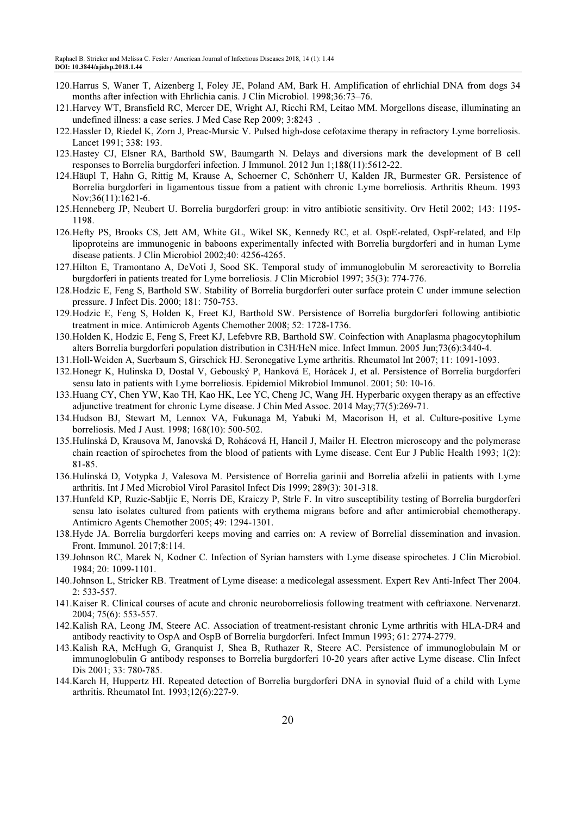- 120. Harrus S, Waner T, Aizenberg I, Foley JE, Poland AM, Bark H. Amplification of ehrlichial DNA from dogs 34 months after infection with Ehrlichia canis. J Clin Microbiol. 1998;36:73–76.
- 121. Harvey WT, Bransfield RC, Mercer DE, Wright AJ, Ricchi RM, Leitao MM. Morgellons disease, illuminating an undefined illness: a case series. J Med Case Rep 2009; 3:8243 .
- 122. Hassler D, Riedel K, Zorn J, Preac-Mursic V. Pulsed high-dose cefotaxime therapy in refractory Lyme borreliosis. Lancet 1991; 338: 193.
- 123. Hastey CJ, Elsner RA, Barthold SW, Baumgarth N. Delays and diversions mark the development of B cell responses to Borrelia burgdorferi infection. J Immunol. 2012 Jun 1;188(11):5612-22.
- 124. Häupl T, Hahn G, Rittig M, Krause A, Schoerner C, Schönherr U, Kalden JR, Burmester GR. Persistence of Borrelia burgdorferi in ligamentous tissue from a patient with chronic Lyme borreliosis. Arthritis Rheum. 1993 Nov;36(11):1621-6.
- 125. Henneberg JP, Neubert U. Borrelia burgdorferi group: in vitro antibiotic sensitivity. Orv Hetil 2002; 143: 1195- 1198.
- 126. Hefty PS, Brooks CS, Jett AM, White GL, Wikel SK, Kennedy RC, et al. OspE-related, OspF-related, and Elp lipoproteins are immunogenic in baboons experimentally infected with Borrelia burgdorferi and in human Lyme disease patients. J Clin Microbiol 2002;40: 4256-4265.
- 127. Hilton E, Tramontano A, DeVoti J, Sood SK. Temporal study of immunoglobulin M seroreactivity to Borrelia burgdorferi in patients treated for Lyme borreliosis. J Clin Microbiol 1997; 35(3): 774-776.
- 128. Hodzic E, Feng S, Barthold SW. Stability of Borrelia burgdorferi outer surface protein C under immune selection pressure. J Infect Dis. 2000; 181: 750-753.
- 129. Hodzic E, Feng S, Holden K, Freet KJ, Barthold SW. Persistence of Borrelia burgdorferi following antibiotic treatment in mice. Antimicrob Agents Chemother 2008; 52: 1728-1736.
- 130. Holden K, Hodzic E, Feng S, Freet KJ, Lefebvre RB, Barthold SW. Coinfection with Anaplasma phagocytophilum alters Borrelia burgdorferi population distribution in C3H/HeN mice. Infect Immun. 2005 Jun;73(6):3440-4.
- 131. Holl-Weiden A, Suerbaum S, Girschick HJ. Seronegative Lyme arthritis. Rheumatol Int 2007; 11: 1091-1093.
- 132. Honegr K, Hulinska D, Dostal V, Gebouský P, Hanková E, Horácek J, et al. Persistence of Borrelia burgdorferi sensu lato in patients with Lyme borreliosis. Epidemiol Mikrobiol Immunol. 2001; 50: 10-16.
- 133. Huang CY, Chen YW, Kao TH, Kao HK, Lee YC, Cheng JC, Wang JH. Hyperbaric oxygen therapy as an effective adjunctive treatment for chronic Lyme disease. J Chin Med Assoc. 2014 May;77(5):269-71.
- 134. Hudson BJ, Stewart M, Lennox VA, Fukunaga M, Yabuki M, Macorison H, et al. Culture-positive Lyme borreliosis. Med J Aust. 1998; 168(10): 500-502.
- 135. Hulínská D, Krausova M, Janovská D, Rohácová H, Hancil J, Mailer H. Electron microscopy and the polymerase chain reaction of spirochetes from the blood of patients with Lyme disease. Cent Eur J Public Health 1993; 1(2): 81-85.
- 136. Hulínská D, Votypka J, Valesova M. Persistence of Borrelia garinii and Borrelia afzelii in patients with Lyme arthritis. Int J Med Microbiol Virol Parasitol Infect Dis 1999; 289(3): 301-318.
- 137. Hunfeld KP, Ruzic-Sabljic E, Norris DE, Kraiczy P, Strle F. In vitro susceptibility testing of Borrelia burgdorferi sensu lato isolates cultured from patients with erythema migrans before and after antimicrobial chemotherapy. Antimicro Agents Chemother 2005; 49: 1294-1301.
- 138. Hyde JA. Borrelia burgdorferi keeps moving and carries on: A review of Borrelial dissemination and invasion. Front. Immunol. 2017;8:114.
- 139. Johnson RC, Marek N, Kodner C. Infection of Syrian hamsters with Lyme disease spirochetes. J Clin Microbiol. 1984; 20: 1099-1101.
- 140. Johnson L, Stricker RB. Treatment of Lyme disease: a medicolegal assessment. Expert Rev Anti-Infect Ther 2004. 2: 533-557.
- 141. Kaiser R. Clinical courses of acute and chronic neuroborreliosis following treatment with ceftriaxone. Nervenarzt. 2004; 75(6): 553-557.
- 142. Kalish RA, Leong JM, Steere AC. Association of treatment-resistant chronic Lyme arthritis with HLA-DR4 and antibody reactivity to OspA and OspB of Borrelia burgdorferi. Infect Immun 1993; 61: 2774-2779.
- 143. Kalish RA, McHugh G, Granquist J, Shea B, Ruthazer R, Steere AC. Persistence of immunoglobulain M or immunoglobulin G antibody responses to Borrelia burgdorferi 10-20 years after active Lyme disease. Clin Infect Dis 2001; 33: 780-785.
- 144. Karch H, Huppertz HI. Repeated detection of Borrelia burgdorferi DNA in synovial fluid of a child with Lyme arthritis. Rheumatol Int. 1993;12(6):227-9.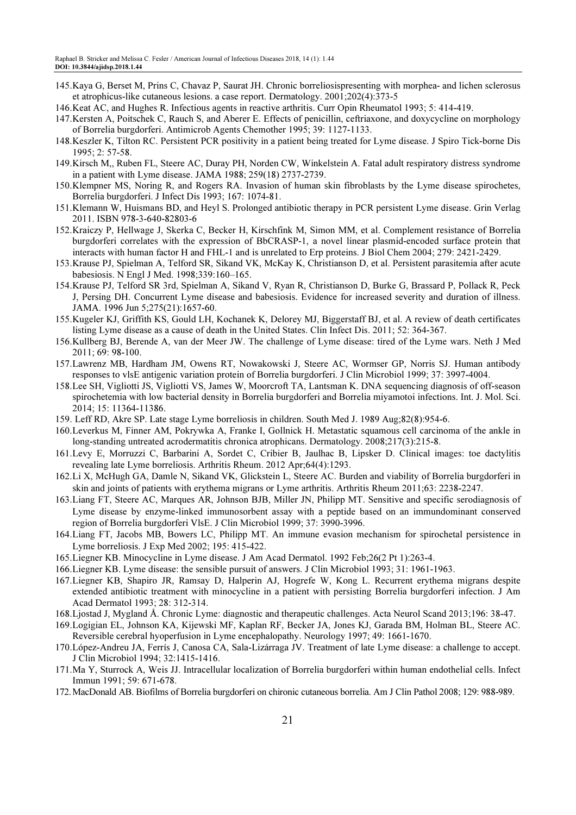- 145. Kaya G, Berset M, Prins C, Chavaz P, Saurat JH. Chronic borreliosispresenting with morphea- and lichen sclerosus et atrophicus-like cutaneous lesions. a case report. Dermatology. 2001;202(4):373-5
- 146. Keat AC, and Hughes R. Infectious agents in reactive arthritis. Curr Opin Rheumatol 1993; 5: 414-419.
- 147. Kersten A, Poitschek C, Rauch S, and Aberer E. Effects of penicillin, ceftriaxone, and doxycycline on morphology of Borrelia burgdorferi. Antimicrob Agents Chemother 1995; 39: 1127-1133.
- 148. Keszler K, Tilton RC. Persistent PCR positivity in a patient being treated for Lyme disease. J Spiro Tick-borne Dis 1995; 2: 57-58.
- 149. Kirsch M,, Ruben FL, Steere AC, Duray PH, Norden CW, Winkelstein A. Fatal adult respiratory distress syndrome in a patient with Lyme disease. JAMA 1988; 259(18) 2737-2739.
- 150. Klempner MS, Noring R, and Rogers RA. Invasion of human skin fibroblasts by the Lyme disease spirochetes, Borrelia burgdorferi. J Infect Dis 1993; 167: 1074-81.
- 151. Klemann W, Huismans BD, and Heyl S. Prolonged antibiotic therapy in PCR persistent Lyme disease. Grin Verlag 2011. ISBN 978-3-640-82803-6
- 152. Kraiczy P, Hellwage J, Skerka C, Becker H, Kirschfink M, Simon MM, et al. Complement resistance of Borrelia burgdorferi correlates with the expression of BbCRASP-1, a novel linear plasmid-encoded surface protein that interacts with human factor H and FHL-1 and is unrelated to Erp proteins. J Biol Chem 2004; 279: 2421-2429.
- 153. Krause PJ, Spielman A, Telford SR, Sikand VK, McKay K, Christianson D, et al. Persistent parasitemia after acute babesiosis. N Engl J Med. 1998;339:160–165.
- 154. Krause PJ, Telford SR 3rd, Spielman A, Sikand V, Ryan R, Christianson D, Burke G, Brassard P, Pollack R, Peck J, Persing DH. Concurrent Lyme disease and babesiosis. Evidence for increased severity and duration of illness. JAMA. 1996 Jun 5;275(21):1657-60.
- 155. Kugeler KJ, Griffith KS, Gould LH, Kochanek K, Delorey MJ, Biggerstaff BJ, et al. A review of death certificates listing Lyme disease as a cause of death in the United States. Clin Infect Dis. 2011; 52: 364-367.
- 156. Kullberg BJ, Berende A, van der Meer JW. The challenge of Lyme disease: tired of the Lyme wars. Neth J Med 2011; 69: 98-100.
- 157. Lawrenz MB, Hardham JM, Owens RT, Nowakowski J, Steere AC, Wormser GP, Norris SJ. Human antibody responses to vlsE antigenic variation protein of Borrelia burgdorferi. J Clin Microbiol 1999; 37: 3997-4004.
- 158. Lee SH, Vigliotti JS, Vigliotti VS, James W, Moorcroft TA, Lantsman K. DNA sequencing diagnosis of off-season spirochetemia with low bacterial density in Borrelia burgdorferi and Borrelia miyamotoi infections. Int. J. Mol. Sci. 2014; 15: 11364-11386.
- 159. Leff RD, Akre SP. Late stage Lyme borreliosis in children. South Med J. 1989 Aug;82(8):954-6.
- 160. Leverkus M, Finner AM, Pokrywka A, Franke I, Gollnick H. Metastatic squamous cell carcinoma of the ankle in long-standing untreated acrodermatitis chronica atrophicans. Dermatology. 2008;217(3):215-8.
- 161. Levy E, Morruzzi C, Barbarini A, Sordet C, Cribier B, Jaulhac B, Lipsker D. Clinical images: toe dactylitis revealing late Lyme borreliosis. Arthritis Rheum. 2012 Apr;64(4):1293.
- 162. Li X, McHugh GA, Damle N, Sikand VK, Glickstein L, Steere AC. Burden and viability of Borrelia burgdorferi in skin and joints of patients with erythema migrans or Lyme arthritis. Arthritis Rheum 2011;63: 2238-2247.
- 163. Liang FT, Steere AC, Marques AR, Johnson BJB, Miller JN, Philipp MT. Sensitive and specific serodiagnosis of Lyme disease by enzyme-linked immunosorbent assay with a peptide based on an immundominant conserved region of Borrelia burgdorferi VlsE. J Clin Microbiol 1999; 37: 3990-3996.
- 164. Liang FT, Jacobs MB, Bowers LC, Philipp MT. An immune evasion mechanism for spirochetal persistence in Lyme borreliosis. J Exp Med 2002; 195: 415-422.
- 165. Liegner KB. Minocycline in Lyme disease. J Am Acad Dermatol. 1992 Feb;26(2 Pt 1):263-4.
- 166. Liegner KB. Lyme disease: the sensible pursuit of answers. J Clin Microbiol 1993; 31: 1961-1963.
- 167. Liegner KB, Shapiro JR, Ramsay D, Halperin AJ, Hogrefe W, Kong L. Recurrent erythema migrans despite extended antibiotic treatment with minocycline in a patient with persisting Borrelia burgdorferi infection. J Am Acad Dermatol 1993; 28: 312-314.
- 168. Ljostad J, Mygland Å. Chronic Lyme: diagnostic and therapeutic challenges. Acta Neurol Scand 2013;196: 38-47.
- 169. Logigian EL, Johnson KA, Kijewski MF, Kaplan RF, Becker JA, Jones KJ, Garada BM, Holman BL, Steere AC. Reversible cerebral hyoperfusion in Lyme encephalopathy. Neurology 1997; 49: 1661-1670.
- 170. López-Andreu JA, Ferrís J, Canosa CA, Sala-Lizárraga JV. Treatment of late Lyme disease: a challenge to accept. J Clin Microbiol 1994; 32:1415-1416.
- 171. Ma Y, Sturrock A, Weis JJ. Intracellular localization of Borrelia burgdorferi within human endothelial cells. Infect Immun 1991; 59: 671-678.
- 172. MacDonald AB. Biofilms of Borrelia burgdorferi on chironic cutaneous borrelia. Am J Clin Pathol 2008; 129: 988-989.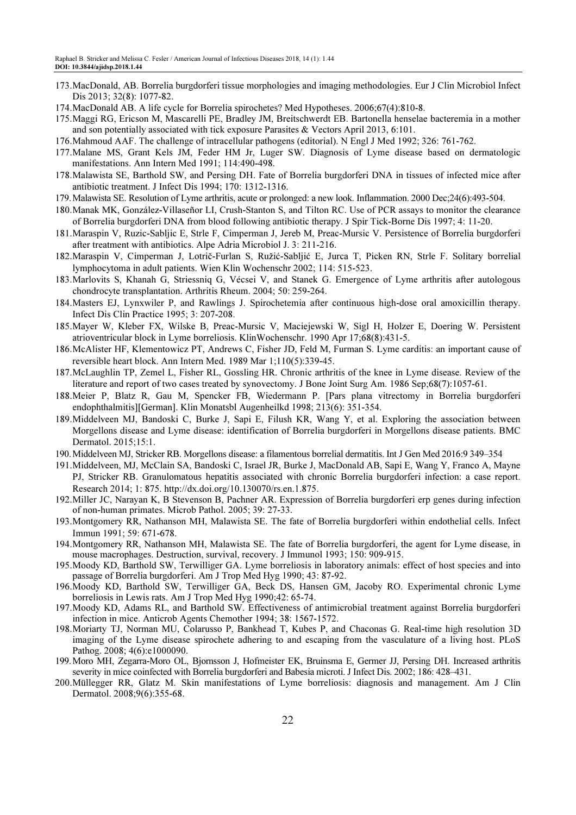- 173. MacDonald, AB. Borrelia burgdorferi tissue morphologies and imaging methodologies. Eur J Clin Microbiol Infect Dis 2013; 32(8): 1077-82.
- 174. MacDonald AB. A life cycle for Borrelia spirochetes? Med Hypotheses. 2006;67(4):810-8.
- 175. Maggi RG, Ericson M, Mascarelli PE, Bradley JM, Breitschwerdt EB. Bartonella henselae bacteremia in a mother and son potentially associated with tick exposure Parasites & Vectors April 2013, 6:101.
- 176. Mahmoud AAF. The challenge of intracellular pathogens (editorial). N Engl J Med 1992; 326: 761-762.
- 177. Malane MS, Grant Kels JM, Feder HM Jr, Luger SW. Diagnosis of Lyme disease based on dermatologic manifestations. Ann Intern Med 1991; 114:490-498.
- 178. Malawista SE, Barthold SW, and Persing DH. Fate of Borrelia burgdorferi DNA in tissues of infected mice after antibiotic treatment. J Infect Dis 1994; 170: 1312-1316.
- 179. Malawista SE. Resolution of Lyme arthritis, acute or prolonged: a new look. Inflammation. 2000 Dec;24(6):493-504.
- 180. Manak MK, González-Villaseñor LI, Crush-Stanton S, and Tilton RC. Use of PCR assays to monitor the clearance of Borrelia burgdorferi DNA from blood following antibiotic therapy. J Spir Tick-Borne Dis 1997; 4: 11-20.
- 181. Maraspin V, Ruzic-Sabljic E, Strle F, Cimperman J, Jereb M, Preac-Mursic V. Persistence of Borrelia burgdorferi after treatment with antibiotics. Alpe Adria Microbiol J. 3: 211-216.
- 182. Maraspin V, Cimperman J, Lotrič-Furlan S, Ružić-Sabljić E, Jurca T, Picken RN, Strle F. Solitary borrelial lymphocytoma in adult patients. Wien Klin Wochenschr 2002; 114: 515-523.
- 183. Marlovits S, Khanah G, Striessniq G, Vécsei V, and Stanek G. Emergence of Lyme arthritis after autologous chondrocyte transplantation. Arthritis Rheum. 2004; 50: 259-264.
- 184. Masters EJ, Lynxwiler P, and Rawlings J. Spirochetemia after continuous high-dose oral amoxicillin therapy. Infect Dis Clin Practice 1995; 3: 207-208.
- 185. Mayer W, Kleber FX, Wilske B, Preac-Mursic V, Maciejewski W, Sigl H, Holzer E, Doering W. Persistent atrioventricular block in Lyme borreliosis. KlinWochenschr. 1990 Apr 17;68(8):431-5.
- 186. McAlister HF, Klementowicz PT, Andrews C, Fisher JD, Feld M, Furman S. Lyme carditis: an important cause of reversible heart block. Ann Intern Med. 1989 Mar 1;110(5):339-45.
- 187. McLaughlin TP, Zemel L, Fisher RL, Gossling HR. Chronic arthritis of the knee in Lyme disease. Review of the literature and report of two cases treated by synovectomy. J Bone Joint Surg Am. 1986 Sep;68(7):1057-61.
- 188. Meier P, Blatz R, Gau M, Spencker FB, Wiedermann P. [Pars plana vitrectomy in Borrelia burgdorferi endophthalmitis][German]. Klin Monatsbl Augenheilkd 1998; 213(6): 351-354.
- 189. Middelveen MJ, Bandoski C, Burke J, Sapi E, Filush KR, Wang Y, et al. Exploring the association between Morgellons disease and Lyme disease: identification of Borrelia burgdorferi in Morgellons disease patients. BMC Dermatol. 2015;15:1.
- 190. Middelveen MJ, Stricker RB. Morgellons disease: a filamentous borrelial dermatitis. Int J Gen Med 2016:9 349–354
- 191. Middelveen, MJ, McClain SA, Bandoski C, Israel JR, Burke J, MacDonald AB, Sapi E, Wang Y, Franco A, Mayne PJ, Stricker RB. Granulomatous hepatitis associated with chronic Borrelia burgdorferi infection: a case report. Research 2014; 1: 875. http://dx.doi.org/10.130070/rs.en.1.875.
- 192. Miller JC, Narayan K, B Stevenson B, Pachner AR. Expression of Borrelia burgdorferi erp genes during infection of non-human primates. Microb Pathol. 2005; 39: 27-33.
- 193. Montgomery RR, Nathanson MH, Malawista SE. The fate of Borrelia burgdorferi within endothelial cells. Infect Immun 1991; 59: 671-678.
- 194. Montgomery RR, Nathanson MH, Malawista SE. The fate of Borrelia burgdorferi, the agent for Lyme disease, in mouse macrophages. Destruction, survival, recovery. J Immunol 1993; 150: 909-915.
- 195. Moody KD, Barthold SW, Terwilliger GA. Lyme borreliosis in laboratory animals: effect of host species and into passage of Borrelia burgdorferi. Am J Trop Med Hyg 1990; 43: 87-92.
- 196. Moody KD, Barthold SW, Terwilliger GA, Beck DS, Hansen GM, Jacoby RO. Experimental chronic Lyme borreliosis in Lewis rats. Am J Trop Med Hyg 1990;42: 65-74.
- 197. Moody KD, Adams RL, and Barthold SW. Effectiveness of antimicrobial treatment against Borrelia burgdorferi infection in mice. Anticrob Agents Chemother 1994; 38: 1567-1572.
- 198. Moriarty TJ, Norman MU, Colarusso P, Bankhead T, Kubes P, and Chaconas G. Real-time high resolution 3D imaging of the Lyme disease spirochete adhering to and escaping from the vasculature of a living host. PLoS Pathog. 2008; 4(6):e1000090.
- 199. Moro MH, Zegarra-Moro OL, Bjornsson J, Hofmeister EK, Bruinsma E, Germer JJ, Persing DH. Increased arthritis severity in mice coinfected with Borrelia burgdorferi and Babesia microti. J Infect Dis. 2002; 186: 428–431.
- 200. Müllegger RR, Glatz M. Skin manifestations of Lyme borreliosis: diagnosis and management. Am J Clin Dermatol. 2008;9(6):355-68.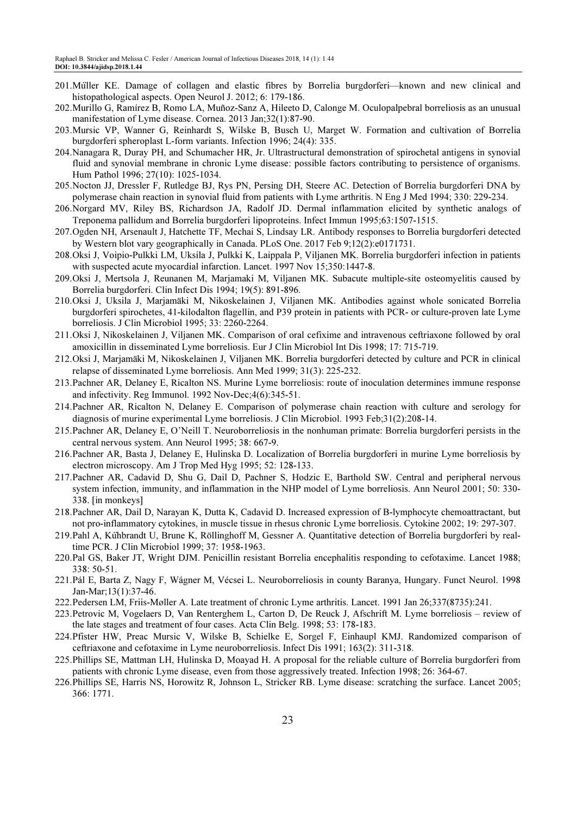- 201. Müller KE. Damage of collagen and elastic fibres by Borrelia burgdorferi—known and new clinical and histopathological aspects. Open Neurol J. 2012; 6: 179-186.
- 202. Murillo G, Ramírez B, Romo LA, Muñoz-Sanz A, Hileeto D, Calonge M. Oculopalpebral borreliosis as an unusual manifestation of Lyme disease. Cornea. 2013 Jan;32(1):87-90.
- 203. Mursic VP, Wanner G, Reinhardt S, Wilske B, Busch U, Marget W. Formation and cultivation of Borrelia burgdorferi spheroplast L-form variants. Infection 1996; 24(4): 335.
- 204. Nanagara R, Duray PH, and Schumacher HR, Jr. Ultrastructural demonstration of spirochetal antigens in synovial fluid and synovial membrane in chronic Lyme disease: possible factors contributing to persistence of organisms. Hum Pathol 1996; 27(10): 1025-1034.
- 205. Nocton JJ, Dressler F, Rutledge BJ, Rys PN, Persing DH, Steere AC. Detection of Borrelia burgdorferi DNA by polymerase chain reaction in synovial fluid from patients with Lyme arthritis. N Eng J Med 1994; 330: 229-234.
- 206. Norgard MV, Riley BS, Richardson JA, Radolf JD. Dermal inflammation elicited by synthetic analogs of Treponema pallidum and Borrelia burgdorferi lipoproteins. Infect Immun 1995;63:1507-1515.
- 207. Ogden NH, Arsenault J, Hatchette TF, Mechai S, Lindsay LR. Antibody responses to Borrelia burgdorferi detected by Western blot vary geographically in Canada. PLoS One. 2017 Feb 9;12(2):e0171731.
- 208. Oksi J, Voipio-Pulkki LM, Uksila J, Pulkki K, Laippala P, Viljanen MK. Borrelia burgdorferi infection in patients with suspected acute myocardial infarction. Lancet. 1997 Nov 15;350:1447-8.
- 209. Oksi J, Mertsola J, Reunanen M, Marjamaki M, Viljanen MK. Subacute multiple-site osteomyelitis caused by Borrelia burgdorferi. Clin Infect Dis 1994; 19(5): 891-896.
- 210. Oksi J, Uksila J, Marjamäki M, Nikoskelainen J, Viljanen MK. Antibodies against whole sonicated Borrelia burgdorferi spirochetes, 41-kilodalton flagellin, and P39 protein in patients with PCR- or culture-proven late Lyme borreliosis. J Clin Microbiol 1995; 33: 2260-2264.
- 211. Oksi J, Nikoskelainen J, Viljanen MK. Comparison of oral cefixime and intravenous ceftriaxone followed by oral amoxicillin in disseminated Lyme borreliosis. Eur J Clin Microbiol Int Dis 1998; 17: 715-719.
- 212. Oksi J, Marjamäki M, Nikoskelainen J, Viljanen MK. Borrelia burgdorferi detected by culture and PCR in clinical relapse of disseminated Lyme borreliosis. Ann Med 1999; 31(3): 225-232.
- 213. Pachner AR, Delaney E, Ricalton NS. Murine Lyme borreliosis: route of inoculation determines immune response and infectivity. Reg Immunol. 1992 Nov-Dec;4(6):345-51.
- 214. Pachner AR, Ricalton N, Delaney E. Comparison of polymerase chain reaction with culture and serology for diagnosis of murine experimental Lyme borreliosis. J Clin Microbiol. 1993 Feb;31(2):208-14.
- 215. Pachner AR, Delaney E, O'Neill T. Neuroborreliosis in the nonhuman primate: Borrelia burgdorferi persists in the central nervous system. Ann Neurol 1995; 38: 667-9.
- 216. Pachner AR, Basta J, Delaney E, Hulinska D. Localization of Borrelia burgdorferi in murine Lyme borreliosis by electron microscopy. Am J Trop Med Hyg 1995; 52: 128-133.
- 217. Pachner AR, Cadavid D, Shu G, Dail D, Pachner S, Hodzic E, Barthold SW. Central and peripheral nervous system infection, immunity, and inflammation in the NHP model of Lyme borreliosis. Ann Neurol 2001; 50: 330- 338. [in monkeys]
- 218. Pachner AR, Dail D, Narayan K, Dutta K, Cadavid D. Increased expression of B-lymphocyte chemoattractant, but not pro-inflammatory cytokines, in muscle tissue in rhesus chronic Lyme borreliosis. Cytokine 2002; 19: 297-307.
- 219. Pahl A, Kühbrandt U, Brune K, Röllinghoff M, Gessner A. Quantitative detection of Borrelia burgdorferi by realtime PCR. J Clin Microbiol 1999; 37: 1958-1963.
- 220. Pal GS, Baker JT, Wright DJM. Penicillin resistant Borrelia encephalitis responding to cefotaxime. Lancet 1988; 338: 50-51.
- 221. Pál E, Barta Z, Nagy F, Wágner M, Vécsei L. Neuroborreliosis in county Baranya, Hungary. Funct Neurol. 1998 Jan-Mar;13(1):37-46.
- 222. Pedersen LM, Friis-Møller A. Late treatment of chronic Lyme arthritis. Lancet. 1991 Jan 26;337(8735):241.
- 223. Petrovic M, Vogelaers D, Van Renterghem L, Carton D, De Reuck J, Afschrift M. Lyme borreliosis review of the late stages and treatment of four cases. Acta Clin Belg. 1998; 53: 178-183.
- 224. Pfister HW, Preac Mursic V, Wilske B, Schielke E, Sorgel F, Einhaupl KMJ. Randomized comparison of ceftriaxone and cefotaxime in Lyme neuroborreliosis. Infect Dis 1991; 163(2): 311-318.
- 225. Phillips SE, Mattman LH, Hulinska D, Moayad H. A proposal for the reliable culture of Borrelia burgdorferi from patients with chronic Lyme disease, even from those aggressively treated. Infection 1998; 26: 364-67.
- 226. Phillips SE, Harris NS, Horowitz R, Johnson L, Stricker RB. Lyme disease: scratching the surface. Lancet 2005; 366: 1771.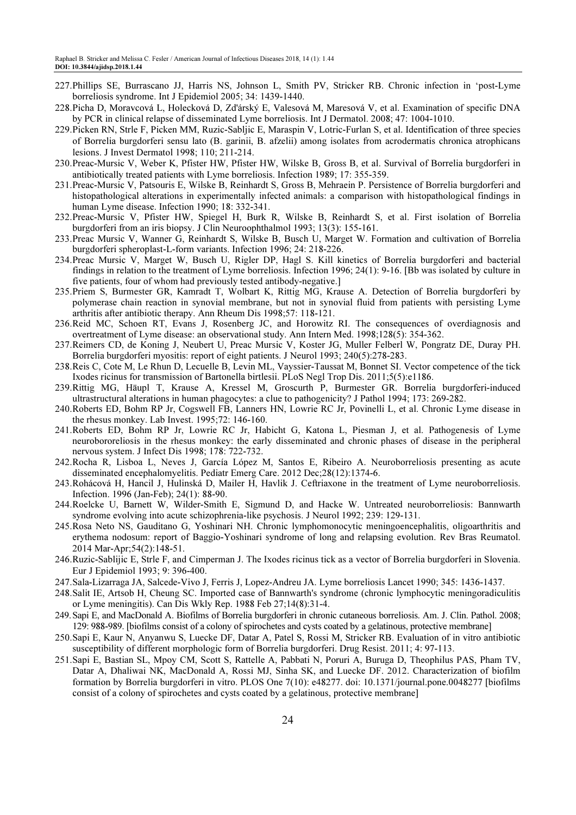- 227. Phillips SE, Burrascano JJ, Harris NS, Johnson L, Smith PV, Stricker RB. Chronic infection in 'post-Lyme borreliosis syndrome. Int J Epidemiol 2005; 34: 1439-1440.
- 228. Picha D, Moravcová L, Holecková D, Zd'árský E, Valesová M, Maresová V, et al. Examination of specific DNA by PCR in clinical relapse of disseminated Lyme borreliosis. Int J Dermatol. 2008; 47: 1004-1010.
- 229. Picken RN, Strle F, Picken MM, Ruzic-Sabljic E, Maraspin V, Lotric-Furlan S, et al. Identification of three species of Borrelia burgdorferi sensu lato (B. garinii, B. afzelii) among isolates from acrodermatis chronica atrophicans lesions. J Invest Dermatol 1998; 110; 211-214.
- 230. Preac-Mursic V, Weber K, Pfister HW, Pfister HW, Wilske B, Gross B, et al. Survival of Borrelia burgdorferi in antibiotically treated patients with Lyme borreliosis. Infection 1989; 17: 355-359.
- 231. Preac-Mursic V, Patsouris E, Wilske B, Reinhardt S, Gross B, Mehraein P. Persistence of Borrelia burgdorferi and histopathological alterations in experimentally infected animals: a comparison with histopathological findings in human Lyme disease. Infection 1990; 18: 332-341.
- 232. Preac-Mursic V, Pfister HW, Spiegel H, Burk R, Wilske B, Reinhardt S, et al. First isolation of Borrelia burgdorferi from an iris biopsy. J Clin Neuroophthalmol 1993; 13(3): 155-161.
- 233. Preac Mursic V, Wanner G, Reinhardt S, Wilske B, Busch U, Marget W. Formation and cultivation of Borrelia burgdorferi spheroplast-L-form variants. Infection 1996; 24: 218-226.
- 234. Preac Mursic V, Marget W, Busch U, Rigler DP, Hagl S. Kill kinetics of Borrelia burgdorferi and bacterial findings in relation to the treatment of Lyme borreliosis. Infection 1996; 24(1): 9-16. [Bb was isolated by culture in five patients, four of whom had previously tested antibody-negative.]
- 235. Priem S, Burmester GR, Kamradt T, Wolbart K, Rittig MG, Krause A. Detection of Borrelia burgdorferi by polymerase chain reaction in synovial membrane, but not in synovial fluid from patients with persisting Lyme arthritis after antibiotic therapy. Ann Rheum Dis 1998;57: 118-121.
- 236. Reid MC, Schoen RT, Evans J, Rosenberg JC, and Horowitz RI. The consequences of overdiagnosis and overtreatment of Lyme disease: an observational study. Ann Intern Med. 1998;128(5): 354-362.
- 237. Reimers CD, de Koning J, Neubert U, Preac Mursic V, Koster JG, Muller Felberl W, Pongratz DE, Duray PH. Borrelia burgdorferi myositis: report of eight patients. J Neurol 1993; 240(5):278-283.
- 238. Reis C, Cote M, Le Rhun D, Lecuelle B, Levin ML, Vayssier-Taussat M, Bonnet SI. Vector competence of the tick Ixodes ricinus for transmission of Bartonella birtlesii. PLoS Negl Trop Dis. 2011;5(5):e1186.
- 239. Rittig MG, Häupl T, Krause A, Kressel M, Groscurth P, Burmester GR. Borrelia burgdorferi-induced ultrastructural alterations in human phagocytes: a clue to pathogenicity? J Pathol 1994; 173: 269-282.
- 240. Roberts ED, Bohm RP Jr, Cogswell FB, Lanners HN, Lowrie RC Jr, Povinelli L, et al. Chronic Lyme disease in the rhesus monkey. Lab Invest. 1995;72: 146-160.
- 241. Roberts ED, Bohm RP Jr, Lowrie RC Jr, Habicht G, Katona L, Piesman J, et al. Pathogenesis of Lyme neurobororeliosis in the rhesus monkey: the early disseminated and chronic phases of disease in the peripheral nervous system. J Infect Dis 1998; 178: 722-732.
- 242. Rocha R, Lisboa L, Neves J, García López M, Santos E, Ribeiro A. Neuroborreliosis presenting as acute disseminated encephalomyelitis. Pediatr Emerg Care. 2012 Dec;28(12):1374-6.
- 243. Rohácová H, Hancil J, Hulinská D, Mailer H, Havlik J. Ceftriaxone in the treatment of Lyme neuroborreliosis. Infection. 1996 (Jan-Feb); 24(1): 88-90.
- 244. Roelcke U, Barnett W, Wilder-Smith E, Sigmund D, and Hacke W. Untreated neuroborreliosis: Bannwarth syndrome evolving into acute schizophrenia-like psychosis. J Neurol 1992; 239: 129-131.
- 245. Rosa Neto NS, Gauditano G, Yoshinari NH. Chronic lymphomonocytic meningoencephalitis, oligoarthritis and erythema nodosum: report of Baggio-Yoshinari syndrome of long and relapsing evolution. Rev Bras Reumatol. 2014 Mar-Apr;54(2):148-51.
- 246. Ruzic-Sablijic E, Strle F, and Cimperman J. The Ixodes ricinus tick as a vector of Borrelia burgdorferi in Slovenia. Eur J Epidemiol 1993; 9: 396-400.
- 247. Sala-Lizarraga JA, Salcede-Vivo J, Ferris J, Lopez-Andreu JA. Lyme borreliosis Lancet 1990; 345: 1436-1437.
- 248. Salit IE, Artsob H, Cheung SC. Imported case of Bannwarth's syndrome (chronic lymphocytic meningoradiculitis or Lyme meningitis). Can Dis Wkly Rep. 1988 Feb 27;14(8):31-4.
- 249. Sapi E, and MacDonald A. Biofilms of Borrelia burgdorferi in chronic cutaneous borreliosis. Am. J. Clin. Pathol. 2008; 129: 988-989. [biofilms consist of a colony of spirochetes and cysts coated by a gelatinous, protective membrane]
- 250. Sapi E, Kaur N, Anyanwu S, Luecke DF, Datar A, Patel S, Rossi M, Stricker RB. Evaluation of in vitro antibiotic susceptibility of different morphologic form of Borrelia burgdorferi. Drug Resist. 2011; 4: 97-113.
- 251. Sapi E, Bastian SL, Mpoy CM, Scott S, Rattelle A, Pabbati N, Poruri A, Buruga D, Theophilus PAS, Pham TV, Datar A, Dhaliwai NK, MacDonald A, Rossi MJ, Sinha SK, and Luecke DF. 2012. Characterization of biofilm formation by Borrelia burgdorferi in vitro. PLOS One 7(10): e48277. doi: 10.1371/journal.pone.0048277 [biofilms consist of a colony of spirochetes and cysts coated by a gelatinous, protective membrane]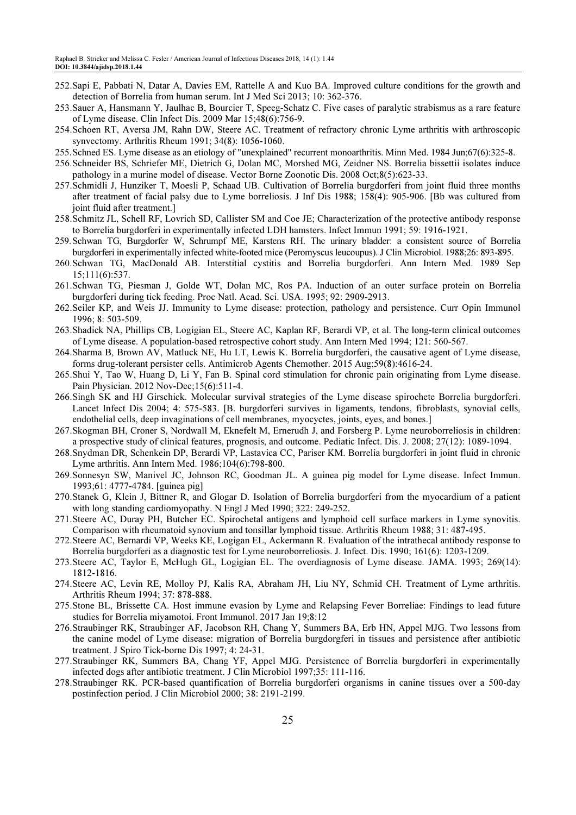- 252. Sapi E, Pabbati N, Datar A, Davies EM, Rattelle A and Kuo BA. Improved culture conditions for the growth and detection of Borrelia from human serum. Int J Med Sci 2013; 10: 362-376.
- 253. Sauer A, Hansmann Y, Jaulhac B, Bourcier T, Speeg-Schatz C. Five cases of paralytic strabismus as a rare feature of Lyme disease. Clin Infect Dis. 2009 Mar 15;48(6):756-9.
- 254. Schoen RT, Aversa JM, Rahn DW, Steere AC. Treatment of refractory chronic Lyme arthritis with arthroscopic synvectomy. Arthritis Rheum 1991; 34(8): 1056-1060.
- 255. Schned ES. Lyme disease as an etiology of "unexplained" recurrent monoarthritis. Minn Med. 1984 Jun;67(6):325-8.
- 256. Schneider BS, Schriefer ME, Dietrich G, Dolan MC, Morshed MG, Zeidner NS. Borrelia bissettii isolates induce pathology in a murine model of disease. Vector Borne Zoonotic Dis. 2008 Oct;8(5):623-33.
- 257. Schmidli J, Hunziker T, Moesli P, Schaad UB. Cultivation of Borrelia burgdorferi from joint fluid three months after treatment of facial palsy due to Lyme borreliosis. J Inf Dis 1988; 158(4): 905-906. [Bb was cultured from joint fluid after treatment.]
- 258. Schmitz JL, Schell RF, Lovrich SD, Callister SM and Coe JE; Characterization of the protective antibody response to Borrelia burgdorferi in experimentally infected LDH hamsters. Infect Immun 1991; 59: 1916-1921.
- 259. Schwan TG, Burgdorfer W, Schrumpf ME, Karstens RH. The urinary bladder: a consistent source of Borrelia burgdorferi in experimentally infected white-footed mice (Peromyscus leucoupus). J Clin Microbiol. 1988;26: 893-895.
- 260. Schwan TG, MacDonald AB. Interstitial cystitis and Borrelia burgdorferi. Ann Intern Med. 1989 Sep 15;111(6):537.
- 261. Schwan TG, Piesman J, Golde WT, Dolan MC, Ros PA. Induction of an outer surface protein on Borrelia burgdorferi during tick feeding. Proc Natl. Acad. Sci. USA. 1995; 92: 2909-2913.
- 262. Seiler KP, and Weis JJ. Immunity to Lyme disease: protection, pathology and persistence. Curr Opin Immunol 1996; 8: 503-509.
- 263. Shadick NA, Phillips CB, Logigian EL, Steere AC, Kaplan RF, Berardi VP, et al. The long-term clinical outcomes of Lyme disease. A population-based retrospective cohort study. Ann Intern Med 1994; 121: 560-567.
- 264. Sharma B, Brown AV, Matluck NE, Hu LT, Lewis K. Borrelia burgdorferi, the causative agent of Lyme disease, forms drug-tolerant persister cells. Antimicrob Agents Chemother. 2015 Aug;59(8):4616-24.
- 265. Shui Y, Tao W, Huang D, Li Y, Fan B. Spinal cord stimulation for chronic pain originating from Lyme disease. Pain Physician. 2012 Nov-Dec;15(6):511-4.
- 266. Singh SK and HJ Girschick. Molecular survival strategies of the Lyme disease spirochete Borrelia burgdorferi. Lancet Infect Dis 2004; 4: 575-583. [B. burgdorferi survives in ligaments, tendons, fibroblasts, synovial cells, endothelial cells, deep invaginations of cell membranes, myocyctes, joints, eyes, and bones.]
- 267. Skogman BH, Croner S, Nordwall M, Eknefelt M, Ernerudh J, and Forsberg P. Lyme neuroborreliosis in children: a prospective study of clinical features, prognosis, and outcome. Pediatic Infect. Dis. J. 2008; 27(12): 1089-1094.
- 268. Snydman DR, Schenkein DP, Berardi VP, Lastavica CC, Pariser KM. Borrelia burgdorferi in joint fluid in chronic Lyme arthritis. Ann Intern Med. 1986;104(6):798-800.
- 269. Sonnesyn SW, Manivel JC, Johnson RC, Goodman JL. A guinea pig model for Lyme disease. Infect Immun. 1993;61: 4777-4784. [guinea pig]
- 270. Stanek G, Klein J, Bittner R, and Glogar D. Isolation of Borrelia burgdorferi from the myocardium of a patient with long standing cardiomyopathy. N Engl J Med 1990; 322: 249-252.
- 271. Steere AC, Duray PH, Butcher EC. Spirochetal antigens and lymphoid cell surface markers in Lyme synovitis. Comparison with rheumatoid synovium and tonsillar lymphoid tissue. Arthritis Rheum 1988; 31: 487-495.
- 272. Steere AC, Bernardi VP, Weeks KE, Logigan EL, Ackermann R. Evaluation of the intrathecal antibody response to Borrelia burgdorferi as a diagnostic test for Lyme neuroborreliosis. J. Infect. Dis. 1990; 161(6): 1203-1209.
- 273. Steere AC, Taylor E, McHugh GL, Logigian EL. The overdiagnosis of Lyme disease. JAMA. 1993; 269(14): 1812-1816.
- 274. Steere AC, Levin RE, Molloy PJ, Kalis RA, Abraham JH, Liu NY, Schmid CH. Treatment of Lyme arthritis. Arthritis Rheum 1994; 37: 878-888.
- 275. Stone BL, Brissette CA. Host immune evasion by Lyme and Relapsing Fever Borreliae: Findings to lead future studies for Borrelia miyamotoi. Front Immunol. 2017 Jan 19;8:12
- 276. Straubinger RK, Straubinger AF, Jacobson RH, Chang Y, Summers BA, Erb HN, Appel MJG. Two lessons from the canine model of Lyme disease: migration of Borrelia burgdorgferi in tissues and persistence after antibiotic treatment. J Spiro Tick-borne Dis 1997; 4: 24-31.
- 277. Straubinger RK, Summers BA, Chang YF, Appel MJG. Persistence of Borrelia burgdorferi in experimentally infected dogs after antibiotic treatment. J Clin Microbiol 1997;35: 111-116.
- 278. Straubinger RK. PCR-based quantification of Borrelia burgdorferi organisms in canine tissues over a 500-day postinfection period. J Clin Microbiol 2000; 38: 2191-2199.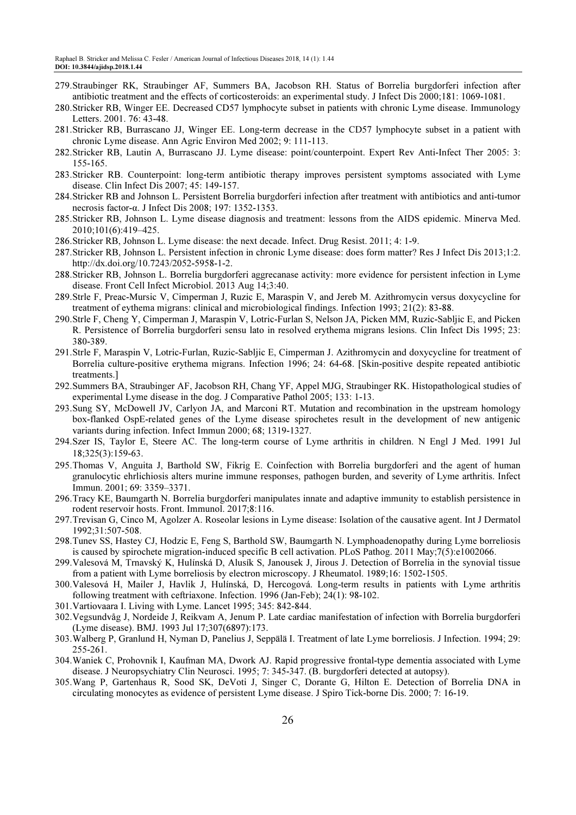- 279. Straubinger RK, Straubinger AF, Summers BA, Jacobson RH. Status of Borrelia burgdorferi infection after antibiotic treatment and the effects of corticosteroids: an experimental study. J Infect Dis 2000;181: 1069-1081.
- 280. Stricker RB, Winger EE. Decreased CD57 lymphocyte subset in patients with chronic Lyme disease. Immunology Letters. 2001. 76: 43-48.
- 281. Stricker RB, Burrascano JJ, Winger EE. Long-term decrease in the CD57 lymphocyte subset in a patient with chronic Lyme disease. Ann Agric Environ Med 2002; 9: 111-113.
- 282. Stricker RB, Lautin A, Burrascano JJ. Lyme disease: point/counterpoint. Expert Rev Anti-Infect Ther 2005: 3: 155-165.
- 283. Stricker RB. Counterpoint: long-term antibiotic therapy improves persistent symptoms associated with Lyme disease. Clin Infect Dis 2007; 45: 149-157.
- 284. Stricker RB and Johnson L. Persistent Borrelia burgdorferi infection after treatment with antibiotics and anti-tumor necrosis factor-α. J Infect Dis 2008; 197: 1352-1353.
- 285. Stricker RB, Johnson L. Lyme disease diagnosis and treatment: lessons from the AIDS epidemic. Minerva Med. 2010;101(6):419–425.
- 286. Stricker RB, Johnson L. Lyme disease: the next decade. Infect. Drug Resist. 2011; 4: 1-9.
- 287. Stricker RB, Johnson L. Persistent infection in chronic Lyme disease: does form matter? Res J Infect Dis 2013;1:2. http://dx.doi.org/10.7243/2052-5958-1-2.
- 288. Stricker RB, Johnson L. Borrelia burgdorferi aggrecanase activity: more evidence for persistent infection in Lyme disease. Front Cell Infect Microbiol. 2013 Aug 14;3:40.
- 289. Strle F, Preac-Mursic V, Cimperman J, Ruzic E, Maraspin V, and Jereb M. Azithromycin versus doxycycline for treatment of eythema migrans: clinical and microbiological findings. Infection 1993; 21(2): 83-88.
- 290. Strle F, Cheng Y, Cimperman J, Maraspin V, Lotric-Furlan S, Nelson JA, Picken MM, Ruzic-Sabljic E, and Picken R. Persistence of Borrelia burgdorferi sensu lato in resolved erythema migrans lesions. Clin Infect Dis 1995; 23: 380-389.
- 291. Strle F, Maraspin V, Lotric-Furlan, Ruzic-Sabljic E, Cimperman J. Azithromycin and doxycycline for treatment of Borrelia culture-positive erythema migrans. Infection 1996; 24: 64-68. [Skin-positive despite repeated antibiotic treatments.]
- 292. Summers BA, Straubinger AF, Jacobson RH, Chang YF, Appel MJG, Straubinger RK. Histopathological studies of experimental Lyme disease in the dog. J Comparative Pathol 2005; 133: 1-13.
- 293. Sung SY, McDowell JV, Carlyon JA, and Marconi RT. Mutation and recombination in the upstream homology box-flanked OspE-related genes of the Lyme disease spirochetes result in the development of new antigenic variants during infection. Infect Immun 2000; 68; 1319-1327.
- 294. Szer IS, Taylor E, Steere AC. The long-term course of Lyme arthritis in children. N Engl J Med. 1991 Jul 18;325(3):159-63.
- 295. Thomas V, Anguita J, Barthold SW, Fikrig E. Coinfection with Borrelia burgdorferi and the agent of human granulocytic ehrlichiosis alters murine immune responses, pathogen burden, and severity of Lyme arthritis. Infect Immun. 2001; 69: 3359–3371.
- 296. Tracy KE, Baumgarth N. Borrelia burgdorferi manipulates innate and adaptive immunity to establish persistence in rodent reservoir hosts. Front. Immunol. 2017;8:116.
- 297. Trevisan G, Cinco M, Agolzer A. Roseolar lesions in Lyme disease: Isolation of the causative agent. Int J Dermatol 1992;31:507-508.
- 298. Tunev SS, Hastey CJ, Hodzic E, Feng S, Barthold SW, Baumgarth N. Lymphoadenopathy during Lyme borreliosis is caused by spirochete migration-induced specific B cell activation. PLoS Pathog. 2011 May;7(5):e1002066.
- 299. Valesová M, Trnavský K, Hulínská D, Alusík S, Janousek J, Jirous J. Detection of Borrelia in the synovial tissue from a patient with Lyme borreliosis by electron microscopy. J Rheumatol. 1989;16: 1502-1505.
- 300. Valesová H, Mailer J, Havlik J, Hulínská, D, Hercogová. Long-term results in patients with Lyme arthritis following treatment with ceftriaxone. Infection. 1996 (Jan-Feb); 24(1): 98-102.
- 301. Vartiovaara I. Living with Lyme. Lancet 1995; 345: 842-844.
- 302. Vegsundvåg J, Nordeide J, Reikvam A, Jenum P. Late cardiac manifestation of infection with Borrelia burgdorferi (Lyme disease). BMJ. 1993 Jul 17;307(6897):173.
- 303. Walberg P, Granlund H, Nyman D, Panelius J, Seppälä I. Treatment of late Lyme borreliosis. J Infection. 1994; 29: 255-261.
- 304. Waniek C, Prohovnik I, Kaufman MA, Dwork AJ. Rapid progressive frontal-type dementia associated with Lyme disease. J Neuropsychiatry Clin Neurosci. 1995; 7: 345-347. (B. burgdorferi detected at autopsy).
- 305. Wang P, Gartenhaus R, Sood SK, DeVoti J, Singer C, Dorante G, Hilton E. Detection of Borrelia DNA in circulating monocytes as evidence of persistent Lyme disease. J Spiro Tick-borne Dis. 2000; 7: 16-19.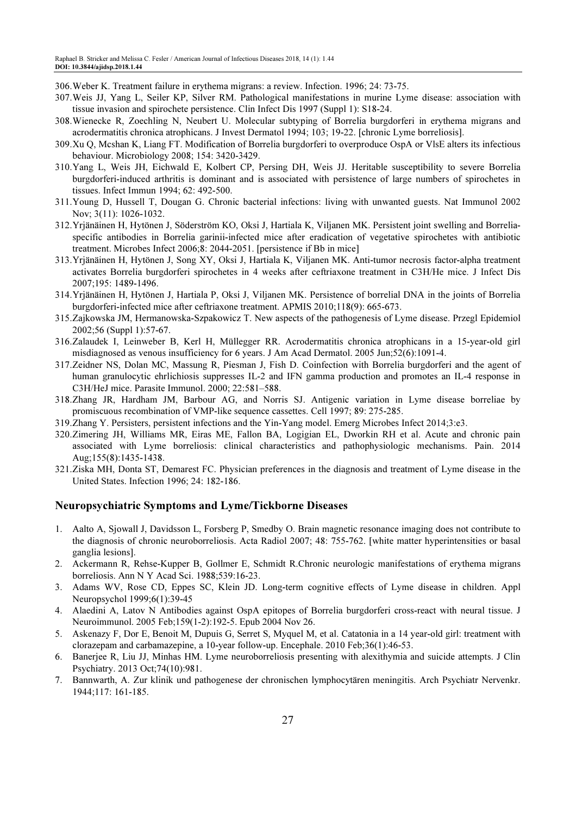306. Weber K. Treatment failure in erythema migrans: a review. Infection. 1996; 24: 73-75.

- 307. Weis JJ, Yang L, Seiler KP, Silver RM. Pathological manifestations in murine Lyme disease: association with tissue invasion and spirochete persistence. Clin Infect Dis 1997 (Suppl 1): S18-24.
- 308. Wienecke R, Zoechling N, Neubert U. Molecular subtyping of Borrelia burgdorferi in erythema migrans and acrodermatitis chronica atrophicans. J Invest Dermatol 1994; 103; 19-22. [chronic Lyme borreliosis].
- 309. Xu Q, Mcshan K, Liang FT. Modification of Borrelia burgdorferi to overproduce OspA or VlsE alters its infectious behaviour. Microbiology 2008; 154: 3420-3429.
- 310. Yang L, Weis JH, Eichwald E, Kolbert CP, Persing DH, Weis JJ. Heritable susceptibility to severe Borrelia burgdorferi-induced arthritis is dominant and is associated with persistence of large numbers of spirochetes in tissues. Infect Immun 1994; 62: 492-500.
- 311. Young D, Hussell T, Dougan G. Chronic bacterial infections: living with unwanted guests. Nat Immunol 2002 Nov; 3(11): 1026-1032.
- 312. Yrjänäinen H, Hytönen J, Söderström KO, Oksi J, Hartiala K, Viljanen MK. Persistent joint swelling and Borreliaspecific antibodies in Borrelia garinii-infected mice after eradication of vegetative spirochetes with antibiotic treatment. Microbes Infect 2006;8: 2044-2051. [persistence if Bb in mice]
- 313. Yrjänäinen H, Hytönen J, Song XY, Oksi J, Hartiala K, Viljanen MK. Anti-tumor necrosis factor-alpha treatment activates Borrelia burgdorferi spirochetes in 4 weeks after ceftriaxone treatment in C3H/He mice. J Infect Dis 2007;195: 1489-1496.
- 314. Yrjänäinen H, Hytönen J, Hartiala P, Oksi J, Viljanen MK. Persistence of borrelial DNA in the joints of Borrelia burgdorferi-infected mice after ceftriaxone treatment. APMIS 2010;118(9): 665-673.
- 315. Zajkowska JM, Hermanowska-Szpakowicz T. New aspects of the pathogenesis of Lyme disease. Przegl Epidemiol 2002;56 (Suppl 1):57-67.
- 316. Zalaudek I, Leinweber B, Kerl H, Müllegger RR. Acrodermatitis chronica atrophicans in a 15-year-old girl misdiagnosed as venous insufficiency for 6 years. J Am Acad Dermatol. 2005 Jun;52(6):1091-4.
- 317. Zeidner NS, Dolan MC, Massung R, Piesman J, Fish D. Coinfection with Borrelia burgdorferi and the agent of human granulocytic ehrlichiosis suppresses IL-2 and IFN gamma production and promotes an IL-4 response in C3H/HeJ mice. Parasite Immunol. 2000; 22:581–588.
- 318. Zhang JR, Hardham JM, Barbour AG, and Norris SJ. Antigenic variation in Lyme disease borreliae by promiscuous recombination of VMP-like sequence cassettes. Cell 1997; 89: 275-285.
- 319. Zhang Y. Persisters, persistent infections and the Yin-Yang model. Emerg Microbes Infect 2014;3:e3.
- 320. Zimering JH, Williams MR, Eiras ME, Fallon BA, Logigian EL, Dworkin RH et al. Acute and chronic pain associated with Lyme borreliosis: clinical characteristics and pathophysiologic mechanisms. Pain. 2014 Aug;155(8):1435-1438.
- 321. Ziska MH, Donta ST, Demarest FC. Physician preferences in the diagnosis and treatment of Lyme disease in the United States. Infection 1996; 24: 182-186.

# Neuropsychiatric Symptoms and Lyme/Tickborne Diseases

- 1. Aalto A, Sjowall J, Davidsson L, Forsberg P, Smedby O. Brain magnetic resonance imaging does not contribute to the diagnosis of chronic neuroborreliosis. Acta Radiol 2007; 48: 755-762. [white matter hyperintensities or basal ganglia lesions].
- 2. Ackermann R, Rehse-Kupper B, Gollmer E, Schmidt R.Chronic neurologic manifestations of erythema migrans borreliosis. Ann N Y Acad Sci. 1988;539:16-23.
- 3. Adams WV, Rose CD, Eppes SC, Klein JD. Long-term cognitive effects of Lyme disease in children. Appl Neuropsychol 1999;6(1):39-45
- 4. Alaedini A, Latov N Antibodies against OspA epitopes of Borrelia burgdorferi cross-react with neural tissue. J Neuroimmunol. 2005 Feb;159(1-2):192-5. Epub 2004 Nov 26.
- 5. Askenazy F, Dor E, Benoit M, Dupuis G, Serret S, Myquel M, et al. Catatonia in a 14 year-old girl: treatment with clorazepam and carbamazepine, a 10-year follow-up. Encephale. 2010 Feb;36(1):46-53.
- 6. Banerjee R, Liu JJ, Minhas HM. Lyme neuroborreliosis presenting with alexithymia and suicide attempts. J Clin Psychiatry. 2013 Oct;74(10):981.
- 7. Bannwarth, A. Zur klinik und pathogenese der chronischen lymphocytären meningitis. Arch Psychiatr Nervenkr. 1944;117: 161-185.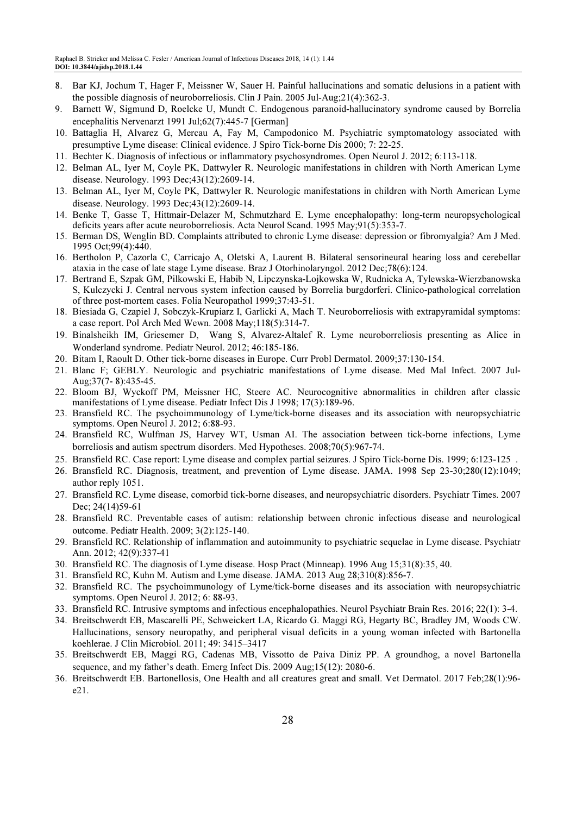- 8. Bar KJ, Jochum T, Hager F, Meissner W, Sauer H. Painful hallucinations and somatic delusions in a patient with the possible diagnosis of neuroborreliosis. Clin J Pain. 2005 Jul-Aug;21(4):362-3.
- 9. Barnett W, Sigmund D, Roelcke U, Mundt C. Endogenous paranoid-hallucinatory syndrome caused by Borrelia encephalitis Nervenarzt 1991 Jul;62(7):445-7 [German]
- 10. Battaglia H, Alvarez G, Mercau A, Fay M, Campodonico M. Psychiatric symptomatology associated with presumptive Lyme disease: Clinical evidence. J Spiro Tick-borne Dis 2000; 7: 22-25.
- 11. Bechter K. Diagnosis of infectious or inflammatory psychosyndromes. Open Neurol J. 2012; 6:113-118.
- 12. Belman AL, Iyer M, Coyle PK, Dattwyler R. Neurologic manifestations in children with North American Lyme disease. Neurology. 1993 Dec;43(12):2609-14.
- 13. Belman AL, Iyer M, Coyle PK, Dattwyler R. Neurologic manifestations in children with North American Lyme disease. Neurology. 1993 Dec;43(12):2609-14.
- 14. Benke T, Gasse T, Hittmair-Delazer M, Schmutzhard E. Lyme encephalopathy: long-term neuropsychological deficits years after acute neuroborreliosis. Acta Neurol Scand. 1995 May;91(5):353-7.
- 15. Berman DS, Wenglin BD. Complaints attributed to chronic Lyme disease: depression or fibromyalgia? Am J Med. 1995 Oct;99(4):440.
- 16. Bertholon P, Cazorla C, Carricajo A, Oletski A, Laurent B. Bilateral sensorineural hearing loss and cerebellar ataxia in the case of late stage Lyme disease. Braz J Otorhinolaryngol. 2012 Dec;78(6):124.
- 17. Bertrand E, Szpak GM, Pilkowski E, Habib N, Lipczynska-Lojkowska W, Rudnicka A, Tylewska-Wierzbanowska S, Kulczycki J. Central nervous system infection caused by Borrelia burgdorferi. Clinico-pathological correlation of three post-mortem cases. Folia Neuropathol 1999;37:43-51.
- 18. Biesiada G, Czapiel J, Sobczyk-Krupiarz I, Garlicki A, Mach T. Neuroborreliosis with extrapyramidal symptoms: a case report. Pol Arch Med Wewn. 2008 May;118(5):314-7.
- 19. Binalsheikh IM, Griesemer D, Wang S, Alvarez-Altalef R. Lyme neuroborreliosis presenting as Alice in Wonderland syndrome. Pediatr Neurol. 2012; 46:185-186.
- 20. Bitam I, Raoult D. Other tick-borne diseases in Europe. Curr Probl Dermatol. 2009;37:130-154.
- 21. Blanc F; GEBLY. Neurologic and psychiatric manifestations of Lyme disease. Med Mal Infect. 2007 Jul-Aug;37(7- 8):435-45.
- 22. Bloom BJ, Wyckoff PM, Meissner HC, Steere AC. Neurocognitive abnormalities in children after classic manifestations of Lyme disease. Pediatr Infect Dis J 1998; 17(3):189-96.
- 23. Bransfield RC. The psychoimmunology of Lyme/tick-borne diseases and its association with neuropsychiatric symptoms. Open Neurol J. 2012; 6:88-93.
- 24. Bransfield RC, Wulfman JS, Harvey WT, Usman AI. The association between tick-borne infections, Lyme borreliosis and autism spectrum disorders. Med Hypotheses. 2008;70(5):967-74.
- 25. Bransfield RC. Case report: Lyme disease and complex partial seizures. J Spiro Tick-borne Dis. 1999; 6:123-125 .
- 26. Bransfield RC. Diagnosis, treatment, and prevention of Lyme disease. JAMA. 1998 Sep 23-30;280(12):1049; author reply 1051.
- 27. Bransfield RC. Lyme disease, comorbid tick-borne diseases, and neuropsychiatric disorders. Psychiatr Times. 2007 Dec; 24(14)59-61
- 28. Bransfield RC. Preventable cases of autism: relationship between chronic infectious disease and neurological outcome. Pediatr Health. 2009; 3(2):125-140.
- 29. Bransfield RC. Relationship of inflammation and autoimmunity to psychiatric sequelae in Lyme disease. Psychiatr Ann. 2012; 42(9):337-41
- 30. Bransfield RC. The diagnosis of Lyme disease. Hosp Pract (Minneap). 1996 Aug 15;31(8):35, 40.
- 31. Bransfield RC, Kuhn M. Autism and Lyme disease. JAMA. 2013 Aug 28;310(8):856-7.
- 32. Bransfield RC. The psychoimmunology of Lyme/tick-borne diseases and its association with neuropsychiatric symptoms. Open Neurol J. 2012; 6: 88-93.
- 33. Bransfield RC. Intrusive symptoms and infectious encephalopathies. Neurol Psychiatr Brain Res. 2016; 22(1): 3-4.
- 34. Breitschwerdt EB, Mascarelli PE, Schweickert LA, Ricardo G. Maggi RG, Hegarty BC, Bradley JM, Woods CW. Hallucinations, sensory neuropathy, and peripheral visual deficits in a young woman infected with Bartonella koehlerae. J Clin Microbiol. 2011; 49: 3415–3417
- 35. Breitschwerdt EB, Maggi RG, Cadenas MB, Vissotto de Paiva Diniz PP. A groundhog, a novel Bartonella sequence, and my father's death. Emerg Infect Dis. 2009 Aug;15(12): 2080-6.
- 36. Breitschwerdt EB. Bartonellosis, One Health and all creatures great and small. Vet Dermatol. 2017 Feb;28(1):96 e21.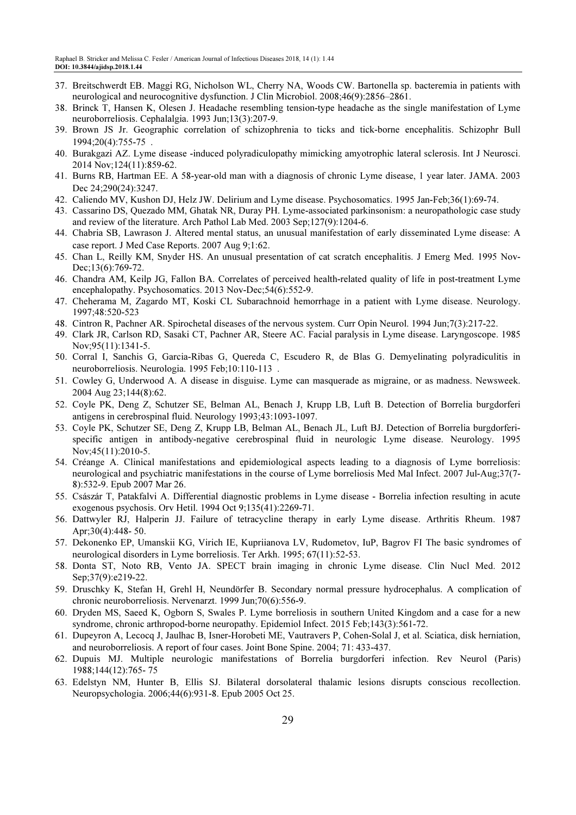- 37. Breitschwerdt EB. Maggi RG, Nicholson WL, Cherry NA, Woods CW. Bartonella sp. bacteremia in patients with neurological and neurocognitive dysfunction. J Clin Microbiol. 2008;46(9):2856–2861.
- 38. Brinck T, Hansen K, Olesen J. Headache resembling tension-type headache as the single manifestation of Lyme neuroborreliosis. Cephalalgia. 1993 Jun;13(3):207-9.
- 39. Brown JS Jr. Geographic correlation of schizophrenia to ticks and tick-borne encephalitis. Schizophr Bull 1994;20(4):755-75 .
- 40. Burakgazi AZ. Lyme disease -induced polyradiculopathy mimicking amyotrophic lateral sclerosis. Int J Neurosci. 2014 Nov;124(11):859-62.
- 41. Burns RB, Hartman EE. A 58-year-old man with a diagnosis of chronic Lyme disease, 1 year later. JAMA. 2003 Dec 24;290(24):3247.
- 42. Caliendo MV, Kushon DJ, Helz JW. Delirium and Lyme disease. Psychosomatics. 1995 Jan-Feb;36(1):69-74.
- 43. Cassarino DS, Quezado MM, Ghatak NR, Duray PH. Lyme-associated parkinsonism: a neuropathologic case study and review of the literature. Arch Pathol Lab Med. 2003 Sep;127(9):1204-6.
- 44. Chabria SB, Lawrason J. Altered mental status, an unusual manifestation of early disseminated Lyme disease: A case report. J Med Case Reports. 2007 Aug 9;1:62.
- 45. Chan L, Reilly KM, Snyder HS. An unusual presentation of cat scratch encephalitis. J Emerg Med. 1995 Nov-Dec;13(6):769-72.
- 46. Chandra AM, Keilp JG, Fallon BA. Correlates of perceived health-related quality of life in post-treatment Lyme encephalopathy. Psychosomatics. 2013 Nov-Dec;54(6):552-9.
- 47. Cheherama M, Zagardo MT, Koski CL Subarachnoid hemorrhage in a patient with Lyme disease. Neurology. 1997;48:520-523
- 48. Cintron R, Pachner AR. Spirochetal diseases of the nervous system. Curr Opin Neurol. 1994 Jun;7(3):217-22.
- 49. Clark JR, Carlson RD, Sasaki CT, Pachner AR, Steere AC. Facial paralysis in Lyme disease. Laryngoscope. 1985 Nov;95(11):1341-5.
- 50. Corral I, Sanchis G, Garcia-Ribas G, Quereda C, Escudero R, de Blas G. Demyelinating polyradiculitis in neuroborreliosis. Neurologia. 1995 Feb;10:110-113 .
- 51. Cowley G, Underwood A. A disease in disguise. Lyme can masquerade as migraine, or as madness. Newsweek. 2004 Aug 23;144(8):62.
- 52. Coyle PK, Deng Z, Schutzer SE, Belman AL, Benach J, Krupp LB, Luft B. Detection of Borrelia burgdorferi antigens in cerebrospinal fluid. Neurology 1993;43:1093-1097.
- 53. Coyle PK, Schutzer SE, Deng Z, Krupp LB, Belman AL, Benach JL, Luft BJ. Detection of Borrelia burgdorferispecific antigen in antibody-negative cerebrospinal fluid in neurologic Lyme disease. Neurology. 1995 Nov;45(11):2010-5.
- 54. Créange A. Clinical manifestations and epidemiological aspects leading to a diagnosis of Lyme borreliosis: neurological and psychiatric manifestations in the course of Lyme borreliosis Med Mal Infect. 2007 Jul-Aug;37(7- 8):532-9. Epub 2007 Mar 26.
- 55. Császár T, Patakfalvi A. Differential diagnostic problems in Lyme disease Borrelia infection resulting in acute exogenous psychosis. Orv Hetil. 1994 Oct 9;135(41):2269-71.
- 56. Dattwyler RJ, Halperin JJ. Failure of tetracycline therapy in early Lyme disease. Arthritis Rheum. 1987 Apr;30(4):448- 50.
- 57. Dekonenko EP, Umanskii KG, Virich IE, Kupriianova LV, Rudometov, IuP, Bagrov FI The basic syndromes of neurological disorders in Lyme borreliosis. Ter Arkh. 1995; 67(11):52-53.
- 58. Donta ST, Noto RB, Vento JA. SPECT brain imaging in chronic Lyme disease. Clin Nucl Med. 2012 Sep;37(9):e219-22.
- 59. Druschky K, Stefan H, Grehl H, Neundörfer B. Secondary normal pressure hydrocephalus. A complication of chronic neuroborreliosis. Nervenarzt. 1999 Jun;70(6):556-9.
- 60. Dryden MS, Saeed K, Ogborn S, Swales P. Lyme borreliosis in southern United Kingdom and a case for a new syndrome, chronic arthropod-borne neuropathy. Epidemiol Infect. 2015 Feb;143(3):561-72.
- 61. Dupeyron A, Lecocq J, Jaulhac B, Isner-Horobeti ME, Vautravers P, Cohen-Solal J, et al. Sciatica, disk herniation, and neuroborreliosis. A report of four cases. Joint Bone Spine. 2004; 71: 433-437.
- 62. Dupuis MJ. Multiple neurologic manifestations of Borrelia burgdorferi infection. Rev Neurol (Paris) 1988;144(12):765- 75
- 63. Edelstyn NM, Hunter B, Ellis SJ. Bilateral dorsolateral thalamic lesions disrupts conscious recollection. Neuropsychologia. 2006;44(6):931-8. Epub 2005 Oct 25.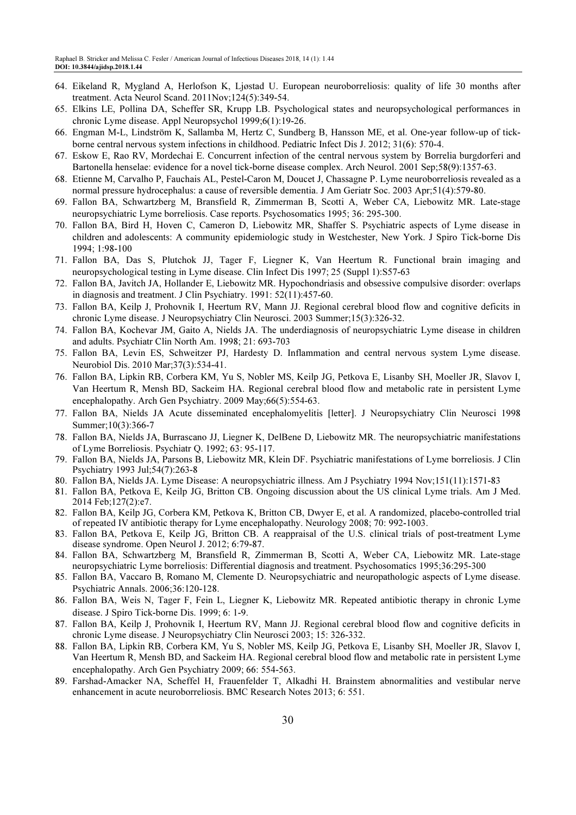- 64. Eikeland R, Mygland A, Herlofson K, Ljøstad U. European neuroborreliosis: quality of life 30 months after treatment. Acta Neurol Scand. 2011Nov;124(5):349-54.
- 65. Elkins LE, Pollina DA, Scheffer SR, Krupp LB. Psychological states and neuropsychological performances in chronic Lyme disease. Appl Neuropsychol 1999;6(1):19-26.
- 66. Engman M-L, Lindström K, Sallamba M, Hertz C, Sundberg B, Hansson ME, et al. One-year follow-up of tickborne central nervous system infections in childhood. Pediatric Infect Dis J. 2012; 31(6): 570-4.
- 67. Eskow E, Rao RV, Mordechai E. Concurrent infection of the central nervous system by Borrelia burgdorferi and Bartonella henselae: evidence for a novel tick-borne disease complex. Arch Neurol. 2001 Sep;58(9):1357-63.
- 68. Etienne M, Carvalho P, Fauchais AL, Pestel-Caron M, Doucet J, Chassagne P. Lyme neuroborreliosis revealed as a normal pressure hydrocephalus: a cause of reversible dementia. J Am Geriatr Soc. 2003 Apr;51(4):579-80.
- 69. Fallon BA, Schwartzberg M, Bransfield R, Zimmerman B, Scotti A, Weber CA, Liebowitz MR. Late-stage neuropsychiatric Lyme borreliosis. Case reports. Psychosomatics 1995; 36: 295-300.
- 70. Fallon BA, Bird H, Hoven C, Cameron D, Liebowitz MR, Shaffer S. Psychiatric aspects of Lyme disease in children and adolescents: A community epidemiologic study in Westchester, New York. J Spiro Tick-borne Dis 1994; 1:98-100
- 71. Fallon BA, Das S, Plutchok JJ, Tager F, Liegner K, Van Heertum R. Functional brain imaging and neuropsychological testing in Lyme disease. Clin Infect Dis 1997; 25 (Suppl 1):S57-63
- 72. Fallon BA, Javitch JA, Hollander E, Liebowitz MR. Hypochondriasis and obsessive compulsive disorder: overlaps in diagnosis and treatment. J Clin Psychiatry. 1991: 52(11):457-60.
- 73. Fallon BA, Keilp J, Prohovnik I, Heertum RV, Mann JJ. Regional cerebral blood flow and cognitive deficits in chronic Lyme disease. J Neuropsychiatry Clin Neurosci. 2003 Summer;15(3):326-32.
- 74. Fallon BA, Kochevar JM, Gaito A, Nields JA. The underdiagnosis of neuropsychiatric Lyme disease in children and adults. Psychiatr Clin North Am. 1998; 21: 693-703
- 75. Fallon BA, Levin ES, Schweitzer PJ, Hardesty D. Inflammation and central nervous system Lyme disease. Neurobiol Dis. 2010 Mar;37(3):534-41.
- 76. Fallon BA, Lipkin RB, Corbera KM, Yu S, Nobler MS, Keilp JG, Petkova E, Lisanby SH, Moeller JR, Slavov I, Van Heertum R, Mensh BD, Sackeim HA. Regional cerebral blood flow and metabolic rate in persistent Lyme encephalopathy. Arch Gen Psychiatry. 2009 May;66(5):554-63.
- 77. Fallon BA, Nields JA Acute disseminated encephalomyelitis [letter]. J Neuropsychiatry Clin Neurosci 1998 Summer;10(3):366-7
- 78. Fallon BA, Nields JA, Burrascano JJ, Liegner K, DelBene D, Liebowitz MR. The neuropsychiatric manifestations of Lyme Borreliosis. Psychiatr Q. 1992; 63: 95-117.
- 79. Fallon BA, Nields JA, Parsons B, Liebowitz MR, Klein DF. Psychiatric manifestations of Lyme borreliosis. J Clin Psychiatry 1993 Jul;54(7):263-8
- 80. Fallon BA, Nields JA. Lyme Disease: A neuropsychiatric illness. Am J Psychiatry 1994 Nov;151(11):1571-83
- 81. Fallon BA, Petkova E, Keilp JG, Britton CB. Ongoing discussion about the US clinical Lyme trials. Am J Med. 2014 Feb;127(2):e7.
- 82. Fallon BA, Keilp JG, Corbera KM, Petkova K, Britton CB, Dwyer E, et al. A randomized, placebo-controlled trial of repeated IV antibiotic therapy for Lyme encephalopathy. Neurology 2008; 70: 992-1003.
- 83. Fallon BA, Petkova E, Keilp JG, Britton CB. A reappraisal of the U.S. clinical trials of post-treatment Lyme disease syndrome. Open Neurol J. 2012; 6:79-87.
- 84. Fallon BA, Schwartzberg M, Bransfield R, Zimmerman B, Scotti A, Weber CA, Liebowitz MR. Late-stage neuropsychiatric Lyme borreliosis: Differential diagnosis and treatment. Psychosomatics 1995;36:295-300
- 85. Fallon BA, Vaccaro B, Romano M, Clemente D. Neuropsychiatric and neuropathologic aspects of Lyme disease. Psychiatric Annals. 2006;36:120-128.
- 86. Fallon BA, Weis N, Tager F, Fein L, Liegner K, Liebowitz MR. Repeated antibiotic therapy in chronic Lyme disease. J Spiro Tick-borne Dis. 1999; 6: 1-9.
- 87. Fallon BA, Keilp J, Prohovnik I, Heertum RV, Mann JJ. Regional cerebral blood flow and cognitive deficits in chronic Lyme disease. J Neuropsychiatry Clin Neurosci 2003; 15: 326-332.
- 88. Fallon BA, Lipkin RB, Corbera KM, Yu S, Nobler MS, Keilp JG, Petkova E, Lisanby SH, Moeller JR, Slavov I, Van Heertum R, Mensh BD, and Sackeim HA. Regional cerebral blood flow and metabolic rate in persistent Lyme encephalopathy. Arch Gen Psychiatry 2009; 66: 554-563.
- 89. Farshad-Amacker NA, Scheffel H, Frauenfelder T, Alkadhi H. Brainstem abnormalities and vestibular nerve enhancement in acute neuroborreliosis. BMC Research Notes 2013; 6: 551.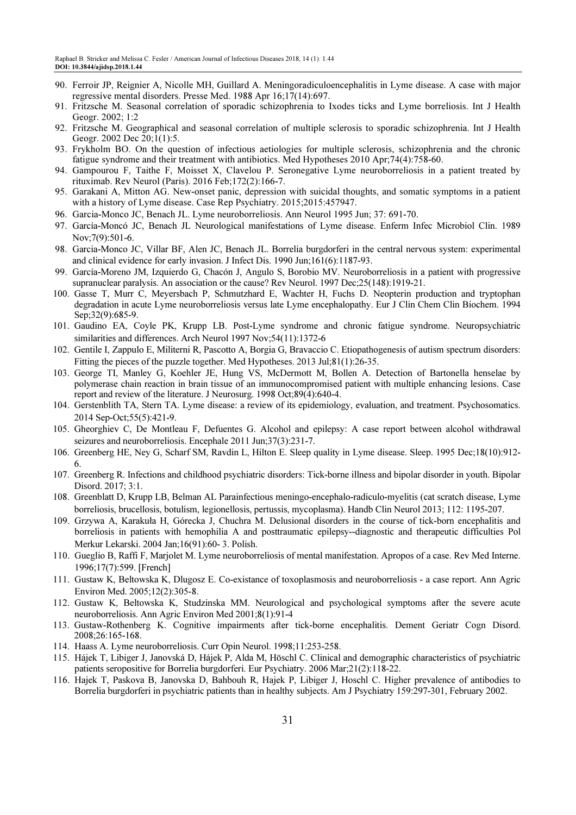- 90. Ferroir JP, Reignier A, Nicolle MH, Guillard A. Meningoradiculoencephalitis in Lyme disease. A case with major regressive mental disorders. Presse Med. 1988 Apr 16;17(14):697.
- 91. Fritzsche M. Seasonal correlation of sporadic schizophrenia to Ixodes ticks and Lyme borreliosis. Int J Health Geogr. 2002; 1:2
- 92. Fritzsche M. Geographical and seasonal correlation of multiple sclerosis to sporadic schizophrenia. Int J Health Geogr. 2002 Dec 20;1(1):5.
- 93. Frykholm BO. On the question of infectious aetiologies for multiple sclerosis, schizophrenia and the chronic fatigue syndrome and their treatment with antibiotics. Med Hypotheses 2010 Apr;74(4):758-60.
- 94. Gampourou F, Taithe F, Moisset X, Clavelou P. Seronegative Lyme neuroborreliosis in a patient treated by rituximab. Rev Neurol (Paris). 2016 Feb;172(2):166-7.
- 95. Garakani A, Mitton AG. New-onset panic, depression with suicidal thoughts, and somatic symptoms in a patient with a history of Lyme disease. Case Rep Psychiatry. 2015;2015:457947.
- 96. Garcia-Monco JC, Benach JL. Lyme neuroborreliosis. Ann Neurol 1995 Jun; 37: 691-70.
- 97. García-Moncó JC, Benach JL Neurological manifestations of Lyme disease. Enferm Infec Microbiol Clin. 1989 Nov;7(9):501-6.
- 98. Garcia-Monco JC, Villar BF, Alen JC, Benach JL. Borrelia burgdorferi in the central nervous system: experimental and clinical evidence for early invasion. J Infect Dis. 1990 Jun;161(6):1187-93.
- 99. García-Moreno JM, Izquierdo G, Chacón J, Angulo S, Borobio MV. Neuroborreliosis in a patient with progressive supranuclear paralysis. An association or the cause? Rev Neurol. 1997 Dec;25(148):1919-21.
- 100. Gasse T, Murr C, Meyersbach P, Schmutzhard E, Wachter H, Fuchs D. Neopterin production and tryptophan degradation in acute Lyme neuroborreliosis versus late Lyme encephalopathy. Eur J Clin Chem Clin Biochem. 1994 Sep: 32(9): 685-9.
- 101. Gaudino EA, Coyle PK, Krupp LB. Post-Lyme syndrome and chronic fatigue syndrome. Neuropsychiatric similarities and differences. Arch Neurol 1997 Nov;54(11):1372-6
- 102. Gentile I, Zappulo E, Militerni R, Pascotto A, Borgia G, Bravaccio C. Etiopathogenesis of autism spectrum disorders: Fitting the pieces of the puzzle together. Med Hypotheses. 2013 Jul;81(1):26-35.
- 103. George TI, Manley G, Koehler JE, Hung VS, McDermott M, Bollen A. Detection of Bartonella henselae by polymerase chain reaction in brain tissue of an immunocompromised patient with multiple enhancing lesions. Case report and review of the literature. J Neurosurg. 1998 Oct;89(4):640-4.
- 104. Gerstenblith TA, Stern TA. Lyme disease: a review of its epidemiology, evaluation, and treatment. Psychosomatics. 2014 Sep-Oct;55(5):421-9.
- 105. Gheorghiev C, De Montleau F, Defuentes G. Alcohol and epilepsy: A case report between alcohol withdrawal seizures and neuroborreliosis. Encephale 2011 Jun;37(3):231-7.
- 106. Greenberg HE, Ney G, Scharf SM, Ravdin L, Hilton E. Sleep quality in Lyme disease. Sleep. 1995 Dec;18(10):912- 6.
- 107. Greenberg R. Infections and childhood psychiatric disorders: Tick-borne illness and bipolar disorder in youth. Bipolar Disord. 2017; 3:1.
- 108. Greenblatt D, Krupp LB, Belman AL Parainfectious meningo-encephalo-radiculo-myelitis (cat scratch disease, Lyme borreliosis, brucellosis, botulism, legionellosis, pertussis, mycoplasma). Handb Clin Neurol 2013; 112: 1195-207.
- 109. Grzywa A, Karakuła H, Górecka J, Chuchra M. Delusional disorders in the course of tick-born encephalitis and borreliosis in patients with hemophilia A and posttraumatic epilepsy--diagnostic and therapeutic difficulties Pol Merkur Lekarski. 2004 Jan;16(91):60- 3. Polish.
- 110. Gueglio B, Raffi F, Marjolet M. Lyme neuroborreliosis of mental manifestation. Apropos of a case. Rev Med Interne. 1996;17(7):599. [French]
- 111. Gustaw K, Beltowska K, Dlugosz E. Co-existance of toxoplasmosis and neuroborreliosis a case report. Ann Agric Environ Med. 2005;12(2):305-8.
- 112. Gustaw K, Beltowska K, Studzinska MM. Neurological and psychological symptoms after the severe acute neuroborreliosis. Ann Agric Environ Med 2001;8(1):91-4
- 113. Gustaw-Rothenberg K. Cognitive impairments after tick-borne encephalitis. Dement Geriatr Cogn Disord. 2008;26:165-168.
- 114. Haass A. Lyme neuroborreliosis. Curr Opin Neurol. 1998;11:253-258.
- 115. Hájek T, Libiger J, Janovská D, Hájek P, Alda M, Höschl C. Clinical and demographic characteristics of psychiatric patients seropositive for Borrelia burgdorferi. Eur Psychiatry. 2006 Mar;21(2):118-22.
- 116. Hajek T, Paskova B, Janovska D, Bahbouh R, Hajek P, Libiger J, Hoschl C. Higher prevalence of antibodies to Borrelia burgdorferi in psychiatric patients than in healthy subjects. Am J Psychiatry 159:297-301, February 2002.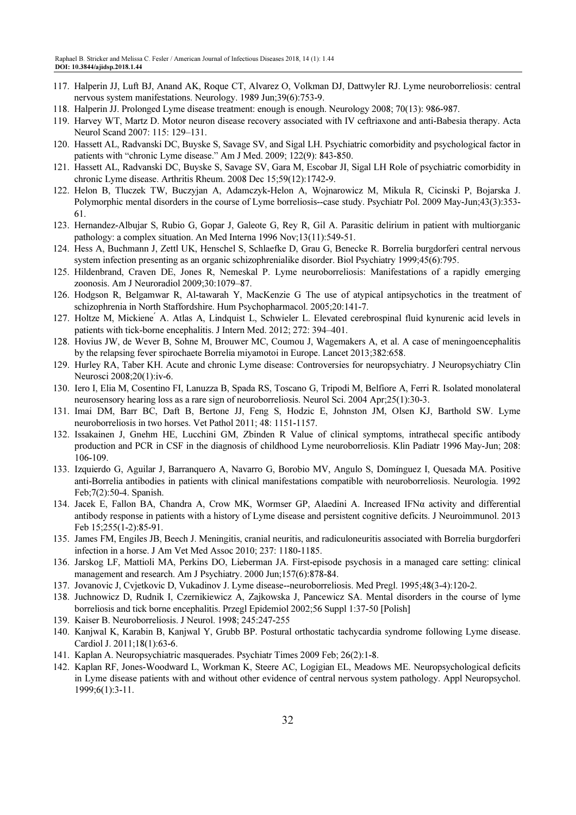- 117. Halperin JJ, Luft BJ, Anand AK, Roque CT, Alvarez O, Volkman DJ, Dattwyler RJ. Lyme neuroborreliosis: central nervous system manifestations. Neurology. 1989 Jun;39(6):753-9.
- 118. Halperin JJ. Prolonged Lyme disease treatment: enough is enough. Neurology 2008; 70(13): 986-987.
- 119. Harvey WT, Martz D. Motor neuron disease recovery associated with IV ceftriaxone and anti-Babesia therapy. Acta Neurol Scand 2007: 115: 129–131.
- 120. Hassett AL, Radvanski DC, Buyske S, Savage SV, and Sigal LH. Psychiatric comorbidity and psychological factor in patients with "chronic Lyme disease." Am J Med. 2009; 122(9): 843-850.
- 121. Hassett AL, Radvanski DC, Buyske S, Savage SV, Gara M, Escobar JI, Sigal LH Role of psychiatric comorbidity in chronic Lyme disease. Arthritis Rheum. 2008 Dec 15;59(12):1742-9.
- 122. Helon B, Tluczek TW, Buczyjan A, Adamczyk-Helon A, Wojnarowicz M, Mikula R, Cicinski P, Bojarska J. Polymorphic mental disorders in the course of Lyme borreliosis--case study. Psychiatr Pol. 2009 May-Jun;43(3):353- 61.
- 123. Hernandez-Albujar S, Rubio G, Gopar J, Galeote G, Rey R, Gil A. Parasitic delirium in patient with multiorganic pathology: a complex situation. An Med Interna 1996 Nov;13(11):549-51.
- 124. Hess A, Buchmann J, Zettl UK, Henschel S, Schlaefke D, Grau G, Benecke R. Borrelia burgdorferi central nervous system infection presenting as an organic schizophrenialike disorder. Biol Psychiatry 1999;45(6):795.
- 125. Hildenbrand, Craven DE, Jones R, Nemeskal P. Lyme neuroborreliosis: Manifestations of a rapidly emerging zoonosis. Am J Neuroradiol 2009;30:1079–87.
- 126. Hodgson R, Belgamwar R, Al-tawarah Y, MacKenzie G The use of atypical antipsychotics in the treatment of schizophrenia in North Staffordshire. Hum Psychopharmacol. 2005;20:141-7.
- 127. Holtze M, Mickiene A. Atlas A, Lindquist L, Schwieler L. Elevated cerebrospinal fluid kynurenic acid levels in patients with tick-borne encephalitis. J Intern Med. 2012; 272: 394–401.
- 128. Hovius JW, de Wever B, Sohne M, Brouwer MC, Coumou J, Wagemakers A, et al. A case of meningoencephalitis by the relapsing fever spirochaete Borrelia miyamotoi in Europe. Lancet 2013;382:658.
- 129. Hurley RA, Taber KH. Acute and chronic Lyme disease: Controversies for neuropsychiatry. J Neuropsychiatry Clin Neurosci 2008;20(1):iv-6.
- 130. Iero I, Elia M, Cosentino FI, Lanuzza B, Spada RS, Toscano G, Tripodi M, Belfiore A, Ferri R. Isolated monolateral neurosensory hearing loss as a rare sign of neuroborreliosis. Neurol Sci. 2004 Apr;25(1):30-3.
- 131. Imai DM, Barr BC, Daft B, Bertone JJ, Feng S, Hodzic E, Johnston JM, Olsen KJ, Barthold SW. Lyme neuroborreliosis in two horses. Vet Pathol 2011; 48: 1151-1157.
- 132. Issakainen J, Gnehm HE, Lucchini GM, Zbinden R Value of clinical symptoms, intrathecal specific antibody production and PCR in CSF in the diagnosis of childhood Lyme neuroborreliosis. Klin Padiatr 1996 May-Jun; 208: 106-109.
- 133. Izquierdo G, Aguilar J, Barranquero A, Navarro G, Borobio MV, Angulo S, Domínguez I, Quesada MA. Positive anti-Borrelia antibodies in patients with clinical manifestations compatible with neuroborreliosis. Neurologia. 1992 Feb;7(2):50-4. Spanish.
- 134. Jacek E, Fallon BA, Chandra A, Crow MK, Wormser GP, Alaedini A. Increased IFNα activity and differential antibody response in patients with a history of Lyme disease and persistent cognitive deficits. J Neuroimmunol. 2013 Feb 15;255(1-2):85-91.
- 135. James FM, Engiles JB, Beech J. Meningitis, cranial neuritis, and radiculoneuritis associated with Borrelia burgdorferi infection in a horse. J Am Vet Med Assoc 2010; 237: 1180-1185.
- 136. Jarskog LF, Mattioli MA, Perkins DO, Lieberman JA. First-episode psychosis in a managed care setting: clinical management and research. Am J Psychiatry. 2000 Jun;157(6):878-84.
- 137. Jovanovic J, Cvjetkovic D, Vukadinov J. Lyme disease--neuroborreliosis. Med Pregl. 1995;48(3-4):120-2.
- 138. Juchnowicz D, Rudnik I, Czernikiewicz A, Zajkowska J, Pancewicz SA. Mental disorders in the course of lyme borreliosis and tick borne encephalitis. Przegl Epidemiol 2002;56 Suppl 1:37-50 [Polish]
- 139. Kaiser B. Neuroborreliosis. J Neurol. 1998; 245:247-255
- 140. Kanjwal K, Karabin B, Kanjwal Y, Grubb BP. Postural orthostatic tachycardia syndrome following Lyme disease. Cardiol J. 2011;18(1):63-6.
- 141. Kaplan A. Neuropsychiatric masquerades. Psychiatr Times 2009 Feb; 26(2):1-8.
- 142. Kaplan RF, Jones-Woodward L, Workman K, Steere AC, Logigian EL, Meadows ME. Neuropsychological deficits in Lyme disease patients with and without other evidence of central nervous system pathology. Appl Neuropsychol. 1999;6(1):3-11.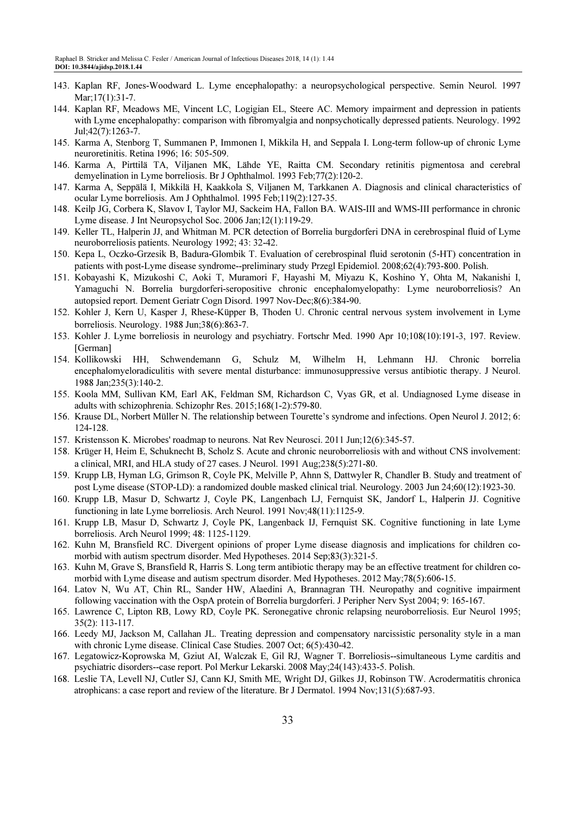- 143. Kaplan RF, Jones-Woodward L. Lyme encephalopathy: a neuropsychological perspective. Semin Neurol. 1997 Mar;17(1):31-7.
- 144. Kaplan RF, Meadows ME, Vincent LC, Logigian EL, Steere AC. Memory impairment and depression in patients with Lyme encephalopathy: comparison with fibromyalgia and nonpsychotically depressed patients. Neurology. 1992 Jul;42(7):1263-7.
- 145. Karma A, Stenborg T, Summanen P, Immonen I, Mikkila H, and Seppala I. Long-term follow-up of chronic Lyme neuroretinitis. Retina 1996; 16: 505-509.
- 146. Karma A, Pirttilä TA, Viljanen MK, Lähde YE, Raitta CM. Secondary retinitis pigmentosa and cerebral demyelination in Lyme borreliosis. Br J Ophthalmol. 1993 Feb;77(2):120-2.
- 147. Karma A, Seppälä I, Mikkilä H, Kaakkola S, Viljanen M, Tarkkanen A. Diagnosis and clinical characteristics of ocular Lyme borreliosis. Am J Ophthalmol. 1995 Feb;119(2):127-35.
- 148. Keilp JG, Corbera K, Slavov I, Taylor MJ, Sackeim HA, Fallon BA. WAIS-III and WMS-III performance in chronic Lyme disease. J Int Neuropsychol Soc. 2006 Jan;12(1):119-29.
- 149. Keller TL, Halperin JJ, and Whitman M. PCR detection of Borrelia burgdorferi DNA in cerebrospinal fluid of Lyme neuroborreliosis patients. Neurology 1992; 43: 32-42.
- 150. Kepa L, Oczko-Grzesik B, Badura-Glombik T. Evaluation of cerebrospinal fluid serotonin (5-HT) concentration in patients with post-Lyme disease syndrome--preliminary study Przegl Epidemiol. 2008;62(4):793-800. Polish.
- 151. Kobayashi K, Mizukoshi C, Aoki T, Muramori F, Hayashi M, Miyazu K, Koshino Y, Ohta M, Nakanishi I, Yamaguchi N. Borrelia burgdorferi-seropositive chronic encephalomyelopathy: Lyme neuroborreliosis? An autopsied report. Dement Geriatr Cogn Disord. 1997 Nov-Dec;8(6):384-90.
- 152. Kohler J, Kern U, Kasper J, Rhese-Küpper B, Thoden U. Chronic central nervous system involvement in Lyme borreliosis. Neurology. 1988 Jun;38(6):863-7.
- 153. Kohler J. Lyme borreliosis in neurology and psychiatry. Fortschr Med. 1990 Apr 10;108(10):191-3, 197. Review. [German]
- 154. Kollikowski HH, Schwendemann G, Schulz M, Wilhelm H, Lehmann HJ. Chronic borrelia encephalomyeloradiculitis with severe mental disturbance: immunosuppressive versus antibiotic therapy. J Neurol. 1988 Jan;235(3):140-2.
- 155. Koola MM, Sullivan KM, Earl AK, Feldman SM, Richardson C, Vyas GR, et al. Undiagnosed Lyme disease in adults with schizophrenia. Schizophr Res. 2015;168(1-2):579-80.
- 156. Krause DL, Norbert Müller N. The relationship between Tourette's syndrome and infections. Open Neurol J. 2012; 6: 124-128.
- 157. Kristensson K. Microbes' roadmap to neurons. Nat Rev Neurosci. 2011 Jun;12(6):345-57.
- 158. Krüger H, Heim E, Schuknecht B, Scholz S. Acute and chronic neuroborreliosis with and without CNS involvement: a clinical, MRI, and HLA study of 27 cases. J Neurol. 1991 Aug;238(5):271-80.
- 159. Krupp LB, Hyman LG, Grimson R, Coyle PK, Melville P, Ahnn S, Dattwyler R, Chandler B. Study and treatment of post Lyme disease (STOP-LD): a randomized double masked clinical trial. Neurology. 2003 Jun 24;60(12):1923-30.
- 160. Krupp LB, Masur D, Schwartz J, Coyle PK, Langenbach LJ, Fernquist SK, Jandorf L, Halperin JJ. Cognitive functioning in late Lyme borreliosis. Arch Neurol. 1991 Nov;48(11):1125-9.
- 161. Krupp LB, Masur D, Schwartz J, Coyle PK, Langenback IJ, Fernquist SK. Cognitive functioning in late Lyme borreliosis. Arch Neurol 1999; 48: 1125-1129.
- 162. Kuhn M, Bransfield RC. Divergent opinions of proper Lyme disease diagnosis and implications for children comorbid with autism spectrum disorder. Med Hypotheses. 2014 Sep;83(3):321-5.
- 163. Kuhn M, Grave S, Bransfield R, Harris S. Long term antibiotic therapy may be an effective treatment for children comorbid with Lyme disease and autism spectrum disorder. Med Hypotheses. 2012 May;78(5):606-15.
- 164. Latov N, Wu AT, Chin RL, Sander HW, Alaedini A, Brannagran TH. Neuropathy and cognitive impairment following vaccination with the OspA protein of Borrelia burgdorferi. J Peripher Nerv Syst 2004; 9: 165-167.
- 165. Lawrence C, Lipton RB, Lowy RD, Coyle PK. Seronegative chronic relapsing neuroborreliosis. Eur Neurol 1995; 35(2): 113-117.
- 166. Leedy MJ, Jackson M, Callahan JL. Treating depression and compensatory narcissistic personality style in a man with chronic Lyme disease. Clinical Case Studies. 2007 Oct; 6(5):430-42.
- 167. Legatowicz-Koprowska M, Gziut AI, Walczak E, Gil RJ, Wagner T. Borreliosis--simultaneous Lyme carditis and psychiatric disorders--case report. Pol Merkur Lekarski. 2008 May;24(143):433-5. Polish.
- 168. Leslie TA, Levell NJ, Cutler SJ, Cann KJ, Smith ME, Wright DJ, Gilkes JJ, Robinson TW. Acrodermatitis chronica atrophicans: a case report and review of the literature. Br J Dermatol. 1994 Nov;131(5):687-93.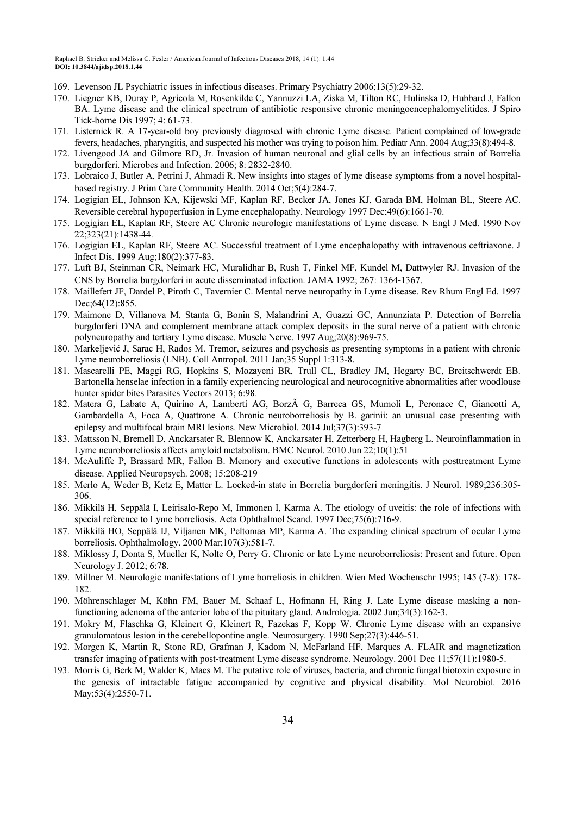- 169. Levenson JL Psychiatric issues in infectious diseases. Primary Psychiatry 2006;13(5):29-32.
- 170. Liegner KB, Duray P, Agricola M, Rosenkilde C, Yannuzzi LA, Ziska M, Tilton RC, Hulinska D, Hubbard J, Fallon BA. Lyme disease and the clinical spectrum of antibiotic responsive chronic meningoencephalomyelitides. J Spiro Tick-borne Dis 1997; 4: 61-73.
- 171. Listernick R. A 17-year-old boy previously diagnosed with chronic Lyme disease. Patient complained of low-grade fevers, headaches, pharyngitis, and suspected his mother was trying to poison him. Pediatr Ann. 2004 Aug;33(8):494-8.
- 172. Livengood JA and Gilmore RD, Jr. Invasion of human neuronal and glial cells by an infectious strain of Borrelia burgdorferi. Microbes and Infection. 2006; 8: 2832-2840.
- 173. Lobraico J, Butler A, Petrini J, Ahmadi R. New insights into stages of lyme disease symptoms from a novel hospitalbased registry. J Prim Care Community Health. 2014 Oct;5(4):284-7.
- 174. Logigian EL, Johnson KA, Kijewski MF, Kaplan RF, Becker JA, Jones KJ, Garada BM, Holman BL, Steere AC. Reversible cerebral hypoperfusion in Lyme encephalopathy. Neurology 1997 Dec;49(6):1661-70.
- 175. Logigian EL, Kaplan RF, Steere AC Chronic neurologic manifestations of Lyme disease. N Engl J Med. 1990 Nov 22;323(21):1438-44.
- 176. Logigian EL, Kaplan RF, Steere AC. Successful treatment of Lyme encephalopathy with intravenous ceftriaxone. J Infect Dis. 1999 Aug;180(2):377-83.
- 177. Luft BJ, Steinman CR, Neimark HC, Muralidhar B, Rush T, Finkel MF, Kundel M, Dattwyler RJ. Invasion of the CNS by Borrelia burgdorferi in acute disseminated infection. JAMA 1992; 267: 1364-1367.
- 178. Maillefert JF, Dardel P, Piroth C, Tavernier C. Mental nerve neuropathy in Lyme disease. Rev Rhum Engl Ed. 1997 Dec;64(12):855.
- 179. Maimone D, Villanova M, Stanta G, Bonin S, Malandrini A, Guazzi GC, Annunziata P. Detection of Borrelia burgdorferi DNA and complement membrane attack complex deposits in the sural nerve of a patient with chronic polyneuropathy and tertiary Lyme disease. Muscle Nerve. 1997 Aug;20(8):969-75.
- 180. Markeljević J, Sarac H, Rados M. Tremor, seizures and psychosis as presenting symptoms in a patient with chronic Lyme neuroborreliosis (LNB). Coll Antropol. 2011 Jan;35 Suppl 1:313-8.
- 181. Mascarelli PE, Maggi RG, Hopkins S, Mozayeni BR, Trull CL, Bradley JM, Hegarty BC, Breitschwerdt EB. Bartonella henselae infection in a family experiencing neurological and neurocognitive abnormalities after woodlouse hunter spider bites Parasites Vectors 2013; 6:98.
- 182. Matera G, Labate A, Quirino A, Lamberti AG, Borzà G, Barreca GS, Mumoli L, Peronace C, Giancotti A, Gambardella A, Foca A, Quattrone A. Chronic neuroborreliosis by B. garinii: an unusual case presenting with epilepsy and multifocal brain MRI lesions. New Microbiol. 2014 Jul;37(3):393-7
- 183. Mattsson N, Bremell D, Anckarsater R, Blennow K, Anckarsater H, Zetterberg H, Hagberg L. Neuroinflammation in Lyme neuroborreliosis affects amyloid metabolism. BMC Neurol. 2010 Jun 22;10(1):51
- 184. McAuliffe P, Brassard MR, Fallon B. Memory and executive functions in adolescents with posttreatment Lyme disease. Applied Neuropsych. 2008; 15:208-219
- 185. Merlo A, Weder B, Ketz E, Matter L. Locked-in state in Borrelia burgdorferi meningitis. J Neurol. 1989;236:305- 306.
- 186. Mikkilä H, Seppälä I, Leirisalo-Repo M, Immonen I, Karma A. The etiology of uveitis: the role of infections with special reference to Lyme borreliosis. Acta Ophthalmol Scand. 1997 Dec;75(6):716-9.
- 187. Mikkilä HO, Seppälä IJ, Viljanen MK, Peltomaa MP, Karma A. The expanding clinical spectrum of ocular Lyme borreliosis. Ophthalmology. 2000 Mar;107(3):581-7.
- 188. Miklossy J, Donta S, Mueller K, Nolte O, Perry G. Chronic or late Lyme neuroborreliosis: Present and future. Open Neurology J. 2012; 6:78.
- 189. Millner M. Neurologic manifestations of Lyme borreliosis in children. Wien Med Wochenschr 1995; 145 (7-8): 178- 182.
- 190. Möhrenschlager M, Köhn FM, Bauer M, Schaaf L, Hofmann H, Ring J. Late Lyme disease masking a nonfunctioning adenoma of the anterior lobe of the pituitary gland. Andrologia. 2002 Jun;34(3):162-3.
- 191. Mokry M, Flaschka G, Kleinert G, Kleinert R, Fazekas F, Kopp W. Chronic Lyme disease with an expansive granulomatous lesion in the cerebellopontine angle. Neurosurgery. 1990 Sep;27(3):446-51.
- 192. Morgen K, Martin R, Stone RD, Grafman J, Kadom N, McFarland HF, Marques A. FLAIR and magnetization transfer imaging of patients with post-treatment Lyme disease syndrome. Neurology. 2001 Dec 11;57(11):1980-5.
- 193. Morris G, Berk M, Walder K, Maes M. The putative role of viruses, bacteria, and chronic fungal biotoxin exposure in the genesis of intractable fatigue accompanied by cognitive and physical disability. Mol Neurobiol. 2016 May;53(4):2550-71.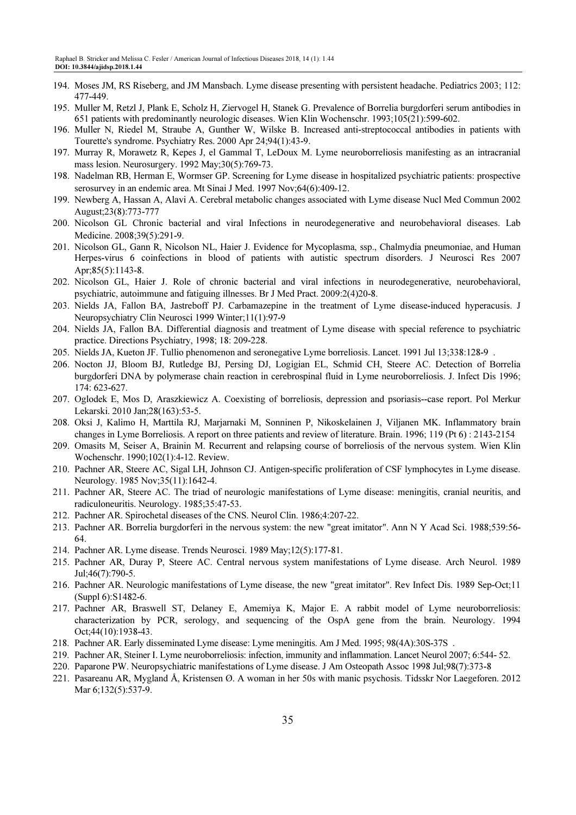- 194. Moses JM, RS Riseberg, and JM Mansbach. Lyme disease presenting with persistent headache. Pediatrics 2003; 112: 477-449.
- 195. Muller M, Retzl J, Plank E, Scholz H, Ziervogel H, Stanek G. Prevalence of Borrelia burgdorferi serum antibodies in 651 patients with predominantly neurologic diseases. Wien Klin Wochenschr. 1993;105(21):599-602.
- 196. Muller N, Riedel M, Straube A, Gunther W, Wilske B. Increased anti-streptococcal antibodies in patients with Tourette's syndrome. Psychiatry Res. 2000 Apr 24;94(1):43-9.
- 197. Murray R, Morawetz R, Kepes J, el Gammal T, LeDoux M. Lyme neuroborreliosis manifesting as an intracranial mass lesion. Neurosurgery. 1992 May;30(5):769-73.
- 198. Nadelman RB, Herman E, Wormser GP. Screening for Lyme disease in hospitalized psychiatric patients: prospective serosurvey in an endemic area. Mt Sinai J Med. 1997 Nov;64(6):409-12.
- 199. Newberg A, Hassan A, Alavi A. Cerebral metabolic changes associated with Lyme disease Nucl Med Commun 2002 August;23(8):773-777
- 200. Nicolson GL Chronic bacterial and viral Infections in neurodegenerative and neurobehavioral diseases. Lab Medicine. 2008;39(5):291-9.
- 201. Nicolson GL, Gann R, Nicolson NL, Haier J. Evidence for Mycoplasma, ssp., Chalmydia pneumoniae, and Human Herpes-virus 6 coinfections in blood of patients with autistic spectrum disorders. J Neurosci Res 2007 Apr;85(5):1143-8.
- 202. Nicolson GL, Haier J. Role of chronic bacterial and viral infections in neurodegenerative, neurobehavioral, psychiatric, autoimmune and fatiguing illnesses. Br J Med Pract. 2009:2(4)20-8.
- 203. Nields JA, Fallon BA, Jastreboff PJ. Carbamazepine in the treatment of Lyme disease-induced hyperacusis. J Neuropsychiatry Clin Neurosci 1999 Winter;11(1):97-9
- 204. Nields JA, Fallon BA. Differential diagnosis and treatment of Lyme disease with special reference to psychiatric practice. Directions Psychiatry, 1998; 18: 209-228.
- 205. Nields JA, Kueton JF. Tullio phenomenon and seronegative Lyme borreliosis. Lancet. 1991 Jul 13;338:128-9 .
- 206. Nocton JJ, Bloom BJ, Rutledge BJ, Persing DJ, Logigian EL, Schmid CH, Steere AC. Detection of Borrelia burgdorferi DNA by polymerase chain reaction in cerebrospinal fluid in Lyme neuroborreliosis. J. Infect Dis 1996; 174: 623-627.
- 207. Oglodek E, Mos D, Araszkiewicz A. Coexisting of borreliosis, depression and psoriasis--case report. Pol Merkur Lekarski. 2010 Jan;28(163):53-5.
- 208. Oksi J, Kalimo H, Marttila RJ, Marjarnaki M, Sonninen P, Nikoskelainen J, Viljanen MK. Inflammatory brain changes in Lyme Borreliosis. A report on three patients and review of literature. Brain. 1996; 119 (Pt 6) : 2143-2154
- 209. Omasits M, Seiser A, Brainin M. Recurrent and relapsing course of borreliosis of the nervous system. Wien Klin Wochenschr. 1990;102(1):4-12. Review.
- 210. Pachner AR, Steere AC, Sigal LH, Johnson CJ. Antigen-specific proliferation of CSF lymphocytes in Lyme disease. Neurology. 1985 Nov;35(11):1642-4.
- 211. Pachner AR, Steere AC. The triad of neurologic manifestations of Lyme disease: meningitis, cranial neuritis, and radiculoneuritis. Neurology. 1985;35:47-53.
- 212. Pachner AR. Spirochetal diseases of the CNS. Neurol Clin. 1986;4:207-22.
- 213. Pachner AR. Borrelia burgdorferi in the nervous system: the new "great imitator". Ann N Y Acad Sci. 1988;539:56- 64.
- 214. Pachner AR. Lyme disease. Trends Neurosci. 1989 May;12(5):177-81.
- 215. Pachner AR, Duray P, Steere AC. Central nervous system manifestations of Lyme disease. Arch Neurol. 1989 Jul;46(7):790-5.
- 216. Pachner AR. Neurologic manifestations of Lyme disease, the new "great imitator". Rev Infect Dis. 1989 Sep-Oct;11 (Suppl 6):S1482-6.
- 217. Pachner AR, Braswell ST, Delaney E, Amemiya K, Major E. A rabbit model of Lyme neuroborreliosis: characterization by PCR, serology, and sequencing of the OspA gene from the brain. Neurology. 1994 Oct;44(10):1938-43.
- 218. Pachner AR. Early disseminated Lyme disease: Lyme meningitis. Am J Med. 1995; 98(4A):30S-37S .
- 219. Pachner AR, Steiner I. Lyme neuroborreliosis: infection, immunity and inflammation. Lancet Neurol 2007; 6:544- 52.
- 220. Paparone PW. Neuropsychiatric manifestations of Lyme disease. J Am Osteopath Assoc 1998 Jul;98(7):373-8
- 221. Pasareanu AR, Mygland Å, Kristensen Ø. A woman in her 50s with manic psychosis. Tidsskr Nor Laegeforen. 2012 Mar 6;132(5):537-9.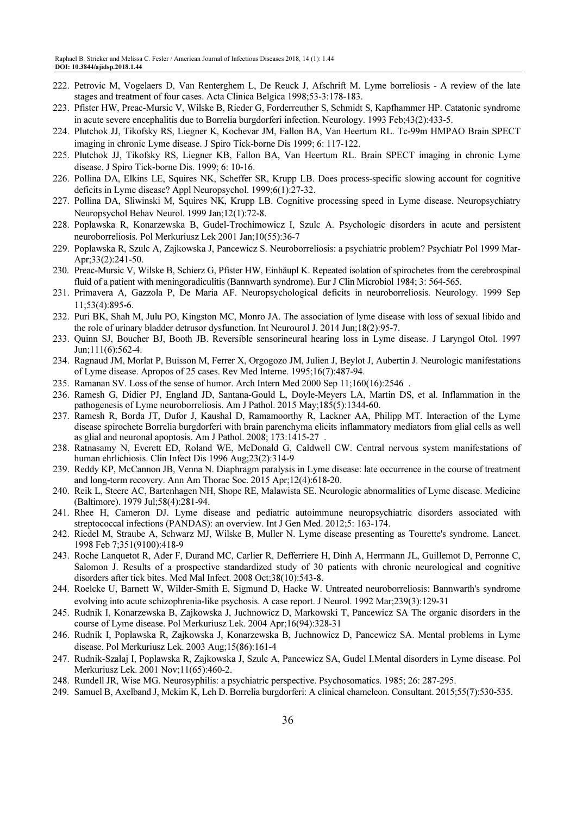- 222. Petrovic M, Vogelaers D, Van Renterghem L, De Reuck J, Afschrift M. Lyme borreliosis A review of the late stages and treatment of four cases. Acta Clinica Belgica 1998;53-3:178-183.
- 223. Pfister HW, Preac-Mursic V, Wilske B, Rieder G, Forderreuther S, Schmidt S, Kapfhammer HP. Catatonic syndrome in acute severe encephalitis due to Borrelia burgdorferi infection. Neurology. 1993 Feb;43(2):433-5.
- 224. Plutchok JJ, Tikofsky RS, Liegner K, Kochevar JM, Fallon BA, Van Heertum RL. Tc-99m HMPAO Brain SPECT imaging in chronic Lyme disease. J Spiro Tick-borne Dis 1999; 6: 117-122.
- 225. Plutchok JJ, Tikofsky RS, Liegner KB, Fallon BA, Van Heertum RL. Brain SPECT imaging in chronic Lyme disease. J Spiro Tick-borne Dis. 1999; 6: 10-16.
- 226. Pollina DA, Elkins LE, Squires NK, Scheffer SR, Krupp LB. Does process-specific slowing account for cognitive deficits in Lyme disease? Appl Neuropsychol. 1999;6(1):27-32.
- 227. Pollina DA, Sliwinski M, Squires NK, Krupp LB. Cognitive processing speed in Lyme disease. Neuropsychiatry Neuropsychol Behav Neurol. 1999 Jan;12(1):72-8.
- 228. Poplawska R, Konarzewska B, Gudel-Trochimowicz I, Szulc A. Psychologic disorders in acute and persistent neuroborreliosis. Pol Merkuriusz Lek 2001 Jan;10(55):36-7
- 229. Poplawska R, Szulc A, Zajkowska J, Pancewicz S. Neuroborreliosis: a psychiatric problem? Psychiatr Pol 1999 Mar-Apr;33(2):241-50.
- 230. Preac-Mursic V, Wilske B, Schierz G, Pfister HW, Einhäupl K. Repeated isolation of spirochetes from the cerebrospinal fluid of a patient with meningoradiculitis (Bannwarth syndrome). Eur J Clin Microbiol 1984; 3: 564-565.
- 231. Primavera A, Gazzola P, De Maria AF. Neuropsychological deficits in neuroborreliosis. Neurology. 1999 Sep 11;53(4):895-6.
- 232. Puri BK, Shah M, Julu PO, Kingston MC, Monro JA. The association of lyme disease with loss of sexual libido and the role of urinary bladder detrusor dysfunction. Int Neurourol J. 2014 Jun;18(2):95-7.
- 233. Quinn SJ, Boucher BJ, Booth JB. Reversible sensorineural hearing loss in Lyme disease. J Laryngol Otol. 1997 Jun;111(6):562-4.
- 234. Ragnaud JM, Morlat P, Buisson M, Ferrer X, Orgogozo JM, Julien J, Beylot J, Aubertin J. Neurologic manifestations of Lyme disease. Apropos of 25 cases. Rev Med Interne. 1995;16(7):487-94.
- 235. Ramanan SV. Loss of the sense of humor. Arch Intern Med 2000 Sep 11;160(16):2546 .
- 236. Ramesh G, Didier PJ, England JD, Santana-Gould L, Doyle-Meyers LA, Martin DS, et al. Inflammation in the pathogenesis of Lyme neuroborreliosis. Am J Pathol. 2015 May;185(5):1344-60.
- 237. Ramesh R, Borda JT, Dufor J, Kaushal D, Ramamoorthy R, Lackner AA, Philipp MT. Interaction of the Lyme disease spirochete Borrelia burgdorferi with brain parenchyma elicits inflammatory mediators from glial cells as well as glial and neuronal apoptosis. Am J Pathol. 2008; 173:1415-27 .
- 238. Ratnasamy N, Everett ED, Roland WE, McDonald G, Caldwell CW. Central nervous system manifestations of human ehrlichiosis. Clin Infect Dis 1996 Aug;23(2):314-9
- 239. Reddy KP, McCannon JB, Venna N. Diaphragm paralysis in Lyme disease: late occurrence in the course of treatment and long-term recovery. Ann Am Thorac Soc. 2015 Apr;12(4):618-20.
- 240. Reik L, Steere AC, Bartenhagen NH, Shope RE, Malawista SE. Neurologic abnormalities of Lyme disease. Medicine (Baltimore). 1979 Jul;58(4):281-94.
- 241. Rhee H, Cameron DJ. Lyme disease and pediatric autoimmune neuropsychiatric disorders associated with streptococcal infections (PANDAS): an overview. Int J Gen Med. 2012;5: 163-174.
- 242. Riedel M, Straube A, Schwarz MJ, Wilske B, Muller N. Lyme disease presenting as Tourette's syndrome. Lancet. 1998 Feb 7;351(9100):418-9
- 243. Roche Lanquetot R, Ader F, Durand MC, Carlier R, Defferriere H, Dinh A, Herrmann JL, Guillemot D, Perronne C, Salomon J. Results of a prospective standardized study of 30 patients with chronic neurological and cognitive disorders after tick bites. Med Mal Infect. 2008 Oct;38(10):543-8.
- 244. Roelcke U, Barnett W, Wilder-Smith E, Sigmund D, Hacke W. Untreated neuroborreliosis: Bannwarth's syndrome evolving into acute schizophrenia-like psychosis. A case report. J Neurol. 1992 Mar;239(3):129-31
- 245. Rudnik I, Konarzewska B, Zajkowska J, Juchnowicz D, Markowski T, Pancewicz SA The organic disorders in the course of Lyme disease. Pol Merkuriusz Lek. 2004 Apr;16(94):328-31
- 246. Rudnik I, Poplawska R, Zajkowska J, Konarzewska B, Juchnowicz D, Pancewicz SA. Mental problems in Lyme disease. Pol Merkuriusz Lek. 2003 Aug;15(86):161-4
- 247. Rudnik-Szalaj I, Poplawska R, Zajkowska J, Szulc A, Pancewicz SA, Gudel I.Mental disorders in Lyme disease. Pol Merkuriusz Lek. 2001 Nov;11(65):460-2.
- 248. Rundell JR, Wise MG. Neurosyphilis: a psychiatric perspective. Psychosomatics. 1985; 26: 287-295.
- 249. Samuel B, Axelband J, Mckim K, Leh D. Borrelia burgdorferi: A clinical chameleon. Consultant. 2015;55(7):530-535.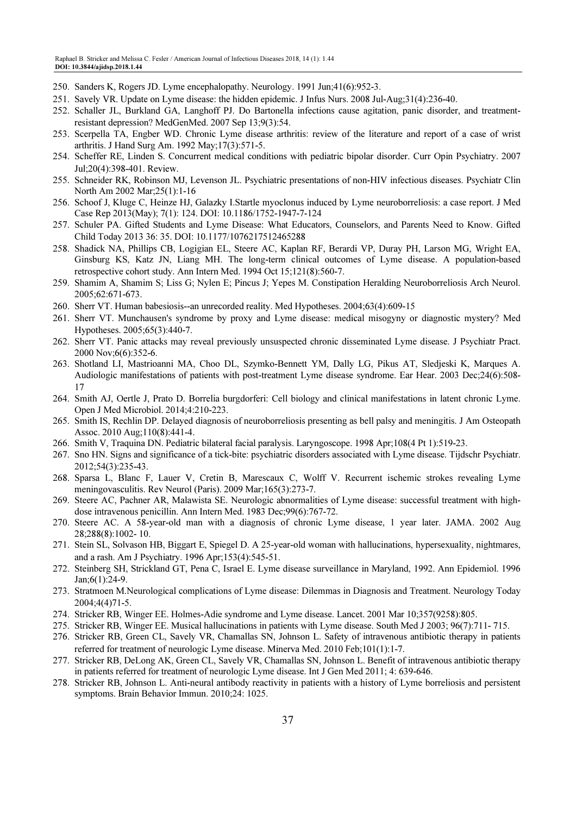- 250. Sanders K, Rogers JD. Lyme encephalopathy. Neurology. 1991 Jun;41(6):952-3.
- 251. Savely VR. Update on Lyme disease: the hidden epidemic. J Infus Nurs. 2008 Jul-Aug;31(4):236-40.
- 252. Schaller JL, Burkland GA, Langhoff PJ. Do Bartonella infections cause agitation, panic disorder, and treatmentresistant depression? MedGenMed. 2007 Sep 13;9(3):54.
- 253. Scerpella TA, Engber WD. Chronic Lyme disease arthritis: review of the literature and report of a case of wrist arthritis. J Hand Surg Am. 1992 May;17(3):571-5.
- 254. Scheffer RE, Linden S. Concurrent medical conditions with pediatric bipolar disorder. Curr Opin Psychiatry. 2007 Jul;20(4):398-401. Review.
- 255. Schneider RK, Robinson MJ, Levenson JL. Psychiatric presentations of non-HIV infectious diseases. Psychiatr Clin North Am 2002 Mar;25(1):1-16
- 256. Schoof J, Kluge C, Heinze HJ, Galazky I.Startle myoclonus induced by Lyme neuroborreliosis: a case report. J Med Case Rep 2013(May); 7(1): 124. DOI: 10.1186/1752-1947-7-124
- 257. Schuler PA. Gifted Students and Lyme Disease: What Educators, Counselors, and Parents Need to Know. Gifted Child Today 2013 36: 35. DOI: 10.1177/1076217512465288
- 258. Shadick NA, Phillips CB, Logigian EL, Steere AC, Kaplan RF, Berardi VP, Duray PH, Larson MG, Wright EA, Ginsburg KS, Katz JN, Liang MH. The long-term clinical outcomes of Lyme disease. A population-based retrospective cohort study. Ann Intern Med. 1994 Oct 15;121(8):560-7.
- 259. Shamim A, Shamim S; Liss G; Nylen E; Pincus J; Yepes M. Constipation Heralding Neuroborreliosis Arch Neurol. 2005;62:671-673.
- 260. Sherr VT. Human babesiosis--an unrecorded reality. Med Hypotheses. 2004;63(4):609-15
- 261. Sherr VT. Munchausen's syndrome by proxy and Lyme disease: medical misogyny or diagnostic mystery? Med Hypotheses. 2005;65(3):440-7.
- 262. Sherr VT. Panic attacks may reveal previously unsuspected chronic disseminated Lyme disease. J Psychiatr Pract. 2000 Nov;6(6):352-6.
- 263. Shotland LI, Mastrioanni MA, Choo DL, Szymko-Bennett YM, Dally LG, Pikus AT, Sledjeski K, Marques A. Audiologic manifestations of patients with post-treatment Lyme disease syndrome. Ear Hear. 2003 Dec;24(6):508- 17
- 264. Smith AJ, Oertle J, Prato D. Borrelia burgdorferi: Cell biology and clinical manifestations in latent chronic Lyme. Open J Med Microbiol. 2014;4:210-223.
- 265. Smith IS, Rechlin DP. Delayed diagnosis of neuroborreliosis presenting as bell palsy and meningitis. J Am Osteopath Assoc. 2010 Aug;110(8):441-4.
- 266. Smith V, Traquina DN. Pediatric bilateral facial paralysis. Laryngoscope. 1998 Apr;108(4 Pt 1):519-23.
- 267. Sno HN. Signs and significance of a tick-bite: psychiatric disorders associated with Lyme disease. Tijdschr Psychiatr. 2012;54(3):235-43.
- 268. Sparsa L, Blanc F, Lauer V, Cretin B, Marescaux C, Wolff V. Recurrent ischemic strokes revealing Lyme meningovasculitis. Rev Neurol (Paris). 2009 Mar;165(3):273-7.
- 269. Steere AC, Pachner AR, Malawista SE. Neurologic abnormalities of Lyme disease: successful treatment with highdose intravenous penicillin. Ann Intern Med. 1983 Dec;99(6):767-72.
- 270. Steere AC. A 58-year-old man with a diagnosis of chronic Lyme disease, 1 year later. JAMA. 2002 Aug 28;288(8):1002- 10.
- 271. Stein SL, Solvason HB, Biggart E, Spiegel D. A 25-year-old woman with hallucinations, hypersexuality, nightmares, and a rash. Am J Psychiatry. 1996 Apr;153(4):545-51.
- 272. Steinberg SH, Strickland GT, Pena C, Israel E. Lyme disease surveillance in Maryland, 1992. Ann Epidemiol. 1996 Jan;6(1):24-9.
- 273. Stratmoen M.Neurological complications of Lyme disease: Dilemmas in Diagnosis and Treatment. Neurology Today 2004;4(4)71-5.
- 274. Stricker RB, Winger EE. Holmes-Adie syndrome and Lyme disease. Lancet. 2001 Mar 10;357(9258):805.
- 275. Stricker RB, Winger EE. Musical hallucinations in patients with Lyme disease. South Med J 2003; 96(7):711- 715.
- 276. Stricker RB, Green CL, Savely VR, Chamallas SN, Johnson L. Safety of intravenous antibiotic therapy in patients referred for treatment of neurologic Lyme disease. Minerva Med. 2010 Feb;101(1):1-7.
- 277. Stricker RB, DeLong AK, Green CL, Savely VR, Chamallas SN, Johnson L. Benefit of intravenous antibiotic therapy in patients referred for treatment of neurologic Lyme disease. Int J Gen Med 2011; 4: 639-646.
- 278. Stricker RB, Johnson L. Anti-neural antibody reactivity in patients with a history of Lyme borreliosis and persistent symptoms. Brain Behavior Immun. 2010;24: 1025.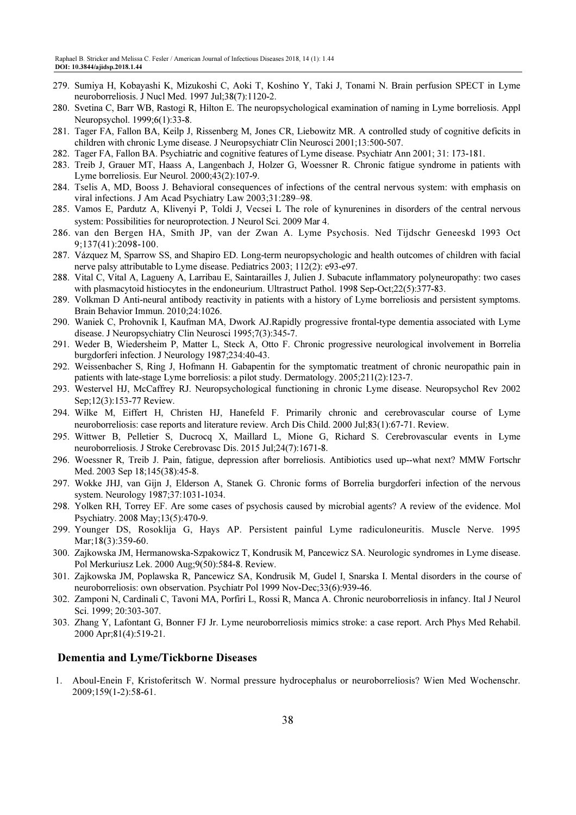- 279. Sumiya H, Kobayashi K, Mizukoshi C, Aoki T, Koshino Y, Taki J, Tonami N. Brain perfusion SPECT in Lyme neuroborreliosis. J Nucl Med. 1997 Jul;38(7):1120-2.
- 280. Svetina C, Barr WB, Rastogi R, Hilton E. The neuropsychological examination of naming in Lyme borreliosis. Appl Neuropsychol. 1999;6(1):33-8.
- 281. Tager FA, Fallon BA, Keilp J, Rissenberg M, Jones CR, Liebowitz MR. A controlled study of cognitive deficits in children with chronic Lyme disease. J Neuropsychiatr Clin Neurosci 2001;13:500-507.
- 282. Tager FA, Fallon BA. Psychiatric and cognitive features of Lyme disease. Psychiatr Ann 2001; 31: 173-181.
- 283. Treib J, Grauer MT, Haass A, Langenbach J, Holzer G, Woessner R. Chronic fatigue syndrome in patients with Lyme borreliosis. Eur Neurol. 2000;43(2):107-9.
- 284. Tselis A, MD, Booss J. Behavioral consequences of infections of the central nervous system: with emphasis on viral infections. J Am Acad Psychiatry Law 2003;31:289–98.
- 285. Vamos E, Pardutz A, Klivenyi P, Toldi J, Vecsei L The role of kynurenines in disorders of the central nervous system: Possibilities for neuroprotection. J Neurol Sci. 2009 Mar 4.
- 286. van den Bergen HA, Smith JP, van der Zwan A. Lyme Psychosis. Ned Tijdschr Geneeskd 1993 Oct 9;137(41):2098-100.
- 287. Vázquez M, Sparrow SS, and Shapiro ED. Long-term neuropsychologic and health outcomes of children with facial nerve palsy attributable to Lyme disease. Pediatrics 2003; 112(2): e93-e97.
- 288. Vital C, Vital A, Lagueny A, Larribau E, Saintarailles J, Julien J. Subacute inflammatory polyneuropathy: two cases with plasmacytoid histiocytes in the endoneurium. Ultrastruct Pathol. 1998 Sep-Oct; 22(5): 377-83.
- 289. Volkman D Anti-neural antibody reactivity in patients with a history of Lyme borreliosis and persistent symptoms. Brain Behavior Immun. 2010;24:1026.
- 290. Waniek C, Prohovnik I, Kaufman MA, Dwork AJ.Rapidly progressive frontal-type dementia associated with Lyme disease. J Neuropsychiatry Clin Neurosci 1995;7(3):345-7.
- 291. Weder B, Wiedersheim P, Matter L, Steck A, Otto F. Chronic progressive neurological involvement in Borrelia burgdorferi infection. J Neurology 1987;234:40-43.
- 292. Weissenbacher S, Ring J, Hofmann H. Gabapentin for the symptomatic treatment of chronic neuropathic pain in patients with late-stage Lyme borreliosis: a pilot study. Dermatology. 2005;211(2):123-7.
- 293. Westervel HJ, McCaffrey RJ. Neuropsychological functioning in chronic Lyme disease. Neuropsychol Rev 2002 Sep;12(3):153-77 Review.
- 294. Wilke M, Eiffert H, Christen HJ, Hanefeld F. Primarily chronic and cerebrovascular course of Lyme neuroborreliosis: case reports and literature review. Arch Dis Child. 2000 Jul;83(1):67-71. Review.
- 295. Wittwer B, Pelletier S, Ducrocq X, Maillard L, Mione G, Richard S. Cerebrovascular events in Lyme neuroborreliosis. J Stroke Cerebrovasc Dis. 2015 Jul;24(7):1671-8.
- 296. Woessner R, Treib J. Pain, fatigue, depression after borreliosis. Antibiotics used up--what next? MMW Fortschr Med. 2003 Sep 18;145(38):45-8.
- 297. Wokke JHJ, van Gijn J, Elderson A, Stanek G. Chronic forms of Borrelia burgdorferi infection of the nervous system. Neurology 1987;37:1031-1034.
- 298. Yolken RH, Torrey EF. Are some cases of psychosis caused by microbial agents? A review of the evidence. Mol Psychiatry. 2008 May;13(5):470-9.
- 299. Younger DS, Rosoklija G, Hays AP. Persistent painful Lyme radiculoneuritis. Muscle Nerve. 1995 Mar;18(3):359-60.
- 300. Zajkowska JM, Hermanowska-Szpakowicz T, Kondrusik M, Pancewicz SA. Neurologic syndromes in Lyme disease. Pol Merkuriusz Lek. 2000 Aug;9(50):584-8. Review.
- 301. Zajkowska JM, Poplawska R, Pancewicz SA, Kondrusik M, Gudel I, Snarska I. Mental disorders in the course of neuroborreliosis: own observation. Psychiatr Pol 1999 Nov-Dec;33(6):939-46.
- 302. Zamponi N, Cardinali C, Tavoni MA, Porfiri L, Rossi R, Manca A. Chronic neuroborreliosis in infancy. Ital J Neurol Sci. 1999; 20:303-307.
- 303. Zhang Y, Lafontant G, Bonner FJ Jr. Lyme neuroborreliosis mimics stroke: a case report. Arch Phys Med Rehabil. 2000 Apr;81(4):519-21.

#### Dementia and Lyme/Tickborne Diseases

1. Aboul-Enein F, Kristoferitsch W. Normal pressure hydrocephalus or neuroborreliosis? Wien Med Wochenschr. 2009;159(1-2):58-61.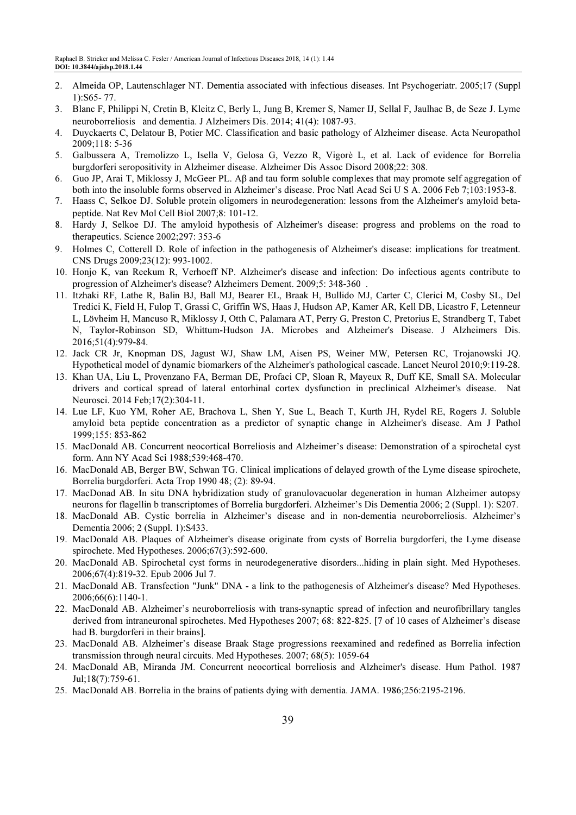- 2. Almeida OP, Lautenschlager NT. Dementia associated with infectious diseases. Int Psychogeriatr. 2005;17 (Suppl 1):S65- 77.
- 3. Blanc F, Philippi N, Cretin B, Kleitz C, Berly L, Jung B, Kremer S, Namer IJ, Sellal F, Jaulhac B, de Seze J. Lyme neuroborreliosis and dementia. J Alzheimers Dis. 2014; 41(4): 1087-93.
- 4. Duyckaerts C, Delatour B, Potier MC. Classification and basic pathology of Alzheimer disease. Acta Neuropathol 2009;118: 5-36
- 5. Galbussera A, Tremolizzo L, Isella V, Gelosa G, Vezzo R, Vigorè L, et al. Lack of evidence for Borrelia burgdorferi seropositivity in Alzheimer disease. Alzheimer Dis Assoc Disord 2008;22: 308.
- 6. Guo JP, Arai T, Miklossy J, McGeer PL. Aβ and tau form soluble complexes that may promote self aggregation of both into the insoluble forms observed in Alzheimer's disease. Proc Natl Acad Sci U S A. 2006 Feb 7;103:1953-8.
- 7. Haass C, Selkoe DJ. Soluble protein oligomers in neurodegeneration: lessons from the Alzheimer's amyloid betapeptide. Nat Rev Mol Cell Biol 2007;8: 101-12.
- 8. Hardy J, Selkoe DJ. The amyloid hypothesis of Alzheimer's disease: progress and problems on the road to therapeutics. Science 2002;297: 353-6
- 9. Holmes C, Cotterell D. Role of infection in the pathogenesis of Alzheimer's disease: implications for treatment. CNS Drugs 2009;23(12): 993-1002.
- 10. Honjo K, van Reekum R, Verhoeff NP. Alzheimer's disease and infection: Do infectious agents contribute to progression of Alzheimer's disease? Alzheimers Dement. 2009;5: 348-360 .
- 11. Itzhaki RF, Lathe R, Balin BJ, Ball MJ, Bearer EL, Braak H, Bullido MJ, Carter C, Clerici M, Cosby SL, Del Tredici K, Field H, Fulop T, Grassi C, Griffin WS, Haas J, Hudson AP, Kamer AR, Kell DB, Licastro F, Letenneur L, Lövheim H, Mancuso R, Miklossy J, Otth C, Palamara AT, Perry G, Preston C, Pretorius E, Strandberg T, Tabet N, Taylor-Robinson SD, Whittum-Hudson JA. Microbes and Alzheimer's Disease. J Alzheimers Dis. 2016;51(4):979-84.
- 12. Jack CR Jr, Knopman DS, Jagust WJ, Shaw LM, Aisen PS, Weiner MW, Petersen RC, Trojanowski JQ. Hypothetical model of dynamic biomarkers of the Alzheimer's pathological cascade. Lancet Neurol 2010;9:119-28.
- 13. Khan UA, Liu L, Provenzano FA, Berman DE, Profaci CP, Sloan R, Mayeux R, Duff KE, Small SA. Molecular drivers and cortical spread of lateral entorhinal cortex dysfunction in preclinical Alzheimer's disease. Nat Neurosci. 2014 Feb;17(2):304-11.
- 14. Lue LF, Kuo YM, Roher AE, Brachova L, Shen Y, Sue L, Beach T, Kurth JH, Rydel RE, Rogers J. Soluble amyloid beta peptide concentration as a predictor of synaptic change in Alzheimer's disease. Am J Pathol 1999;155: 853-862
- 15. MacDonald AB. Concurrent neocortical Borreliosis and Alzheimer's disease: Demonstration of a spirochetal cyst form. Ann NY Acad Sci 1988;539:468-470.
- 16. MacDonald AB, Berger BW, Schwan TG. Clinical implications of delayed growth of the Lyme disease spirochete, Borrelia burgdorferi. Acta Trop 1990 48; (2): 89-94.
- 17. MacDonad AB. In situ DNA hybridization study of granulovacuolar degeneration in human Alzheimer autopsy neurons for flagellin b transcriptomes of Borrelia burgdorferi. Alzheimer's Dis Dementia 2006; 2 (Suppl. 1): S207.
- 18. MacDonald AB. Cystic borrelia in Alzheimer's disease and in non-dementia neuroborreliosis. Alzheimer's Dementia 2006; 2 (Suppl. 1):S433.
- 19. MacDonald AB. Plaques of Alzheimer's disease originate from cysts of Borrelia burgdorferi, the Lyme disease spirochete. Med Hypotheses. 2006;67(3):592-600.
- 20. MacDonald AB. Spirochetal cyst forms in neurodegenerative disorders...hiding in plain sight. Med Hypotheses. 2006;67(4):819-32. Epub 2006 Jul 7.
- 21. MacDonald AB. Transfection "Junk" DNA a link to the pathogenesis of Alzheimer's disease? Med Hypotheses. 2006;66(6):1140-1.
- 22. MacDonald AB. Alzheimer's neuroborreliosis with trans-synaptic spread of infection and neurofibrillary tangles derived from intraneuronal spirochetes. Med Hypotheses 2007; 68: 822-825. [7 of 10 cases of Alzheimer's disease had B. burgdorferi in their brains].
- 23. MacDonald AB. Alzheimer's disease Braak Stage progressions reexamined and redefined as Borrelia infection transmission through neural circuits. Med Hypotheses. 2007; 68(5): 1059-64
- 24. MacDonald AB, Miranda JM. Concurrent neocortical borreliosis and Alzheimer's disease. Hum Pathol. 1987 Jul;18(7):759-61.
- 25. MacDonald AB. Borrelia in the brains of patients dying with dementia. JAMA. 1986;256:2195-2196.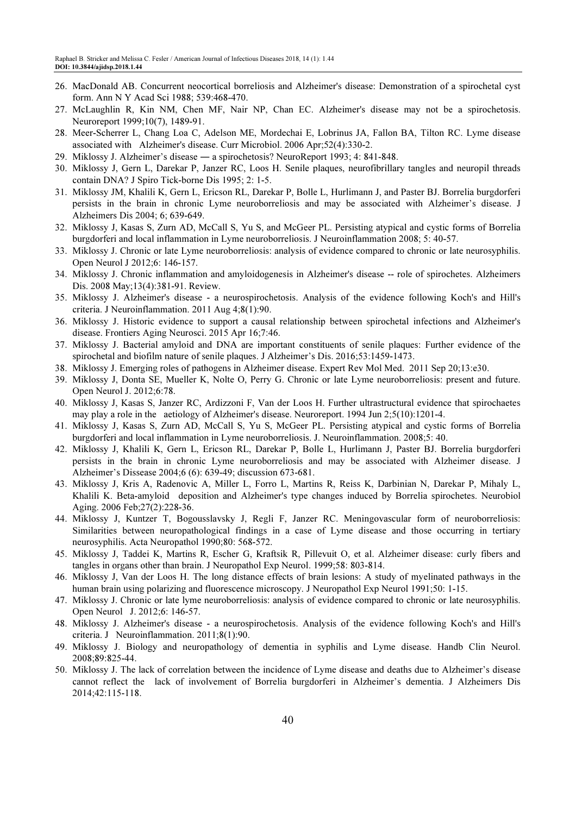- 26. MacDonald AB. Concurrent neocortical borreliosis and Alzheimer's disease: Demonstration of a spirochetal cyst form. Ann N Y Acad Sci 1988; 539:468-470.
- 27. McLaughlin R, Kin NM, Chen MF, Nair NP, Chan EC. Alzheimer's disease may not be a spirochetosis. Neuroreport 1999;10(7), 1489-91.
- 28. Meer-Scherrer L, Chang Loa C, Adelson ME, Mordechai E, Lobrinus JA, Fallon BA, Tilton RC. Lyme disease associated with Alzheimer's disease. Curr Microbiol. 2006 Apr;52(4):330-2.
- 29. Miklossy J. Alzheimer's disease ― a spirochetosis? NeuroReport 1993; 4: 841-848.
- 30. Miklossy J, Gern L, Darekar P, Janzer RC, Loos H. Senile plaques, neurofibrillary tangles and neuropil threads contain DNA? J Spiro Tick-borne Dis 1995; 2: 1-5.
- 31. Miklossy JM, Khalili K, Gern L, Ericson RL, Darekar P, Bolle L, Hurlimann J, and Paster BJ. Borrelia burgdorferi persists in the brain in chronic Lyme neuroborreliosis and may be associated with Alzheimer's disease. J Alzheimers Dis 2004; 6; 639-649.
- 32. Miklossy J, Kasas S, Zurn AD, McCall S, Yu S, and McGeer PL. Persisting atypical and cystic forms of Borrelia burgdorferi and local inflammation in Lyme neuroborreliosis. J Neuroinflammation 2008; 5: 40-57.
- 33. Miklossy J. Chronic or late Lyme neuroborreliosis: analysis of evidence compared to chronic or late neurosyphilis. Open Neurol J 2012;6: 146-157.
- 34. Miklossy J. Chronic inflammation and amyloidogenesis in Alzheimer's disease -- role of spirochetes. Alzheimers Dis. 2008 May;13(4):381-91. Review.
- 35. Miklossy J. Alzheimer's disease a neurospirochetosis. Analysis of the evidence following Koch's and Hill's criteria. J Neuroinflammation. 2011 Aug 4;8(1):90.
- 36. Miklossy J. Historic evidence to support a causal relationship between spirochetal infections and Alzheimer's disease. Frontiers Aging Neurosci. 2015 Apr 16;7:46.
- 37. Miklossy J. Bacterial amyloid and DNA are important constituents of senile plaques: Further evidence of the spirochetal and biofilm nature of senile plaques. J Alzheimer's Dis. 2016;53:1459-1473.
- 38. Miklossy J. Emerging roles of pathogens in Alzheimer disease. Expert Rev Mol Med. 2011 Sep 20;13:e30.
- 39. Miklossy J, Donta SE, Mueller K, Nolte O, Perry G. Chronic or late Lyme neuroborreliosis: present and future. Open Neurol J. 2012;6:78.
- 40. Miklossy J, Kasas S, Janzer RC, Ardizzoni F, Van der Loos H. Further ultrastructural evidence that spirochaetes may play a role in the aetiology of Alzheimer's disease. Neuroreport. 1994 Jun 2;5(10):1201-4.
- 41. Miklossy J, Kasas S, Zurn AD, McCall S, Yu S, McGeer PL. Persisting atypical and cystic forms of Borrelia burgdorferi and local inflammation in Lyme neuroborreliosis. J. Neuroinflammation. 2008;5: 40.
- 42. Miklossy J, Khalili K, Gern L, Ericson RL, Darekar P, Bolle L, Hurlimann J, Paster BJ. Borrelia burgdorferi persists in the brain in chronic Lyme neuroborreliosis and may be associated with Alzheimer disease. J Alzheimer's Dissease 2004;6 (6): 639-49; discussion 673-681.
- 43. Miklossy J, Kris A, Radenovic A, Miller L, Forro L, Martins R, Reiss K, Darbinian N, Darekar P, Mihaly L, Khalili K. Beta-amyloid deposition and Alzheimer's type changes induced by Borrelia spirochetes. Neurobiol Aging. 2006 Feb;27(2):228-36.
- 44. Miklossy J, Kuntzer T, Bogousslavsky J, Regli F, Janzer RC. Meningovascular form of neuroborreliosis: Similarities between neuropathological findings in a case of Lyme disease and those occurring in tertiary neurosyphilis. Acta Neuropathol 1990;80: 568-572.
- 45. Miklossy J, Taddei K, Martins R, Escher G, Kraftsik R, Pillevuit O, et al. Alzheimer disease: curly fibers and tangles in organs other than brain. J Neuropathol Exp Neurol. 1999;58: 803-814.
- 46. Miklossy J, Van der Loos H. The long distance effects of brain lesions: A study of myelinated pathways in the human brain using polarizing and fluorescence microscopy. J Neuropathol Exp Neurol 1991;50: 1-15.
- 47. Miklossy J. Chronic or late lyme neuroborreliosis: analysis of evidence compared to chronic or late neurosyphilis. Open Neurol J. 2012;6: 146-57.
- 48. Miklossy J. Alzheimer's disease a neurospirochetosis. Analysis of the evidence following Koch's and Hill's criteria. J Neuroinflammation. 2011;8(1):90.
- 49. Miklossy J. Biology and neuropathology of dementia in syphilis and Lyme disease. Handb Clin Neurol. 2008;89:825-44.
- 50. Miklossy J. The lack of correlation between the incidence of Lyme disease and deaths due to Alzheimer's disease cannot reflect the lack of involvement of Borrelia burgdorferi in Alzheimer's dementia. J Alzheimers Dis 2014;42:115-118.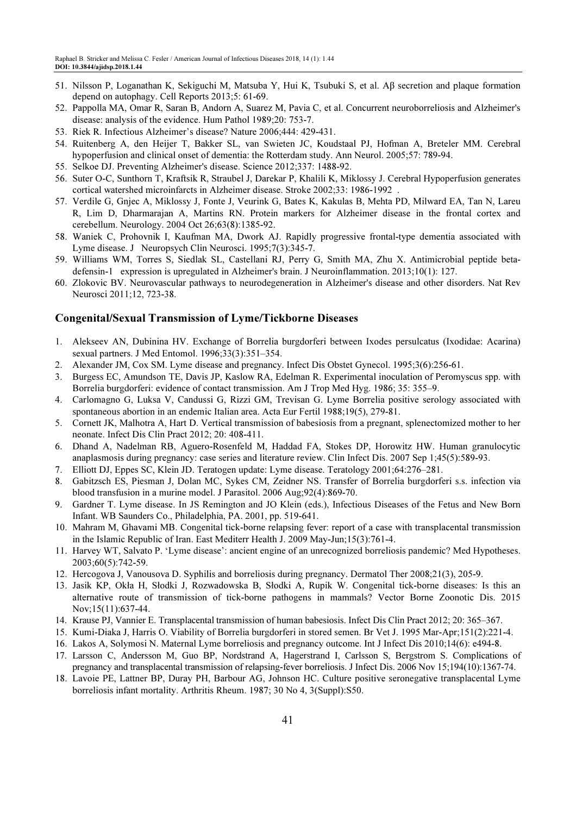- 51. Nilsson P, Loganathan K, Sekiguchi M, Matsuba Y, Hui K, Tsubuki S, et al. Aβ secretion and plaque formation depend on autophagy. Cell Reports 2013;5: 61-69.
- 52. Pappolla MA, Omar R, Saran B, Andorn A, Suarez M, Pavia C, et al. Concurrent neuroborreliosis and Alzheimer's disease: analysis of the evidence. Hum Pathol 1989;20: 753-7.
- 53. Riek R. Infectious Alzheimer's disease? Nature 2006;444: 429-431.
- 54. Ruitenberg A, den Heijer T, Bakker SL, van Swieten JC, Koudstaal PJ, Hofman A, Breteler MM. Cerebral hypoperfusion and clinical onset of dementia: the Rotterdam study. Ann Neurol. 2005;57: 789-94.
- 55. Selkoe DJ. Preventing Alzheimer's disease. Science 2012;337: 1488-92.
- 56. Suter O-C, Sunthorn T, Kraftsik R, Straubel J, Darekar P, Khalili K, Miklossy J. Cerebral Hypoperfusion generates cortical watershed microinfarcts in Alzheimer disease. Stroke 2002;33: 1986-1992 .
- 57. Verdile G, Gnjec A, Miklossy J, Fonte J, Veurink G, Bates K, Kakulas B, Mehta PD, Milward EA, Tan N, Lareu R, Lim D, Dharmarajan A, Martins RN. Protein markers for Alzheimer disease in the frontal cortex and cerebellum. Neurology. 2004 Oct 26;63(8):1385-92.
- 58. Waniek C, Prohovnik I, Kaufman MA, Dwork AJ. Rapidly progressive frontal-type dementia associated with Lyme disease. J Neuropsych Clin Neurosci. 1995;7(3):345-7.
- 59. Williams WM, Torres S, Siedlak SL, Castellani RJ, Perry G, Smith MA, Zhu X. Antimicrobial peptide betadefensin-1 expression is upregulated in Alzheimer's brain. J Neuroinflammation. 2013;10(1): 127.
- 60. Zlokovic BV. Neurovascular pathways to neurodegeneration in Alzheimer's disease and other disorders. Nat Rev Neurosci 2011;12, 723-38.

# Congenital/Sexual Transmission of Lyme/Tickborne Diseases

- 1. Alekseev AN, Dubinina HV. Exchange of Borrelia burgdorferi between Ixodes persulcatus (Ixodidae: Acarina) sexual partners. J Med Entomol. 1996;33(3):351–354.
- 2. Alexander JM, Cox SM. Lyme disease and pregnancy. Infect Dis Obstet Gynecol. 1995;3(6):256-61.
- 3. Burgess EC, Amundson TE, Davis JP, Kaslow RA, Edelman R. Experimental inoculation of Peromyscus spp. with Borrelia burgdorferi: evidence of contact transmission. Am J Trop Med Hyg. 1986; 35: 355–9.
- 4. Carlomagno G, Luksa V, Candussi G, Rizzi GM, Trevisan G. Lyme Borrelia positive serology associated with spontaneous abortion in an endemic Italian area. Acta Eur Fertil 1988;19(5), 279-81.
- 5. Cornett JK, Malhotra A, Hart D. Vertical transmission of babesiosis from a pregnant, splenectomized mother to her neonate. Infect Dis Clin Pract 2012; 20: 408-411.
- 6. Dhand A, Nadelman RB, Aguero-Rosenfeld M, Haddad FA, Stokes DP, Horowitz HW. Human granulocytic anaplasmosis during pregnancy: case series and literature review. Clin Infect Dis. 2007 Sep 1;45(5):589-93.
- 7. Elliott DJ, Eppes SC, Klein JD. Teratogen update: Lyme disease. Teratology 2001;64:276–281.
- 8. Gabitzsch ES, Piesman J, Dolan MC, Sykes CM, Zeidner NS. Transfer of Borrelia burgdorferi s.s. infection via blood transfusion in a murine model. J Parasitol. 2006 Aug;92(4):869-70.
- 9. Gardner T. Lyme disease. In JS Remington and JO Klein (eds.), Infectious Diseases of the Fetus and New Born Infant. WB Saunders Co., Philadelphia, PA. 2001, pp. 519-641.
- 10. Mahram M, Ghavami MB. Congenital tick-borne relapsing fever: report of a case with transplacental transmission in the Islamic Republic of Iran. East Mediterr Health J. 2009 May-Jun;15(3):761-4.
- 11. Harvey WT, Salvato P. 'Lyme disease': ancient engine of an unrecognized borreliosis pandemic? Med Hypotheses. 2003;60(5):742-59.
- 12. Hercogova J, Vanousova D. Syphilis and borreliosis during pregnancy. Dermatol Ther 2008;21(3), 205-9.
- 13. Jasik KP, Okła H, Słodki J, Rozwadowska B, Słodki A, Rupik W. Congenital tick-borne diseases: Is this an alternative route of transmission of tick-borne pathogens in mammals? Vector Borne Zoonotic Dis. 2015 Nov;15(11):637-44.
- 14. Krause PJ, Vannier E. Transplacental transmission of human babesiosis. Infect Dis Clin Pract 2012; 20: 365–367.
- 15. Kumi-Diaka J, Harris O. Viability of Borrelia burgdorferi in stored semen. Br Vet J. 1995 Mar-Apr;151(2):221-4.
- 16. Lakos A, Solymosi N. Maternal Lyme borreliosis and pregnancy outcome. Int J Infect Dis 2010;14(6): e494-8.
- 17. Larsson C, Andersson M, Guo BP, Nordstrand A, Hagerstrand I, Carlsson S, Bergstrom S. Complications of pregnancy and transplacental transmission of relapsing-fever borreliosis. J Infect Dis. 2006 Nov 15;194(10):1367-74.
- 18. Lavoie PE, Lattner BP, Duray PH, Barbour AG, Johnson HC. Culture positive seronegative transplacental Lyme borreliosis infant mortality. Arthritis Rheum. 1987; 30 No 4, 3(Suppl):S50.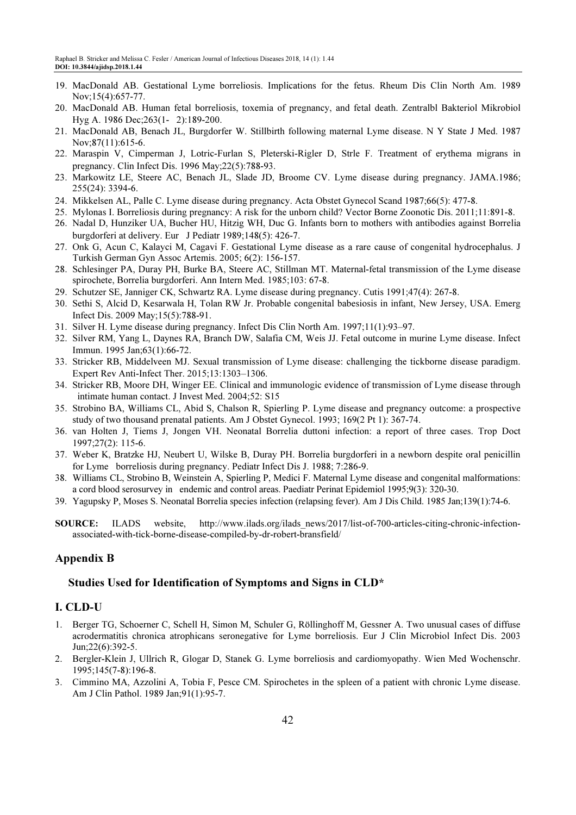- 19. MacDonald AB. Gestational Lyme borreliosis. Implications for the fetus. Rheum Dis Clin North Am. 1989 Nov;15(4):657-77.
- 20. MacDonald AB. Human fetal borreliosis, toxemia of pregnancy, and fetal death. Zentralbl Bakteriol Mikrobiol Hyg A. 1986 Dec;263(1- 2):189-200.
- 21. MacDonald AB, Benach JL, Burgdorfer W. Stillbirth following maternal Lyme disease. N Y State J Med. 1987 Nov;87(11):615-6.
- 22. Maraspin V, Cimperman J, Lotric-Furlan S, Pleterski-Rigler D, Strle F. Treatment of erythema migrans in pregnancy. Clin Infect Dis. 1996 May;22(5):788-93.
- 23. Markowitz LE, Steere AC, Benach JL, Slade JD, Broome CV. Lyme disease during pregnancy. JAMA.1986; 255(24): 3394-6.
- 24. Mikkelsen AL, Palle C. Lyme disease during pregnancy. Acta Obstet Gynecol Scand 1987;66(5): 477-8.
- 25. Mylonas I. Borreliosis during pregnancy: A risk for the unborn child? Vector Borne Zoonotic Dis. 2011;11:891-8.
- 26. Nadal D, Hunziker UA, Bucher HU, Hitzig WH, Duc G. Infants born to mothers with antibodies against Borrelia burgdorferi at delivery. Eur J Pediatr 1989;148(5): 426-7.
- 27. Onk G, Acun C, Kalayci M, Cagavi F. Gestational Lyme disease as a rare cause of congenital hydrocephalus. J Turkish German Gyn Assoc Artemis. 2005; 6(2): 156-157.
- 28. Schlesinger PA, Duray PH, Burke BA, Steere AC, Stillman MT. Maternal-fetal transmission of the Lyme disease spirochete, Borrelia burgdorferi. Ann Intern Med. 1985;103: 67-8.
- 29. Schutzer SE, Janniger CK, Schwartz RA. Lyme disease during pregnancy. Cutis 1991;47(4): 267-8.
- 30. Sethi S, Alcid D, Kesarwala H, Tolan RW Jr. Probable congenital babesiosis in infant, New Jersey, USA. Emerg Infect Dis. 2009 May;15(5):788-91.
- 31. Silver H. Lyme disease during pregnancy. Infect Dis Clin North Am. 1997;11(1):93–97.
- 32. Silver RM, Yang L, Daynes RA, Branch DW, Salafia CM, Weis JJ. Fetal outcome in murine Lyme disease. Infect Immun. 1995 Jan;63(1):66-72.
- 33. Stricker RB, Middelveen MJ. Sexual transmission of Lyme disease: challenging the tickborne disease paradigm. Expert Rev Anti-Infect Ther. 2015;13:1303–1306.
- 34. Stricker RB, Moore DH, Winger EE. Clinical and immunologic evidence of transmission of Lyme disease through intimate human contact. J Invest Med. 2004;52: S15
- 35. Strobino BA, Williams CL, Abid S, Chalson R, Spierling P. Lyme disease and pregnancy outcome: a prospective study of two thousand prenatal patients. Am J Obstet Gynecol. 1993; 169(2 Pt 1): 367-74.
- 36. van Holten J, Tiems J, Jongen VH. Neonatal Borrelia duttoni infection: a report of three cases. Trop Doct 1997;27(2): 115-6.
- 37. Weber K, Bratzke HJ, Neubert U, Wilske B, Duray PH. Borrelia burgdorferi in a newborn despite oral penicillin for Lyme borreliosis during pregnancy. Pediatr Infect Dis J. 1988; 7:286-9.
- 38. Williams CL, Strobino B, Weinstein A, Spierling P, Medici F. Maternal Lyme disease and congenital malformations: a cord blood serosurvey in endemic and control areas. Paediatr Perinat Epidemiol 1995;9(3): 320-30.
- 39. Yagupsky P, Moses S. Neonatal Borrelia species infection (relapsing fever). Am J Dis Child. 1985 Jan;139(1):74-6.
- SOURCE: ILADS website, http://www.ilads.org/ilads\_news/2017/list-of-700-articles-citing-chronic-infectionassociated-with-tick-borne-disease-compiled-by-dr-robert-bransfield/

# Appendix B

# Studies Used for Identification of Symptoms and Signs in CLD\*

#### I. CLD-U

- 1. Berger TG, Schoerner C, Schell H, Simon M, Schuler G, Röllinghoff M, Gessner A. Two unusual cases of diffuse acrodermatitis chronica atrophicans seronegative for Lyme borreliosis. Eur J Clin Microbiol Infect Dis. 2003 Jun;22(6):392-5.
- 2. Bergler-Klein J, Ullrich R, Glogar D, Stanek G. Lyme borreliosis and cardiomyopathy. Wien Med Wochenschr. 1995;145(7-8):196-8.
- 3. Cimmino MA, Azzolini A, Tobia F, Pesce CM. Spirochetes in the spleen of a patient with chronic Lyme disease. Am J Clin Pathol. 1989 Jan;91(1):95-7.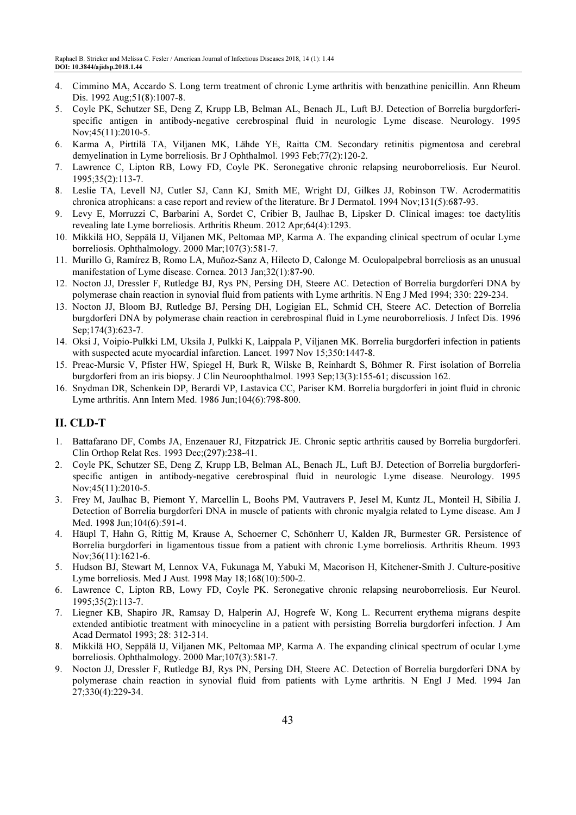- 4. Cimmino MA, Accardo S. Long term treatment of chronic Lyme arthritis with benzathine penicillin. Ann Rheum Dis. 1992 Aug;51(8):1007-8.
- 5. Coyle PK, Schutzer SE, Deng Z, Krupp LB, Belman AL, Benach JL, Luft BJ. Detection of Borrelia burgdorferispecific antigen in antibody-negative cerebrospinal fluid in neurologic Lyme disease. Neurology. 1995 Nov; 45(11): 2010-5.
- 6. Karma A, Pirttilä TA, Viljanen MK, Lähde YE, Raitta CM. Secondary retinitis pigmentosa and cerebral demyelination in Lyme borreliosis. Br J Ophthalmol. 1993 Feb;77(2):120-2.
- 7. Lawrence C, Lipton RB, Lowy FD, Coyle PK. Seronegative chronic relapsing neuroborreliosis. Eur Neurol. 1995;35(2):113-7.
- 8. Leslie TA, Levell NJ, Cutler SJ, Cann KJ, Smith ME, Wright DJ, Gilkes JJ, Robinson TW. Acrodermatitis chronica atrophicans: a case report and review of the literature. Br J Dermatol. 1994 Nov;131(5):687-93.
- 9. Levy E, Morruzzi C, Barbarini A, Sordet C, Cribier B, Jaulhac B, Lipsker D. Clinical images: toe dactylitis revealing late Lyme borreliosis. Arthritis Rheum. 2012 Apr;64(4):1293.
- 10. Mikkilä HO, Seppälä IJ, Viljanen MK, Peltomaa MP, Karma A. The expanding clinical spectrum of ocular Lyme borreliosis. Ophthalmology. 2000 Mar;107(3):581-7.
- 11. Murillo G, Ramírez B, Romo LA, Muñoz-Sanz A, Hileeto D, Calonge M. Oculopalpebral borreliosis as an unusual manifestation of Lyme disease. Cornea. 2013 Jan;32(1):87-90.
- 12. Nocton JJ, Dressler F, Rutledge BJ, Rys PN, Persing DH, Steere AC. Detection of Borrelia burgdorferi DNA by polymerase chain reaction in synovial fluid from patients with Lyme arthritis. N Eng J Med 1994; 330: 229-234.
- 13. Nocton JJ, Bloom BJ, Rutledge BJ, Persing DH, Logigian EL, Schmid CH, Steere AC. Detection of Borrelia burgdorferi DNA by polymerase chain reaction in cerebrospinal fluid in Lyme neuroborreliosis. J Infect Dis. 1996 Sep;174(3):623-7.
- 14. Oksi J, Voipio-Pulkki LM, Uksila J, Pulkki K, Laippala P, Viljanen MK. Borrelia burgdorferi infection in patients with suspected acute myocardial infarction. Lancet. 1997 Nov 15:350:1447-8.
- 15. Preac-Mursic V, Pfister HW, Spiegel H, Burk R, Wilske B, Reinhardt S, Böhmer R. First isolation of Borrelia burgdorferi from an iris biopsy. J Clin Neuroophthalmol. 1993 Sep;13(3):155-61; discussion 162.
- 16. Snydman DR, Schenkein DP, Berardi VP, Lastavica CC, Pariser KM. Borrelia burgdorferi in joint fluid in chronic Lyme arthritis. Ann Intern Med. 1986 Jun;104(6):798-800.

# II. CLD-T

- 1. Battafarano DF, Combs JA, Enzenauer RJ, Fitzpatrick JE. Chronic septic arthritis caused by Borrelia burgdorferi. Clin Orthop Relat Res. 1993 Dec;(297):238-41.
- 2. Coyle PK, Schutzer SE, Deng Z, Krupp LB, Belman AL, Benach JL, Luft BJ. Detection of Borrelia burgdorferispecific antigen in antibody-negative cerebrospinal fluid in neurologic Lyme disease. Neurology. 1995 Nov;45(11):2010-5.
- 3. Frey M, Jaulhac B, Piemont Y, Marcellin L, Boohs PM, Vautravers P, Jesel M, Kuntz JL, Monteil H, Sibilia J. Detection of Borrelia burgdorferi DNA in muscle of patients with chronic myalgia related to Lyme disease. Am J Med. 1998 Jun;104(6):591-4.
- 4. Häupl T, Hahn G, Rittig M, Krause A, Schoerner C, Schönherr U, Kalden JR, Burmester GR. Persistence of Borrelia burgdorferi in ligamentous tissue from a patient with chronic Lyme borreliosis. Arthritis Rheum. 1993 Nov;36(11):1621-6.
- 5. Hudson BJ, Stewart M, Lennox VA, Fukunaga M, Yabuki M, Macorison H, Kitchener-Smith J. Culture-positive Lyme borreliosis. Med J Aust. 1998 May 18;168(10):500-2.
- 6. Lawrence C, Lipton RB, Lowy FD, Coyle PK. Seronegative chronic relapsing neuroborreliosis. Eur Neurol. 1995;35(2):113-7.
- 7. Liegner KB, Shapiro JR, Ramsay D, Halperin AJ, Hogrefe W, Kong L. Recurrent erythema migrans despite extended antibiotic treatment with minocycline in a patient with persisting Borrelia burgdorferi infection. J Am Acad Dermatol 1993; 28: 312-314.
- 8. Mikkilä HO, Seppälä IJ, Viljanen MK, Peltomaa MP, Karma A. The expanding clinical spectrum of ocular Lyme borreliosis. Ophthalmology. 2000 Mar;107(3):581-7.
- 9. Nocton JJ, Dressler F, Rutledge BJ, Rys PN, Persing DH, Steere AC. Detection of Borrelia burgdorferi DNA by polymerase chain reaction in synovial fluid from patients with Lyme arthritis. N Engl J Med. 1994 Jan 27;330(4):229-34.